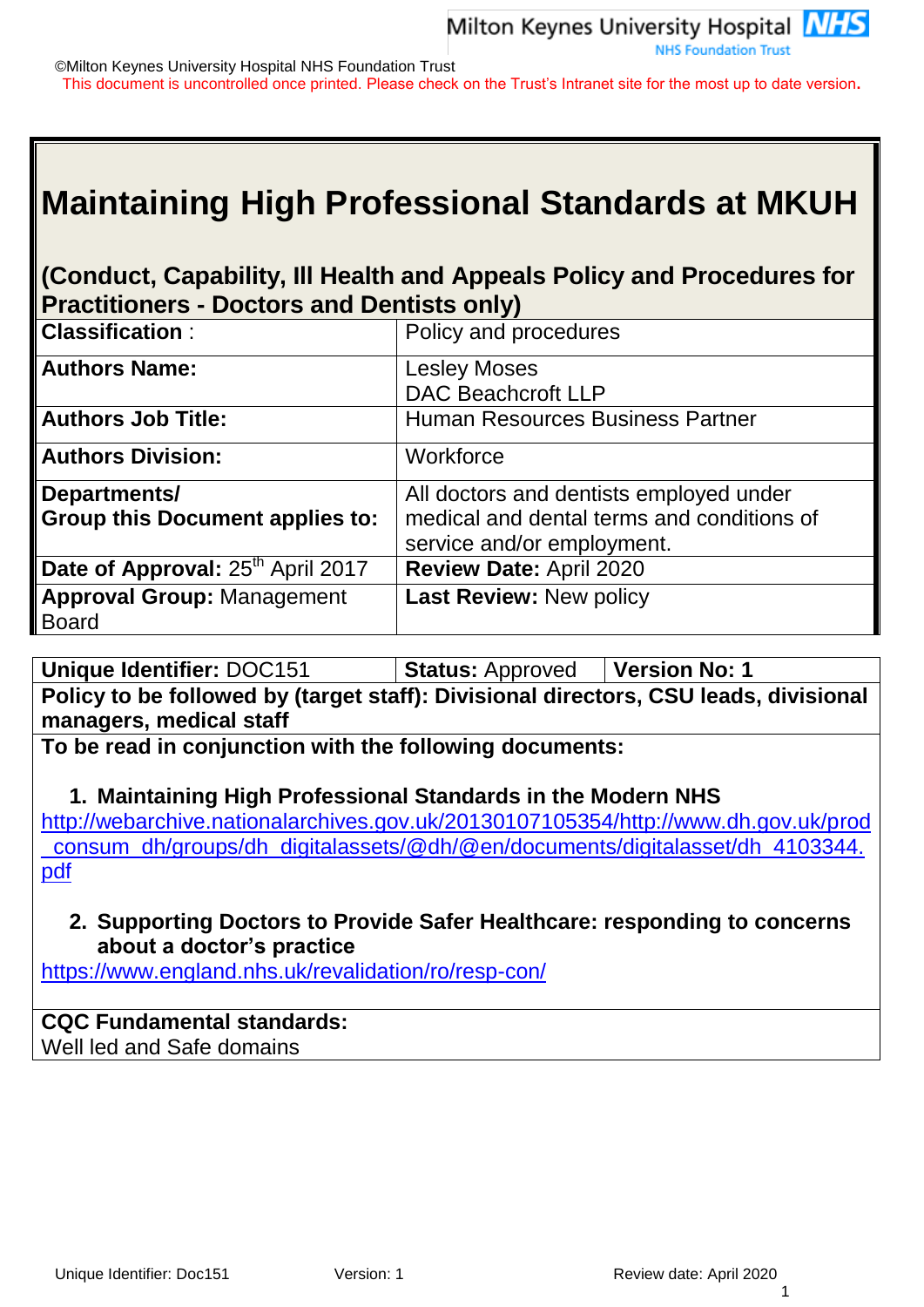©Milton Keynes University Hospital NHS Foundation Trust This document is uncontrolled once printed. Please check on the Trust's Intranet site for the most up to date version**.**

# **Maintaining High Professional Standards at MKUH**

## **(Conduct, Capability, Ill Health and Appeals Policy and Procedures for Practitioners - Doctors and Dentists only)**

| <b>Classification:</b>                        | Policy and procedures                      |
|-----------------------------------------------|--------------------------------------------|
| <b>Authors Name:</b>                          | <b>Lesley Moses</b>                        |
|                                               | <b>DAC Beachcroft LLP</b>                  |
| <b>Authors Job Title:</b>                     | <b>Human Resources Business Partner</b>    |
| <b>Authors Division:</b>                      | Workforce                                  |
| Departments/                                  | All doctors and dentists employed under    |
| <b>Group this Document applies to:</b>        | medical and dental terms and conditions of |
|                                               | service and/or employment.                 |
| Date of Approval: 25 <sup>th</sup> April 2017 | <b>Review Date: April 2020</b>             |
| <b>Approval Group: Management</b>             | <b>Last Review: New policy</b>             |
| <b>Board</b>                                  |                                            |

**Unique Identifier:** DOC151 **Status:** Approved **Version No: 1 Policy to be followed by (target staff): Divisional directors, CSU leads, divisional managers, medical staff** 

**To be read in conjunction with the following documents:**

**1. Maintaining High Professional Standards in the Modern NHS** [http://webarchive.nationalarchives.gov.uk/20130107105354/http://www.dh.gov.uk/prod](http://webarchive.nationalarchives.gov.uk/20130107105354/http:/www.dh.gov.uk/prod_consum_dh/groups/dh_digitalassets/@dh/@en/documents/digitalasset/dh_4103344.pdf) [\\_consum\\_dh/groups/dh\\_digitalassets/@dh/@en/documents/digitalasset/dh\\_4103344.](http://webarchive.nationalarchives.gov.uk/20130107105354/http:/www.dh.gov.uk/prod_consum_dh/groups/dh_digitalassets/@dh/@en/documents/digitalasset/dh_4103344.pdf) [pdf](http://webarchive.nationalarchives.gov.uk/20130107105354/http:/www.dh.gov.uk/prod_consum_dh/groups/dh_digitalassets/@dh/@en/documents/digitalasset/dh_4103344.pdf)

**2. Supporting Doctors to Provide Safer Healthcare: responding to concerns about a doctor's practice**

<https://www.england.nhs.uk/revalidation/ro/resp-con/>

## **CQC Fundamental standards:**

Well led and Safe domains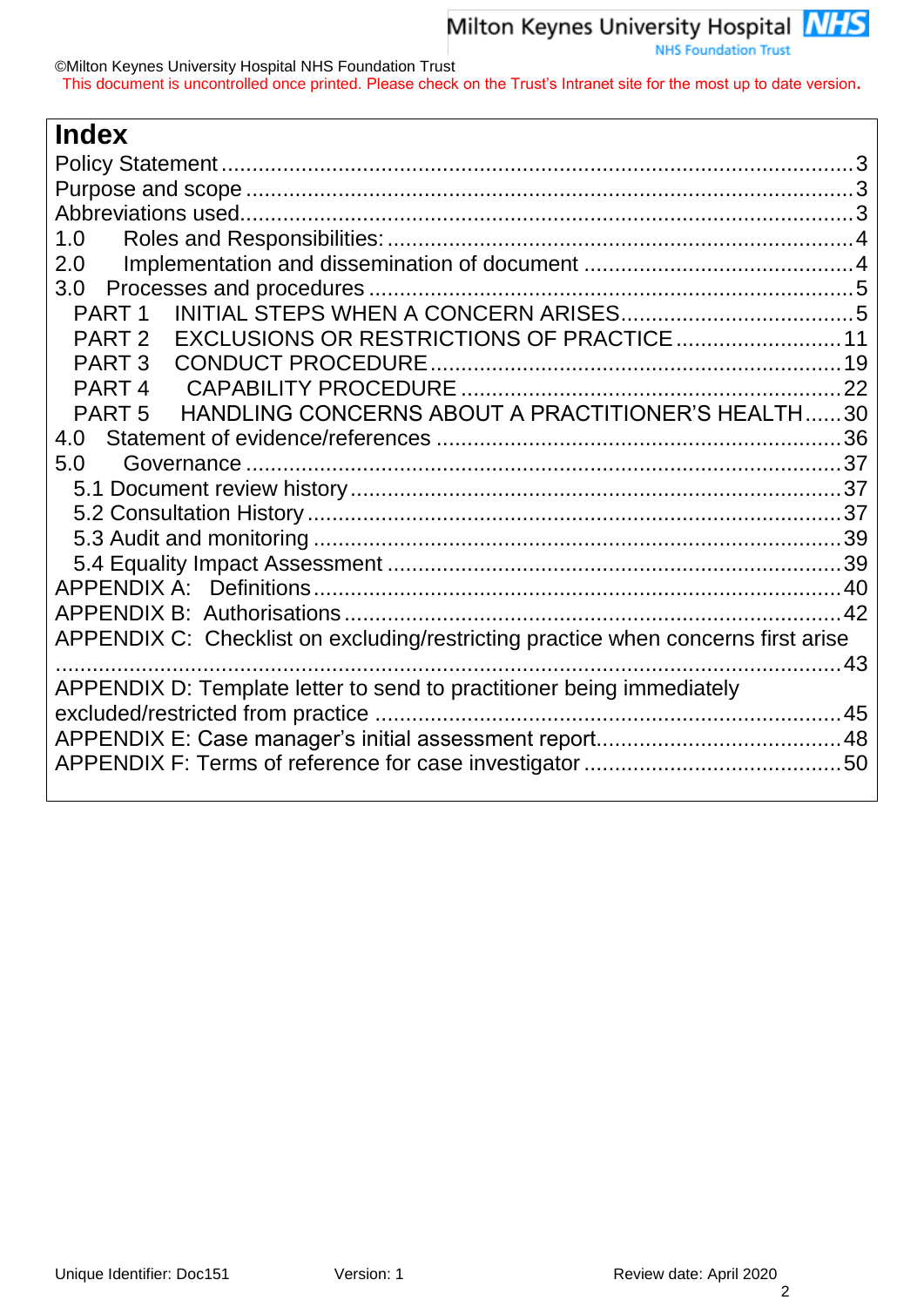| <b>Index</b>                                                                      |  |
|-----------------------------------------------------------------------------------|--|
|                                                                                   |  |
|                                                                                   |  |
|                                                                                   |  |
| 1.0                                                                               |  |
| 2.0                                                                               |  |
| 3.0                                                                               |  |
| PART <sub>1</sub>                                                                 |  |
| PART 2                                                                            |  |
| PART 3                                                                            |  |
| PART <sub>4</sub>                                                                 |  |
| HANDLING CONCERNS ABOUT A PRACTITIONER'S HEALTH30<br>PART <sub>5</sub>            |  |
| 4.0                                                                               |  |
| 5.0                                                                               |  |
|                                                                                   |  |
|                                                                                   |  |
|                                                                                   |  |
|                                                                                   |  |
|                                                                                   |  |
|                                                                                   |  |
| APPENDIX C: Checklist on excluding/restricting practice when concerns first arise |  |
|                                                                                   |  |
| APPENDIX D: Template letter to send to practitioner being immediately             |  |
|                                                                                   |  |
|                                                                                   |  |
|                                                                                   |  |
|                                                                                   |  |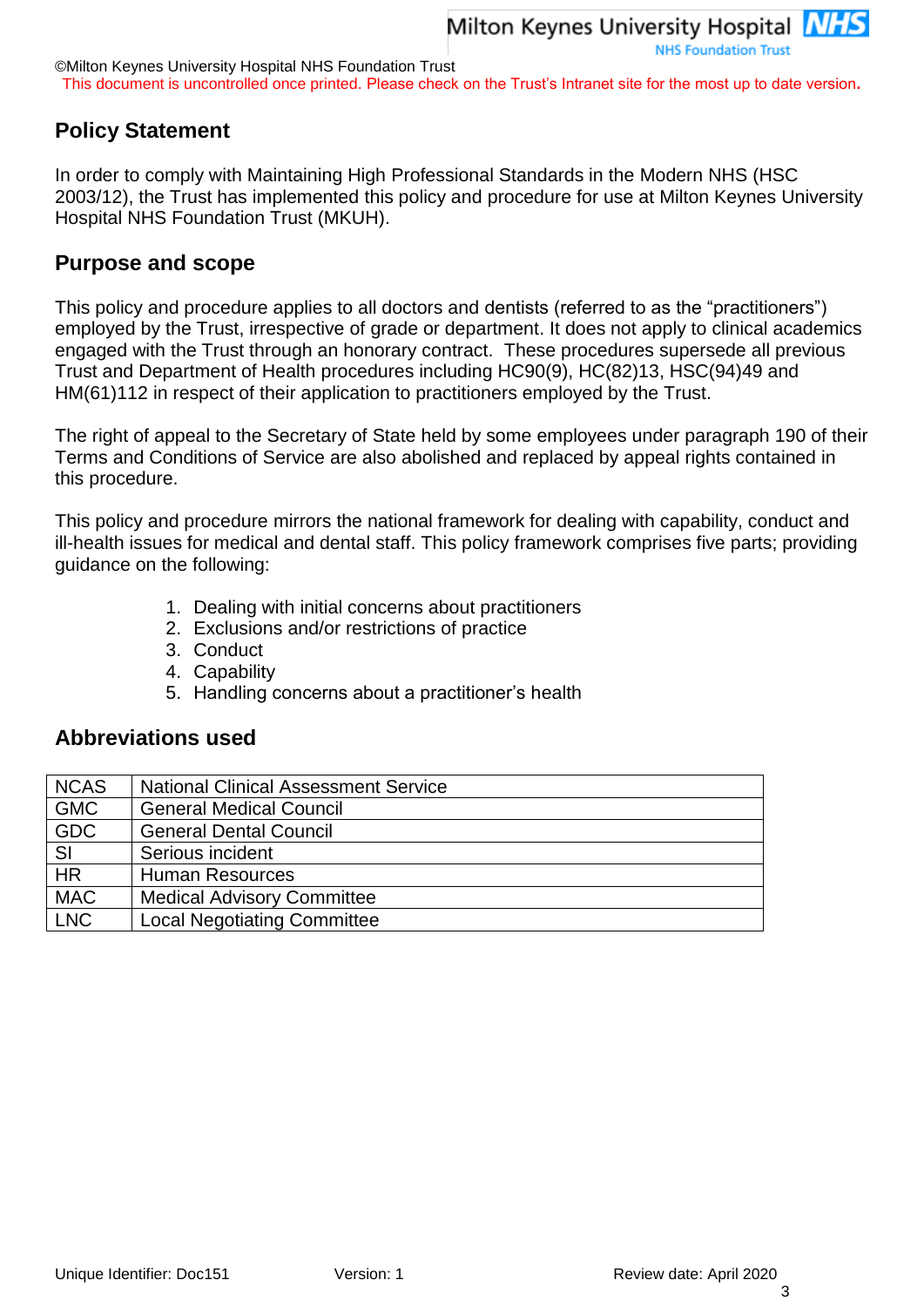This document is uncontrolled once printed. Please check on the Trust's Intranet site for the most up to date version**.**

## <span id="page-2-0"></span>**Policy Statement**

In order to comply with Maintaining High Professional Standards in the Modern NHS (HSC 2003/12), the Trust has implemented this policy and procedure for use at Milton Keynes University Hospital NHS Foundation Trust (MKUH).

## <span id="page-2-1"></span>**Purpose and scope**

This policy and procedure applies to all doctors and dentists (referred to as the "practitioners") employed by the Trust, irrespective of grade or department. It does not apply to clinical academics engaged with the Trust through an honorary contract. These procedures supersede all previous Trust and Department of Health procedures including HC90(9), HC(82)13, HSC(94)49 and HM(61)112 in respect of their application to practitioners employed by the Trust.

The right of appeal to the Secretary of State held by some employees under paragraph 190 of their Terms and Conditions of Service are also abolished and replaced by appeal rights contained in this procedure.

This policy and procedure mirrors the national framework for dealing with capability, conduct and ill-health issues for medical and dental staff. This policy framework comprises five parts; providing guidance on the following:

- 1. Dealing with initial concerns about practitioners
- 2. Exclusions and/or restrictions of practice
- 3. Conduct
- 4. Capability
- 5. Handling concerns about a practitioner's health

### <span id="page-2-2"></span>**Abbreviations used**

| <b>NCAS</b> | <b>National Clinical Assessment Service</b> |
|-------------|---------------------------------------------|
| <b>GMC</b>  | <b>General Medical Council</b>              |
| <b>GDC</b>  | <b>General Dental Council</b>               |
| <b>SI</b>   | Serious incident                            |
| <b>HR</b>   | <b>Human Resources</b>                      |
| <b>MAC</b>  | <b>Medical Advisory Committee</b>           |
| <b>LNC</b>  | <b>Local Negotiating Committee</b>          |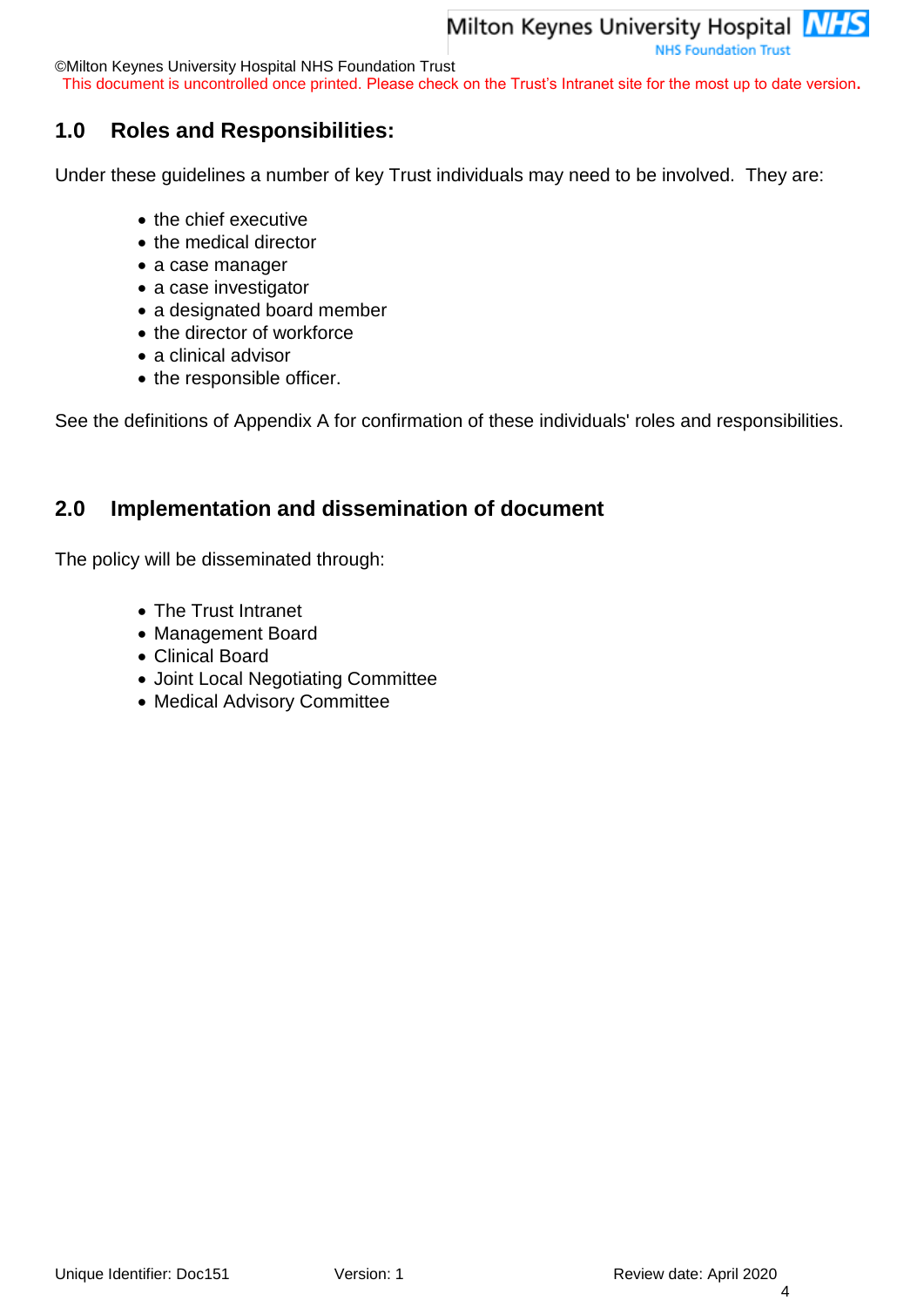©Milton Keynes University Hospital NHS Foundation Trust

This document is uncontrolled once printed. Please check on the Trust's Intranet site for the most up to date version**.**

## <span id="page-3-0"></span>**1.0 Roles and Responsibilities:**

Under these guidelines a number of key Trust individuals may need to be involved. They are:

- the chief executive
- the medical director
- a case manager
- a case investigator
- a designated board member
- the director of workforce
- a clinical advisor
- the responsible officer.

See the definitions of Appendix A for confirmation of these individuals' roles and responsibilities.

## <span id="page-3-1"></span>**2.0 Implementation and dissemination of document**

The policy will be disseminated through:

- The Trust Intranet
- Management Board
- Clinical Board
- Joint Local Negotiating Committee
- Medical Advisory Committee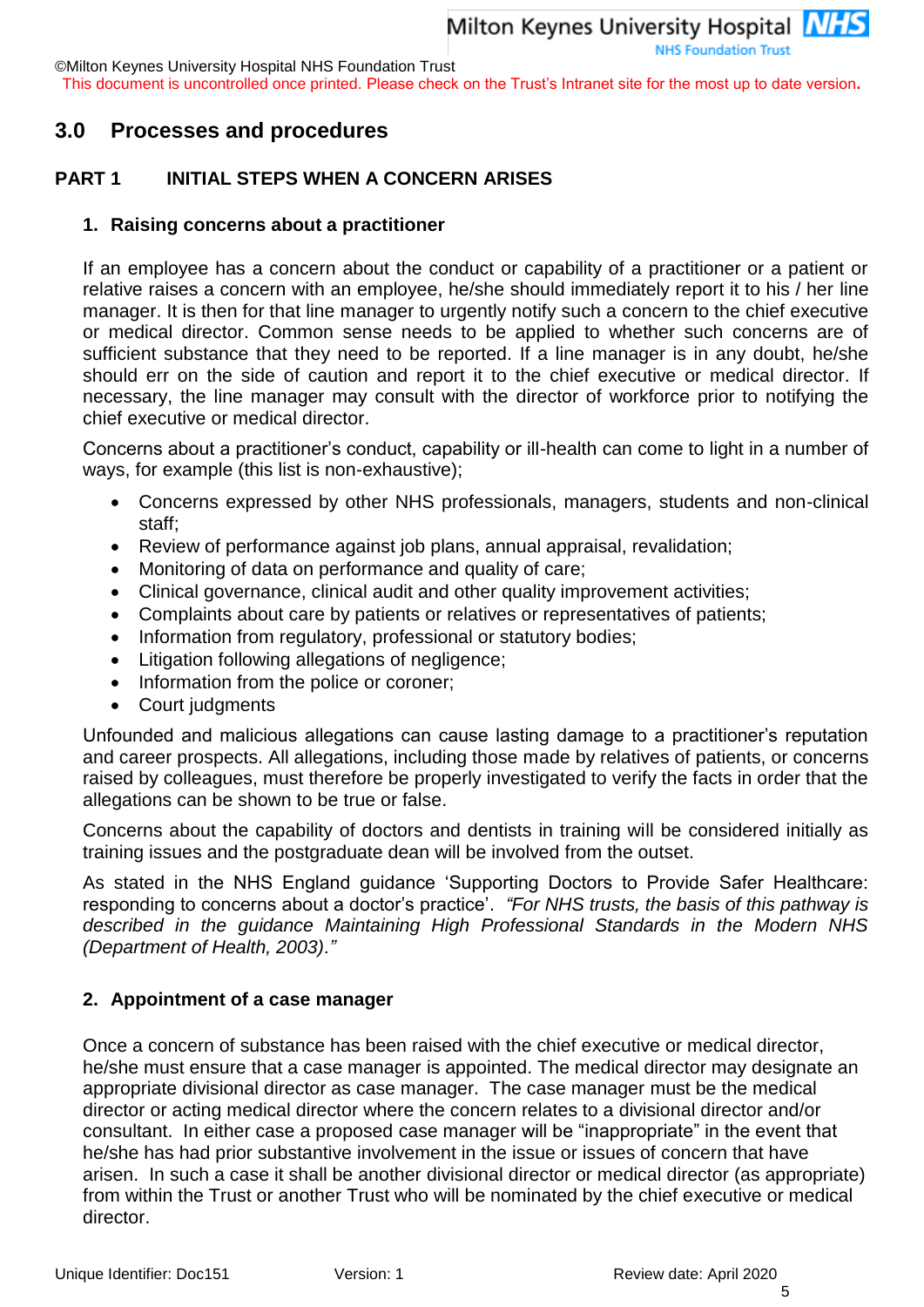©Milton Keynes University Hospital NHS Foundation Trust

This document is uncontrolled once printed. Please check on the Trust's Intranet site for the most up to date version**.**

#### <span id="page-4-0"></span>**3.0 Processes and procedures**

#### <span id="page-4-1"></span>**PART 1 INITIAL STEPS WHEN A CONCERN ARISES**

#### **1. Raising concerns about a practitioner**

If an employee has a concern about the conduct or capability of a practitioner or a patient or relative raises a concern with an employee, he/she should immediately report it to his / her line manager. It is then for that line manager to urgently notify such a concern to the chief executive or medical director. Common sense needs to be applied to whether such concerns are of sufficient substance that they need to be reported. If a line manager is in any doubt, he/she should err on the side of caution and report it to the chief executive or medical director. If necessary, the line manager may consult with the director of workforce prior to notifying the chief executive or medical director.

Concerns about a practitioner's conduct, capability or ill-health can come to light in a number of ways, for example (this list is non-exhaustive);

- Concerns expressed by other NHS professionals, managers, students and non-clinical staff;
- Review of performance against job plans, annual appraisal, revalidation;
- Monitoring of data on performance and quality of care;
- Clinical governance, clinical audit and other quality improvement activities;
- Complaints about care by patients or relatives or representatives of patients;
- Information from regulatory, professional or statutory bodies;
- Litigation following allegations of negligence;
- Information from the police or coroner;
- Court judgments

Unfounded and malicious allegations can cause lasting damage to a practitioner's reputation and career prospects. All allegations, including those made by relatives of patients, or concerns raised by colleagues, must therefore be properly investigated to verify the facts in order that the allegations can be shown to be true or false.

Concerns about the capability of doctors and dentists in training will be considered initially as training issues and the postgraduate dean will be involved from the outset.

As stated in the NHS England guidance 'Supporting Doctors to Provide Safer Healthcare: responding to concerns about a doctor's practice'. *"For NHS trusts, the basis of this pathway is described in the guidance Maintaining High Professional Standards in the Modern NHS (Department of Health, 2003)."*

#### **2. Appointment of a case manager**

Once a concern of substance has been raised with the chief executive or medical director, he/she must ensure that a case manager is appointed. The medical director may designate an appropriate divisional director as case manager. The case manager must be the medical director or acting medical director where the concern relates to a divisional director and/or consultant. In either case a proposed case manager will be "inappropriate" in the event that he/she has had prior substantive involvement in the issue or issues of concern that have arisen. In such a case it shall be another divisional director or medical director (as appropriate) from within the Trust or another Trust who will be nominated by the chief executive or medical director.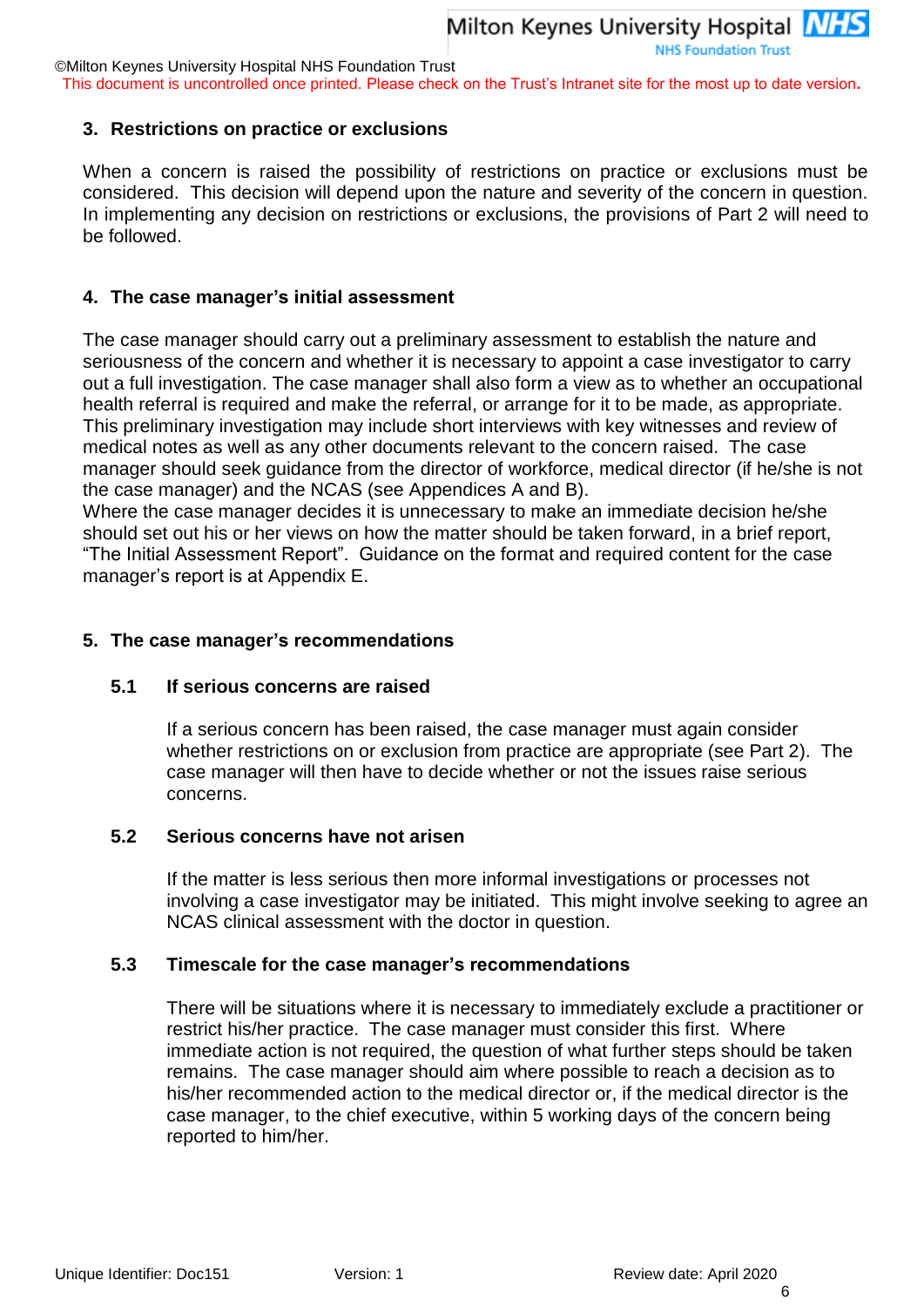This document is uncontrolled once printed. Please check on the Trust's Intranet site for the most up to date version**.**

#### **3. Restrictions on practice or exclusions**

When a concern is raised the possibility of restrictions on practice or exclusions must be considered. This decision will depend upon the nature and severity of the concern in question. In implementing any decision on restrictions or exclusions, the provisions of Part 2 will need to be followed.

#### **4. The case manager's initial assessment**

The case manager should carry out a preliminary assessment to establish the nature and seriousness of the concern and whether it is necessary to appoint a case investigator to carry out a full investigation. The case manager shall also form a view as to whether an occupational health referral is required and make the referral, or arrange for it to be made, as appropriate. This preliminary investigation may include short interviews with key witnesses and review of medical notes as well as any other documents relevant to the concern raised. The case manager should seek guidance from the director of workforce, medical director (if he/she is not the case manager) and the NCAS (see Appendices A and B).

Where the case manager decides it is unnecessary to make an immediate decision he/she should set out his or her views on how the matter should be taken forward, in a brief report, "The Initial Assessment Report". Guidance on the format and required content for the case manager's report is at [Appendix E.](#page-47-0)

#### <span id="page-5-0"></span>**5. The case manager's recommendations**

#### **5.1 If serious concerns are raised**

If a serious concern has been raised, the case manager must again consider whether restrictions on or exclusion from practice are appropriate (see Part 2). The case manager will then have to decide whether or not the issues raise serious concerns.

#### **5.2 Serious concerns have not arisen**

If the matter is less serious then more informal investigations or processes not involving a case investigator may be initiated. This might involve seeking to agree an NCAS clinical assessment with the doctor in question.

#### **5.3 Timescale for the case manager's recommendations**

There will be situations where it is necessary to immediately exclude a practitioner or restrict his/her practice. The case manager must consider this first. Where immediate action is not required, the question of what further steps should be taken remains. The case manager should aim where possible to reach a decision as to his/her recommended action to the medical director or, if the medical director is the case manager, to the chief executive, within 5 working days of the concern being reported to him/her.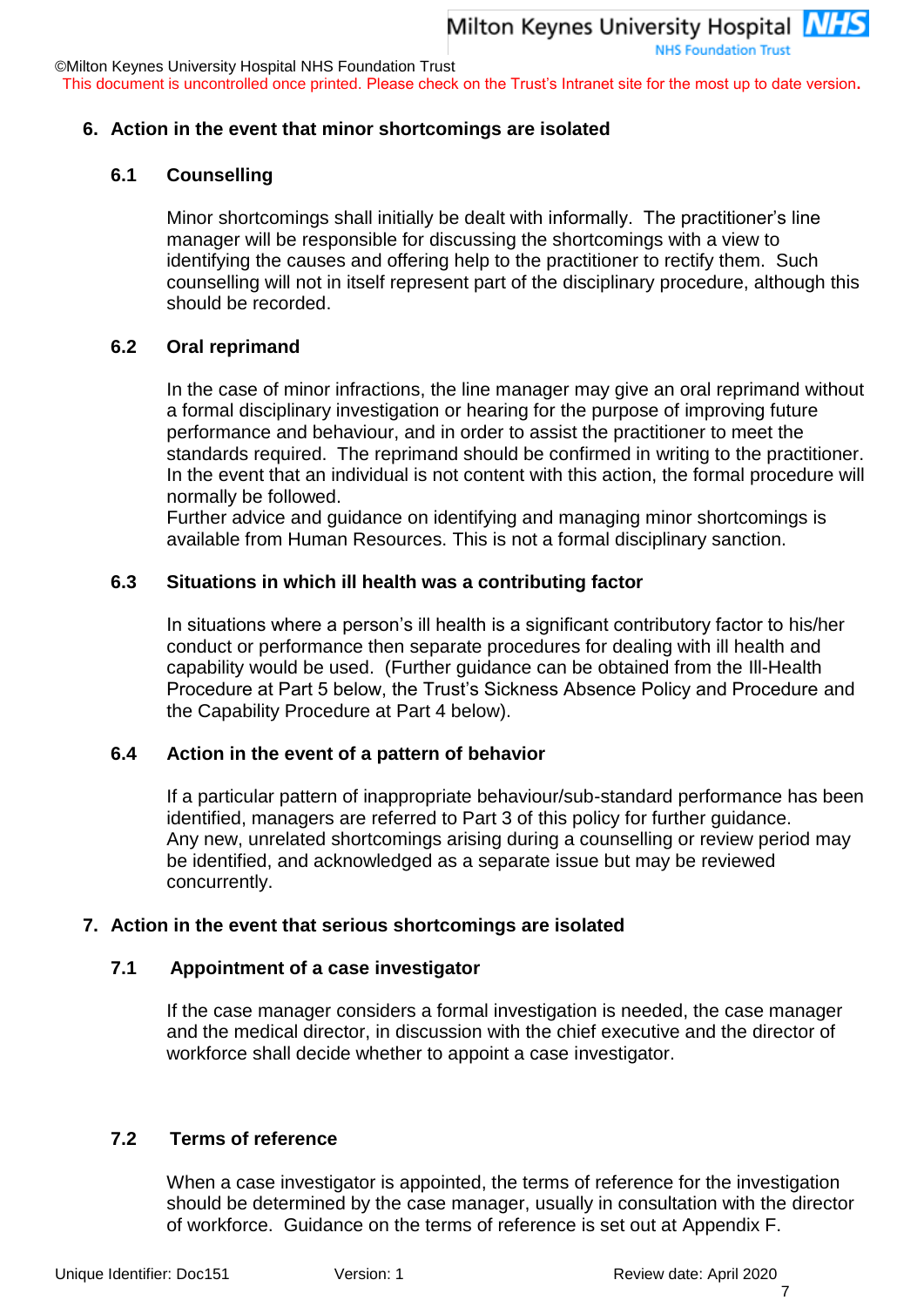This document is uncontrolled once printed. Please check on the Trust's Intranet site for the most up to date version**.**

#### **6. Action in the event that minor shortcomings are isolated**

#### **6.1 Counselling**

Minor shortcomings shall initially be dealt with informally. The practitioner's line manager will be responsible for discussing the shortcomings with a view to identifying the causes and offering help to the practitioner to rectify them. Such counselling will not in itself represent part of the disciplinary procedure, although this should be recorded.

#### **6.2 Oral reprimand**

In the case of minor infractions, the line manager may give an oral reprimand without a formal disciplinary investigation or hearing for the purpose of improving future performance and behaviour, and in order to assist the practitioner to meet the standards required. The reprimand should be confirmed in writing to the practitioner. In the event that an individual is not content with this action, the formal procedure will normally be followed.

Further advice and guidance on identifying and managing minor shortcomings is available from Human Resources. This is not a formal disciplinary sanction.

#### **6.3 Situations in which ill health was a contributing factor**

In situations where a person's ill health is a significant contributory factor to his/her conduct or performance then separate procedures for dealing with ill health and capability would be used. (Further guidance can be obtained from the Ill-Health Procedure at Part 5 below, the Trust's Sickness Absence Policy and Procedure and the Capability Procedure at Part 4 below).

#### **6.4 Action in the event of a pattern of behavior**

If a particular pattern of inappropriate behaviour/sub-standard performance has been identified, managers are referred to Part 3 of this policy for further guidance. Any new, unrelated shortcomings arising during a counselling or review period may be identified, and acknowledged as a separate issue but may be reviewed concurrently.

#### **7. Action in the event that serious shortcomings are isolated**

#### **7.1 Appointment of a case investigator**

If the case manager considers a formal investigation is needed, the case manager and the medical director, in discussion with the chief executive and the director of workforce shall decide whether to appoint a case investigator.

#### **7.2 Terms of reference**

When a case investigator is appointed, the terms of reference for the investigation should be determined by the case manager, usually in consultation with the director of workforce. Guidance on the terms of reference is set out at Appendix F.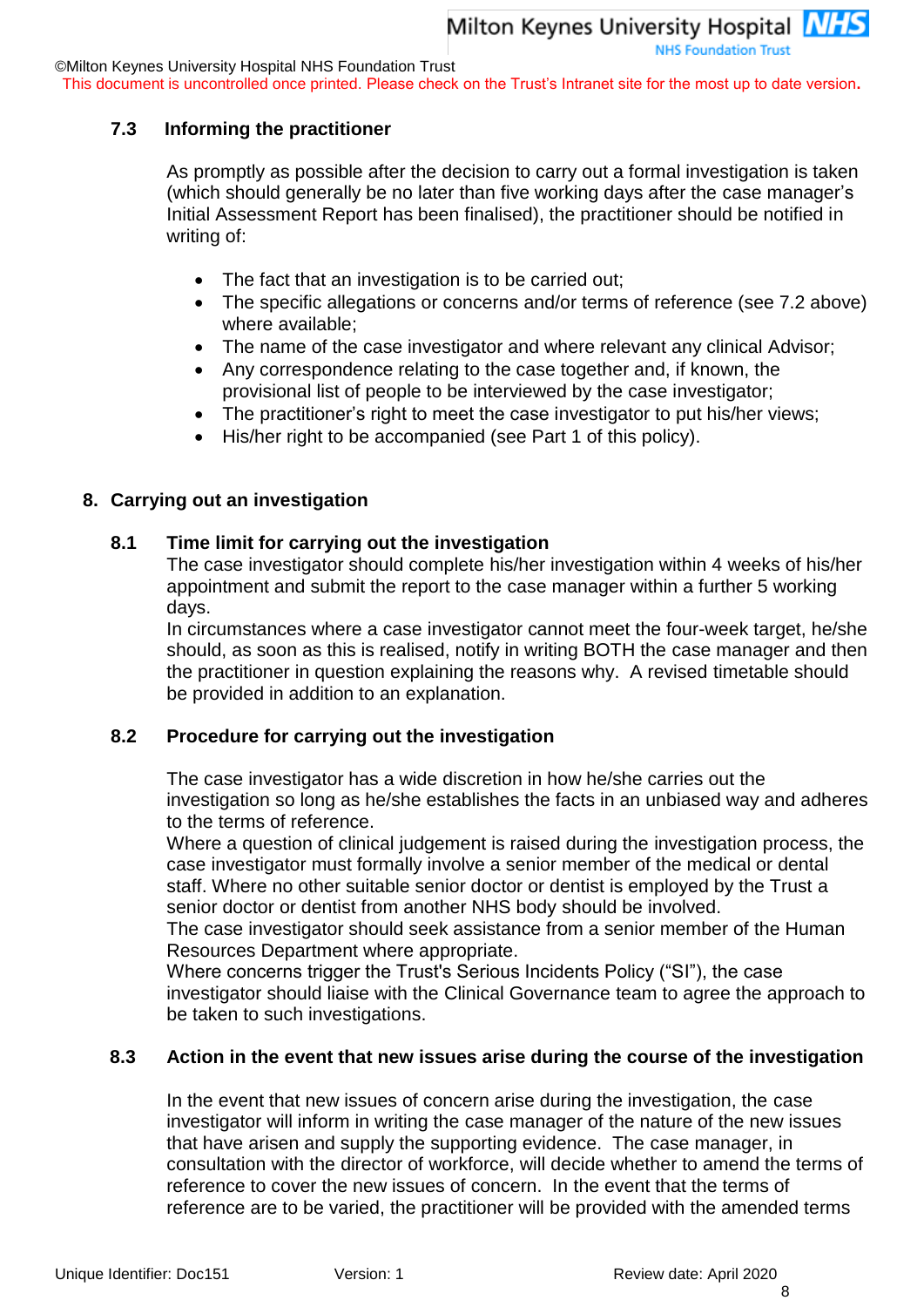This document is uncontrolled once printed. Please check on the Trust's Intranet site for the most up to date version**.**

#### **7.3 Informing the practitioner**

As promptly as possible after the decision to carry out a formal investigation is taken (which should generally be no later than five working days after the case manager's Initial Assessment Report has been finalised), the practitioner should be notified in writing of:

- The fact that an investigation is to be carried out;
- The specific allegations or concerns and/or terms of reference (see 7.2 above) where available;
- The name of the case investigator and where relevant any clinical Advisor;
- Any correspondence relating to the case together and, if known, the provisional list of people to be interviewed by the case investigator;
- The practitioner's right to meet the case investigator to put his/her views;
- His/her right to be accompanied (see Part 1 of this policy).

#### **8. Carrying out an investigation**

#### **8.1 Time limit for carrying out the investigation**

The case investigator should complete his/her investigation within 4 weeks of his/her appointment and submit the report to the case manager within a further 5 working days.

In circumstances where a case investigator cannot meet the four-week target, he/she should, as soon as this is realised, notify in writing BOTH the case manager and then the practitioner in question explaining the reasons why. A revised timetable should be provided in addition to an explanation.

#### **8.2 Procedure for carrying out the investigation**

The case investigator has a wide discretion in how he/she carries out the investigation so long as he/she establishes the facts in an unbiased way and adheres to the terms of reference.

Where a question of clinical judgement is raised during the investigation process, the case investigator must formally involve a senior member of the medical or dental staff. Where no other suitable senior doctor or dentist is employed by the Trust a senior doctor or dentist from another NHS body should be involved.

The case investigator should seek assistance from a senior member of the Human Resources Department where appropriate.

Where concerns trigger the Trust's Serious Incidents Policy ("SI"), the case investigator should liaise with the Clinical Governance team to agree the approach to be taken to such investigations.

#### **8.3 Action in the event that new issues arise during the course of the investigation**

In the event that new issues of concern arise during the investigation, the case investigator will inform in writing the case manager of the nature of the new issues that have arisen and supply the supporting evidence. The case manager, in consultation with the director of workforce, will decide whether to amend the terms of reference to cover the new issues of concern. In the event that the terms of reference are to be varied, the practitioner will be provided with the amended terms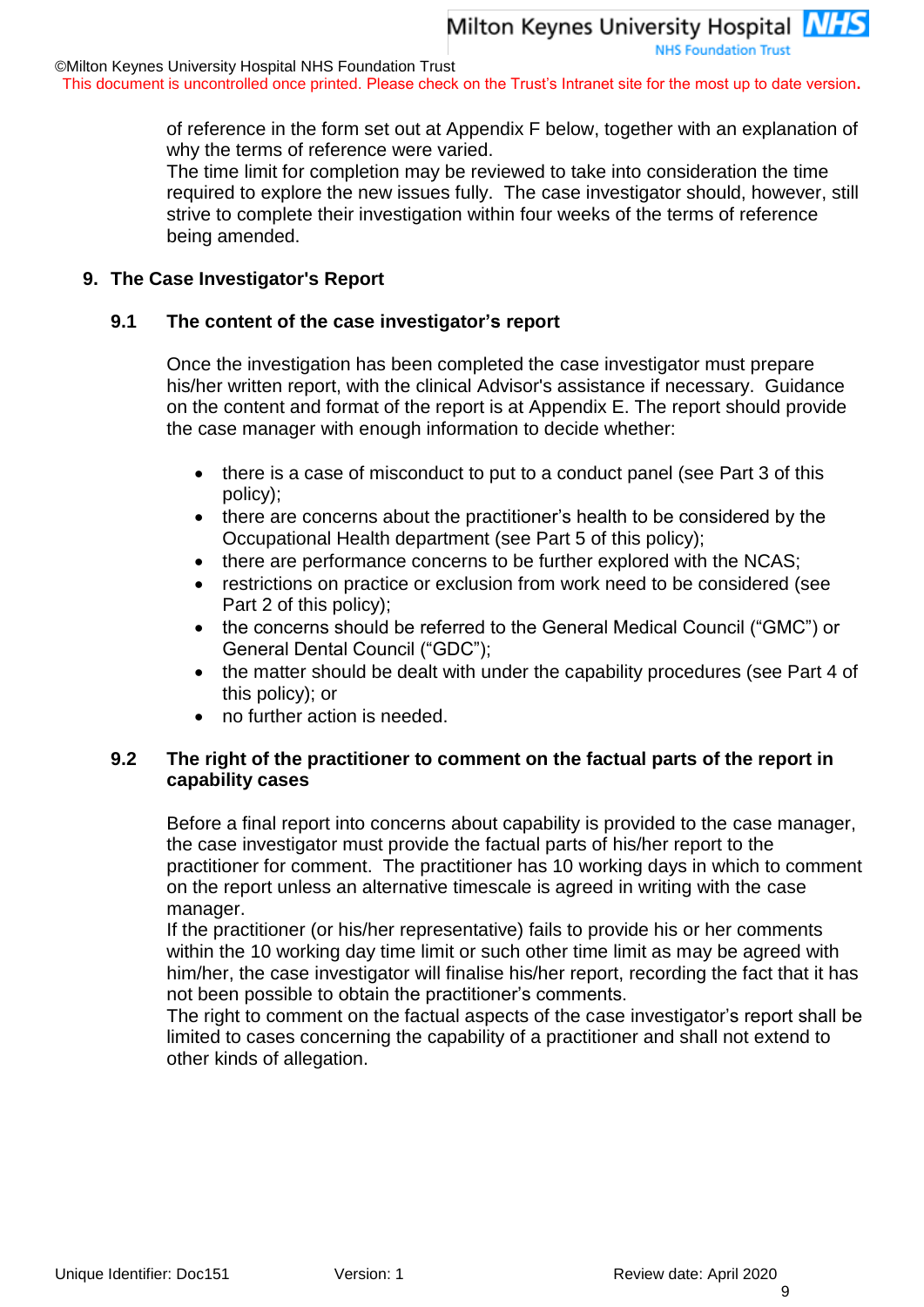This document is uncontrolled once printed. Please check on the Trust's Intranet site for the most up to date version**.**

of reference in the form set out at Appendix F below, together with an explanation of why the terms of reference were varied.

The time limit for completion may be reviewed to take into consideration the time required to explore the new issues fully. The case investigator should, however, still strive to complete their investigation within four weeks of the terms of reference being amended.

#### **9. The Case Investigator's Report**

#### **9.1 The content of the case investigator's report**

Once the investigation has been completed the case investigator must prepare his/her written report, with the clinical Advisor's assistance if necessary. Guidance on the content and format of the report is at Appendix E. The report should provide the case manager with enough information to decide whether:

- there is a case of misconduct to put to a conduct panel (see Part 3 of this policy);
- there are concerns about the practitioner's health to be considered by the Occupational Health department (see Part 5 of this policy);
- there are performance concerns to be further explored with the NCAS;
- restrictions on practice or exclusion from work need to be considered (see Part 2 of this policy);
- the concerns should be referred to the General Medical Council ("GMC") or General Dental Council ("GDC");
- the matter should be dealt with under the capability procedures (see Part 4 of this policy); or
- no further action is needed.

#### **9.2 The right of the practitioner to comment on the factual parts of the report in capability cases**

Before a final report into concerns about capability is provided to the case manager, the case investigator must provide the factual parts of his/her report to the practitioner for comment. The practitioner has 10 working days in which to comment on the report unless an alternative timescale is agreed in writing with the case manager.

If the practitioner (or his/her representative) fails to provide his or her comments within the 10 working day time limit or such other time limit as may be agreed with him/her, the case investigator will finalise his/her report, recording the fact that it has not been possible to obtain the practitioner's comments.

The right to comment on the factual aspects of the case investigator's report shall be limited to cases concerning the capability of a practitioner and shall not extend to other kinds of allegation.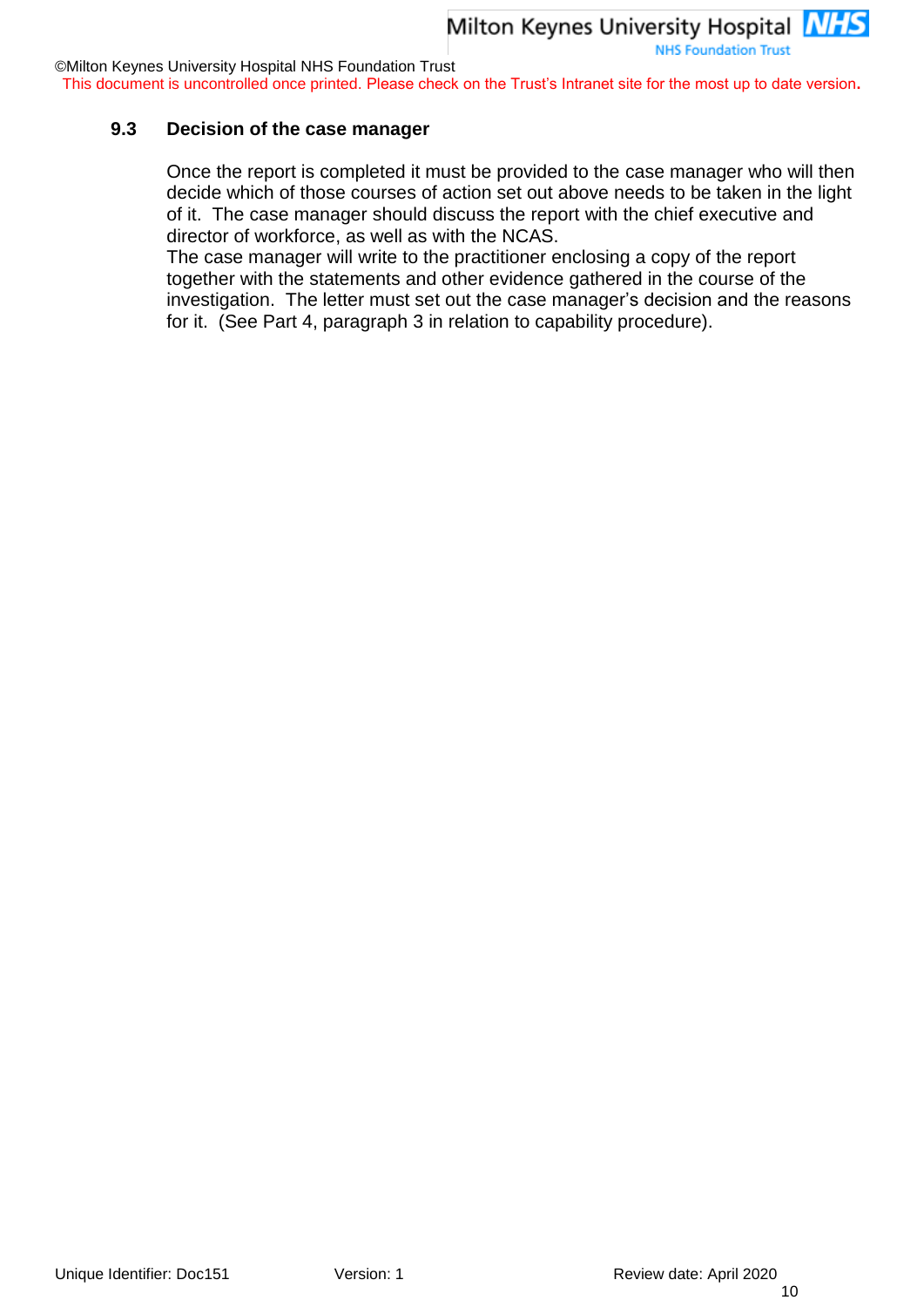This document is uncontrolled once printed. Please check on the Trust's Intranet site for the most up to date version**.**

#### **9.3 Decision of the case manager**

Once the report is completed it must be provided to the case manager who will then decide which of those courses of action set out above needs to be taken in the light of it. The case manager should discuss the report with the chief executive and director of workforce, as well as with the NCAS.

The case manager will write to the practitioner enclosing a copy of the report together with the statements and other evidence gathered in the course of the investigation. The letter must set out the case manager's decision and the reasons for it. (See Part 4, paragraph 3 in relation to capability procedure).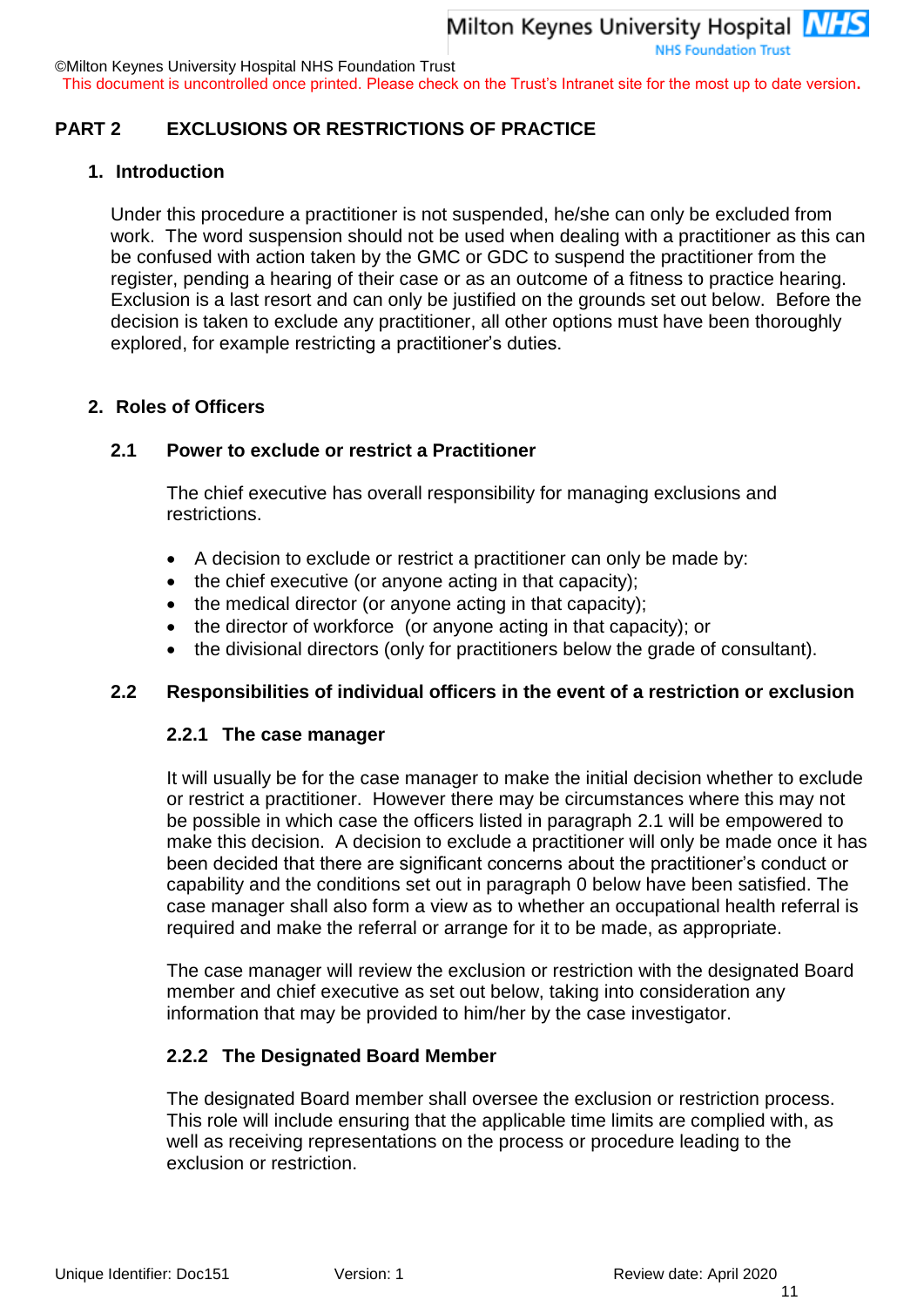©Milton Keynes University Hospital NHS Foundation Trust

This document is uncontrolled once printed. Please check on the Trust's Intranet site for the most up to date version**.**

#### <span id="page-10-0"></span>**PART 2 EXCLUSIONS OR RESTRICTIONS OF PRACTICE**

#### **1. Introduction**

Under this procedure a practitioner is not suspended, he/she can only be excluded from work. The word suspension should not be used when dealing with a practitioner as this can be confused with action taken by the GMC or GDC to suspend the practitioner from the register, pending a hearing of their case or as an outcome of a fitness to practice hearing. Exclusion is a last resort and can only be justified on the grounds set out below. Before the decision is taken to exclude any practitioner, all other options must have been thoroughly explored, for example restricting a practitioner's duties.

#### **2. Roles of Officers**

#### **2.1 Power to exclude or restrict a Practitioner**

The chief executive has overall responsibility for managing exclusions and restrictions.

- A decision to exclude or restrict a practitioner can only be made by:
- the chief executive (or anyone acting in that capacity);
- $\bullet$  the medical director (or anyone acting in that capacity);
- the director of workforce (or anyone acting in that capacity); or
- the divisional directors (only for practitioners below the grade of consultant).

#### **2.2 Responsibilities of individual officers in the event of a restriction or exclusion**

#### **2.2.1 The case manager**

It will usually be for the case manager to make the initial decision whether to exclude or restrict a practitioner. However there may be circumstances where this may not be possible in which case the officers listed in paragraph 2.1 will be empowered to make this decision. A decision to exclude a practitioner will only be made once it has been decided that there are significant concerns about the practitioner's conduct or capability and the conditions set out in paragraph [0](#page-11-0) below have been satisfied. The case manager shall also form a view as to whether an occupational health referral is required and make the referral or arrange for it to be made, as appropriate.

The case manager will review the exclusion or restriction with the designated Board member and chief executive as set out below, taking into consideration any information that may be provided to him/her by the case investigator.

#### **2.2.2 The Designated Board Member**

The designated Board member shall oversee the exclusion or restriction process. This role will include ensuring that the applicable time limits are complied with, as well as receiving representations on the process or procedure leading to the exclusion or restriction.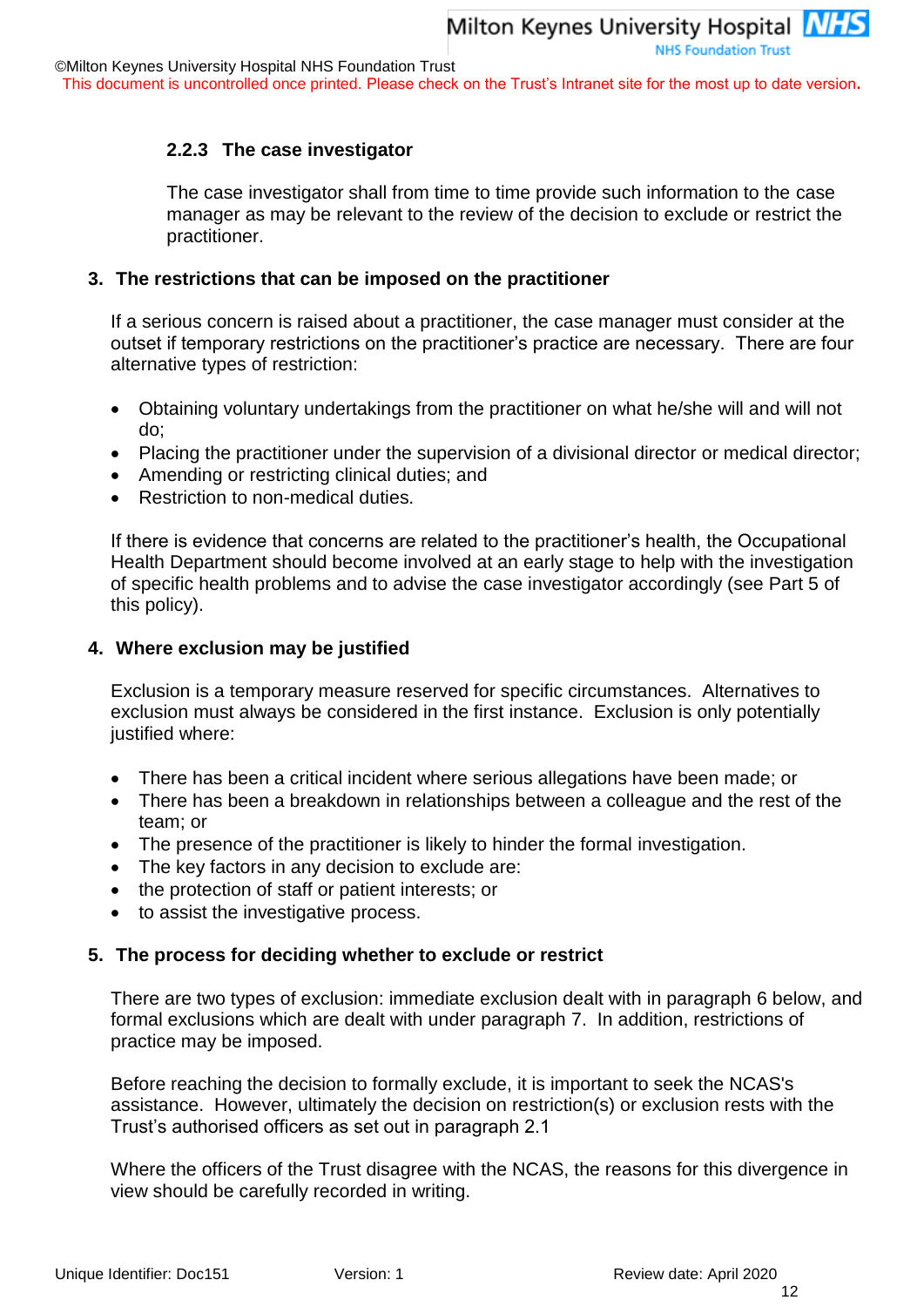#### **2.2.3 The case investigator**

The case investigator shall from time to time provide such information to the case manager as may be relevant to the review of the decision to exclude or restrict the practitioner.

#### **3. The restrictions that can be imposed on the practitioner**

If a serious concern is raised about a practitioner, the case manager must consider at the outset if temporary restrictions on the practitioner's practice are necessary. There are four alternative types of restriction:

- Obtaining voluntary undertakings from the practitioner on what he/she will and will not do;
- Placing the practitioner under the supervision of a divisional director or medical director;
- Amending or restricting clinical duties; and
- Restriction to non-medical duties.

If there is evidence that concerns are related to the practitioner's health, the Occupational Health Department should become involved at an early stage to help with the investigation of specific health problems and to advise the case investigator accordingly (see Part 5 of this policy).

#### <span id="page-11-0"></span>**4. Where exclusion may be justified**

Exclusion is a temporary measure reserved for specific circumstances. Alternatives to exclusion must always be considered in the first instance. Exclusion is only potentially justified where:

- There has been a critical incident where serious allegations have been made; or
- There has been a breakdown in relationships between a colleague and the rest of the team; or
- The presence of the practitioner is likely to hinder the formal investigation.
- The key factors in any decision to exclude are:
- the protection of staff or patient interests; or
- to assist the investigative process.

#### **5. The process for deciding whether to exclude or restrict**

There are two types of exclusion: immediate exclusion dealt with in paragraph [6](#page-12-0) below, and formal exclusions which are dealt with under paragraph [7.](#page-12-1) In addition, restrictions of practice may be imposed.

Before reaching the decision to formally exclude, it is important to seek the NCAS's assistance. However, ultimately the decision on restriction(s) or exclusion rests with the Trust's authorised officers as set out in paragraph 2.1

Where the officers of the Trust disagree with the NCAS, the reasons for this divergence in view should be carefully recorded in writing.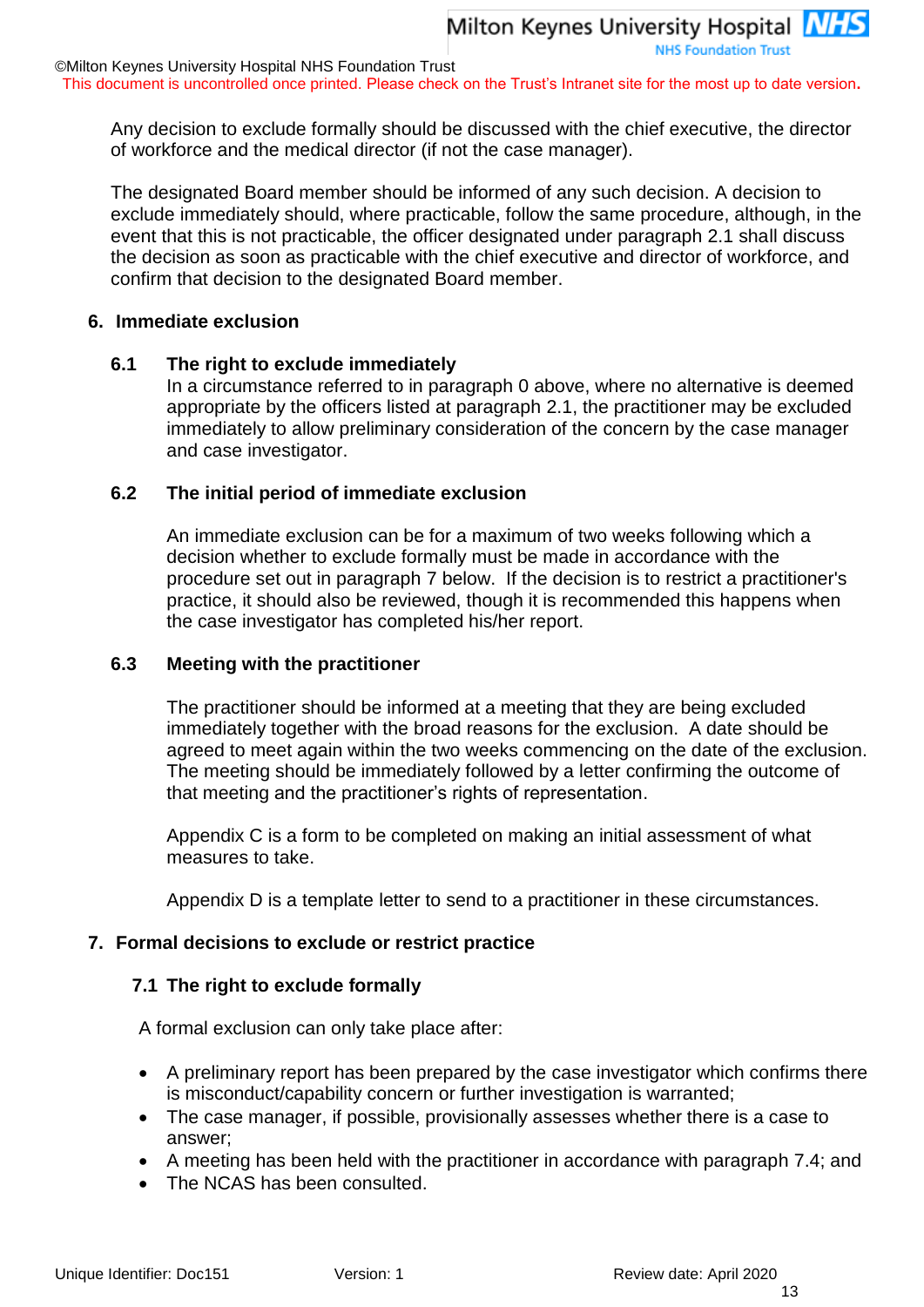This document is uncontrolled once printed. Please check on the Trust's Intranet site for the most up to date version**.**

Any decision to exclude formally should be discussed with the chief executive, the director of workforce and the medical director (if not the case manager).

Milton Keynes University Hospital **NHS** 

**NHS Foundation Trust** 

The designated Board member should be informed of any such decision. A decision to exclude immediately should, where practicable, follow the same procedure, although, in the event that this is not practicable, the officer designated under paragraph 2.1 shall discuss the decision as soon as practicable with the chief executive and director of workforce, and confirm that decision to the designated Board member.

#### <span id="page-12-0"></span>**6. Immediate exclusion**

#### **6.1 The right to exclude immediately**

In a circumstance referred to in paragraph [0](#page-11-0) above, where no alternative is deemed appropriate by the officers listed at paragraph 2.1, the practitioner may be excluded immediately to allow preliminary consideration of the concern by the case manager and case investigator.

#### **6.2 The initial period of immediate exclusion**

An immediate exclusion can be for a maximum of two weeks following which a decision whether to exclude formally must be made in accordance with the procedure set out in paragraph [7](#page-12-1) below. If the decision is to restrict a practitioner's practice, it should also be reviewed, though it is recommended this happens when the case investigator has completed his/her report.

#### **6.3 Meeting with the practitioner**

The practitioner should be informed at a meeting that they are being excluded immediately together with the broad reasons for the exclusion. A date should be agreed to meet again within the two weeks commencing on the date of the exclusion. The meeting should be immediately followed by a letter confirming the outcome of that meeting and the practitioner's rights of representation.

Appendix C is a form to be completed on making an initial assessment of what measures to take.

Appendix D is a template letter to send to a practitioner in these circumstances.

#### <span id="page-12-1"></span>**7. Formal decisions to exclude or restrict practice**

#### **7.1 The right to exclude formally**

A formal exclusion can only take place after:

- A preliminary report has been prepared by the case investigator which confirms there is misconduct/capability concern or further investigation is warranted;
- The case manager, if possible, provisionally assesses whether there is a case to answer;
- A meeting has been held with the practitioner in accordance with paragraph 7.4; and
- The NCAS has been consulted.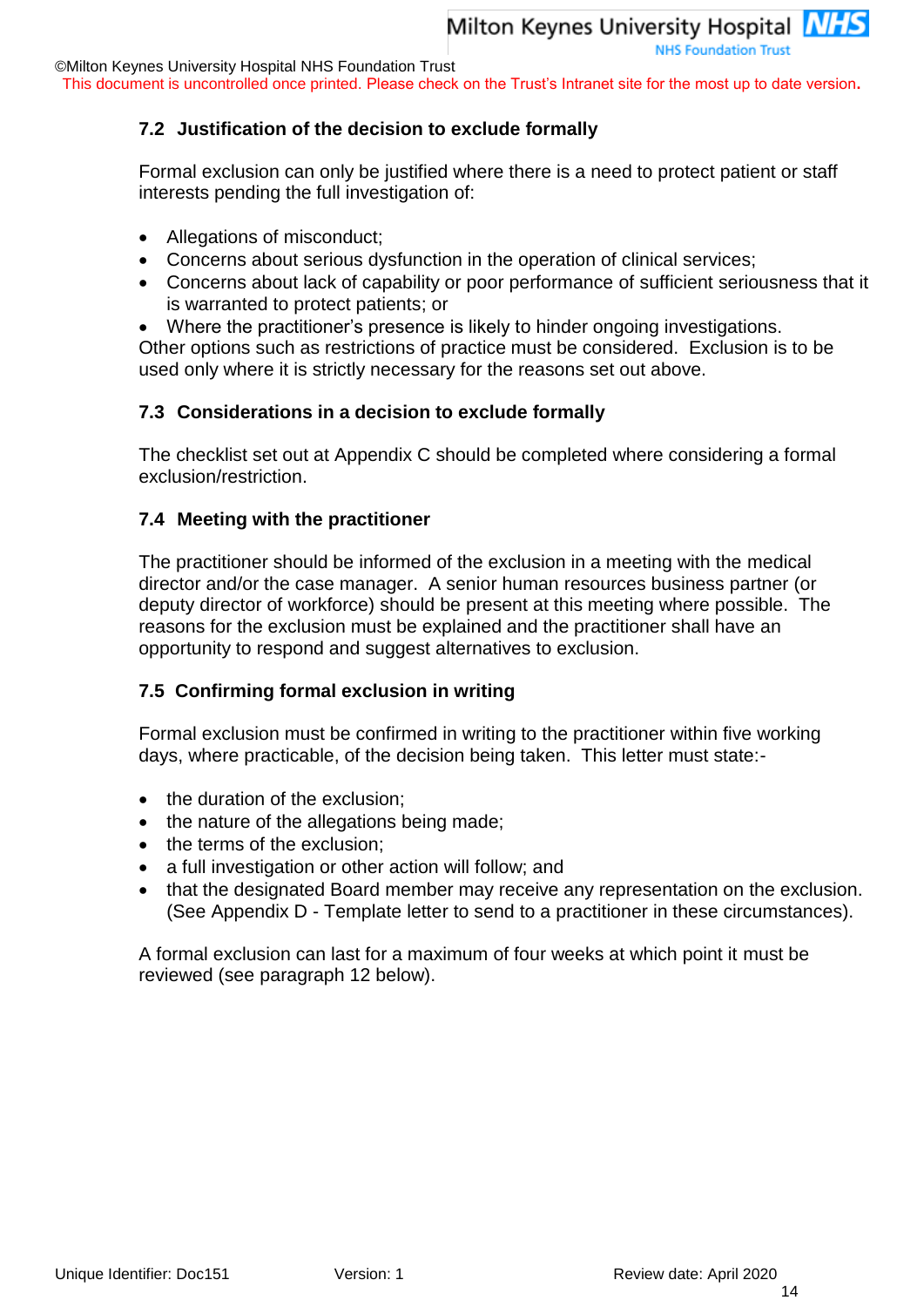This document is uncontrolled once printed. Please check on the Trust's Intranet site for the most up to date version**.**

#### **7.2 Justification of the decision to exclude formally**

Formal exclusion can only be justified where there is a need to protect patient or staff interests pending the full investigation of:

- Allegations of misconduct;
- Concerns about serious dysfunction in the operation of clinical services;
- Concerns about lack of capability or poor performance of sufficient seriousness that it is warranted to protect patients; or
- Where the practitioner's presence is likely to hinder ongoing investigations.

Other options such as restrictions of practice must be considered. Exclusion is to be used only where it is strictly necessary for the reasons set out above.

#### **7.3 Considerations in a decision to exclude formally**

The checklist set out at Appendix C should be completed where considering a formal exclusion/restriction.

#### **7.4 Meeting with the practitioner**

The practitioner should be informed of the exclusion in a meeting with the medical director and/or the case manager. A senior human resources business partner (or deputy director of workforce) should be present at this meeting where possible. The reasons for the exclusion must be explained and the practitioner shall have an opportunity to respond and suggest alternatives to exclusion.

#### **7.5 Confirming formal exclusion in writing**

Formal exclusion must be confirmed in writing to the practitioner within five working days, where practicable, of the decision being taken. This letter must state:-

- the duration of the exclusion;
- the nature of the allegations being made;
- the terms of the exclusion;
- a full investigation or other action will follow; and
- that the designated Board member may receive any representation on the exclusion. (See Appendix D - Template letter to send to a practitioner in these circumstances).

A formal exclusion can last for a maximum of four weeks at which point it must be reviewed (see paragraph 12 below).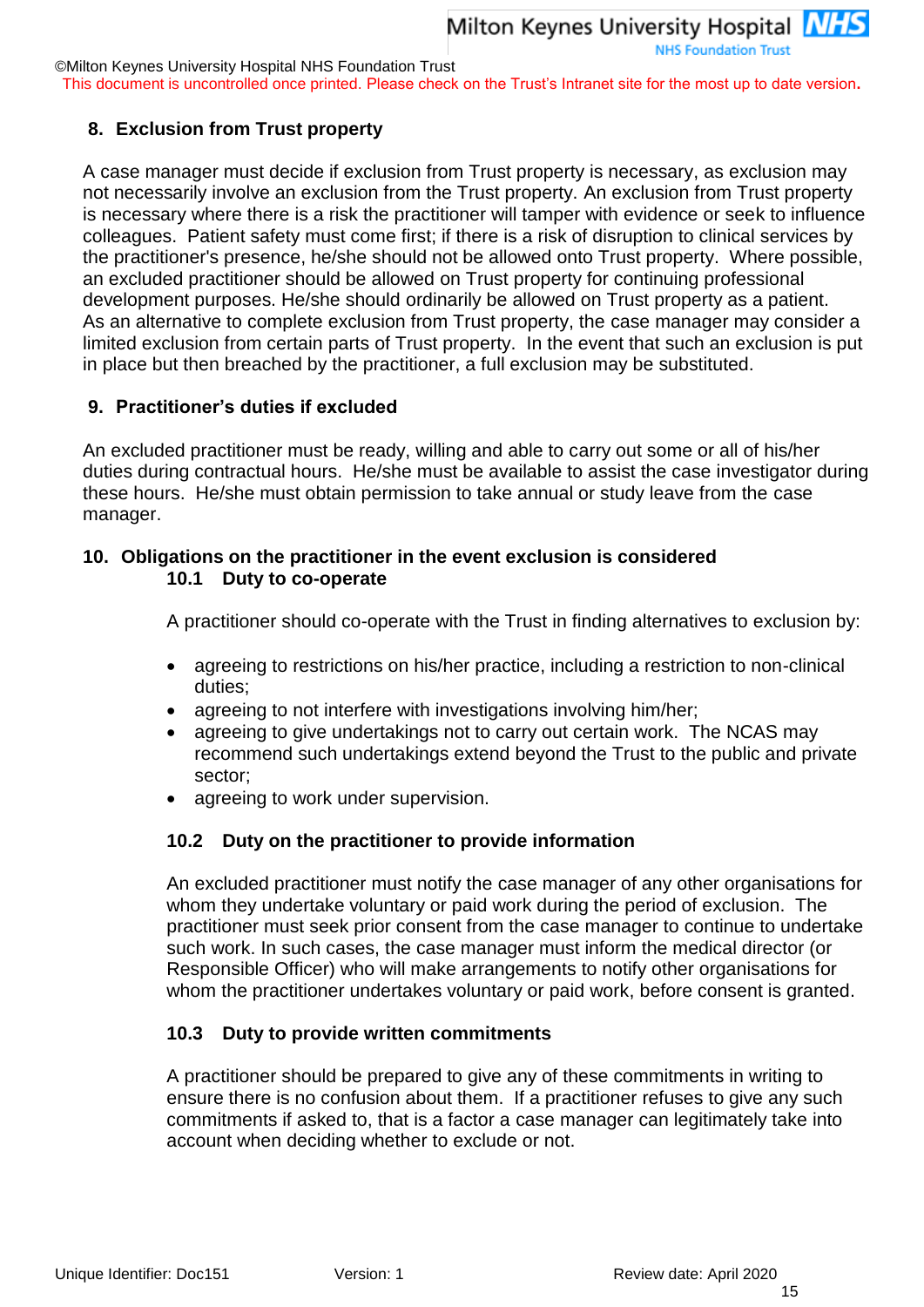This document is uncontrolled once printed. Please check on the Trust's Intranet site for the most up to date version**.**

#### **8. Exclusion from Trust property**

A case manager must decide if exclusion from Trust property is necessary, as exclusion may not necessarily involve an exclusion from the Trust property. An exclusion from Trust property is necessary where there is a risk the practitioner will tamper with evidence or seek to influence colleagues. Patient safety must come first; if there is a risk of disruption to clinical services by the practitioner's presence, he/she should not be allowed onto Trust property. Where possible, an excluded practitioner should be allowed on Trust property for continuing professional development purposes. He/she should ordinarily be allowed on Trust property as a patient. As an alternative to complete exclusion from Trust property, the case manager may consider a limited exclusion from certain parts of Trust property. In the event that such an exclusion is put in place but then breached by the practitioner, a full exclusion may be substituted.

#### **9. Practitioner's duties if excluded**

An excluded practitioner must be ready, willing and able to carry out some or all of his/her duties during contractual hours. He/she must be available to assist the case investigator during these hours. He/she must obtain permission to take annual or study leave from the case manager.

#### <span id="page-14-0"></span>**10. Obligations on the practitioner in the event exclusion is considered 10.1 Duty to co-operate**

A practitioner should co-operate with the Trust in finding alternatives to exclusion by:

- agreeing to restrictions on his/her practice, including a restriction to non-clinical duties;
- agreeing to not interfere with investigations involving him/her;
- agreeing to give undertakings not to carry out certain work. The NCAS may recommend such undertakings extend beyond the Trust to the public and private sector;
- agreeing to work under supervision.

#### **10.2 Duty on the practitioner to provide information**

An excluded practitioner must notify the case manager of any other organisations for whom they undertake voluntary or paid work during the period of exclusion. The practitioner must seek prior consent from the case manager to continue to undertake such work. In such cases, the case manager must inform the medical director (or Responsible Officer) who will make arrangements to notify other organisations for whom the practitioner undertakes voluntary or paid work, before consent is granted.

#### **10.3 Duty to provide written commitments**

A practitioner should be prepared to give any of these commitments in writing to ensure there is no confusion about them. If a practitioner refuses to give any such commitments if asked to, that is a factor a case manager can legitimately take into account when deciding whether to exclude or not.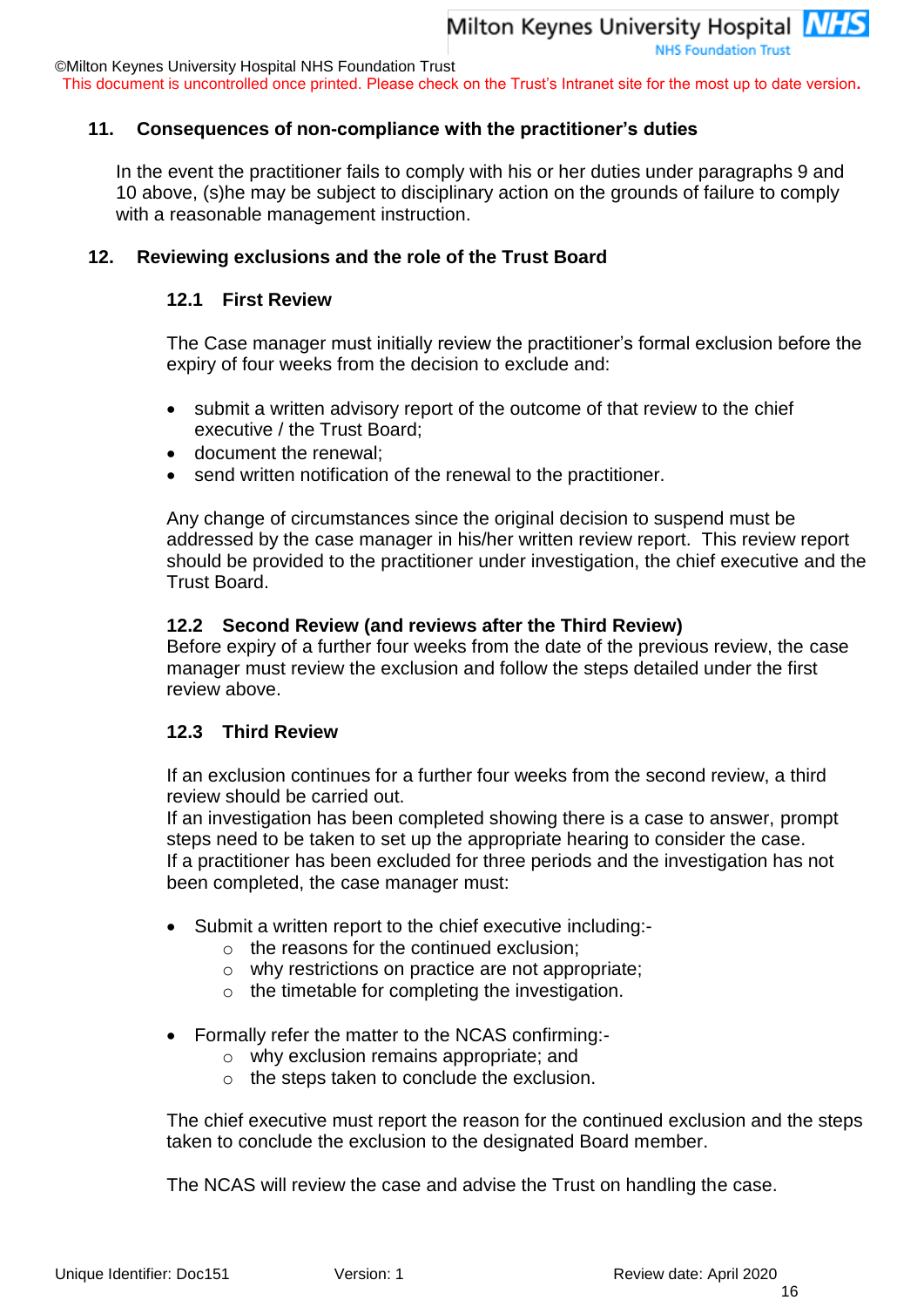©Milton Keynes University Hospital NHS Foundation Trust

This document is uncontrolled once printed. Please check on the Trust's Intranet site for the most up to date version**.**

#### **11. Consequences of non-compliance with the practitioner's duties**

In the event the practitioner fails to comply with his or her duties under paragraphs 9 and 10 above, (s)he may be subject to disciplinary action on the grounds of failure to comply with a reasonable management instruction.

#### **12. Reviewing exclusions and the role of the Trust Board**

#### **12.1 First Review**

The Case manager must initially review the practitioner's formal exclusion before the expiry of four weeks from the decision to exclude and:

- submit a written advisory report of the outcome of that review to the chief executive / the Trust Board;
- document the renewal;
- send written notification of the renewal to the practitioner.

Any change of circumstances since the original decision to suspend must be addressed by the case manager in his/her written review report. This review report should be provided to the practitioner under investigation, the chief executive and the Trust Board.

#### **12.2 Second Review (and reviews after the Third Review)**

Before expiry of a further four weeks from the date of the previous review, the case manager must review the exclusion and follow the steps detailed under the first review above.

#### **12.3 Third Review**

If an exclusion continues for a further four weeks from the second review, a third review should be carried out.

If an investigation has been completed showing there is a case to answer, prompt steps need to be taken to set up the appropriate hearing to consider the case. If a practitioner has been excluded for three periods and the investigation has not been completed, the case manager must:

- Submit a written report to the chief executive including:
	- o the reasons for the continued exclusion;
	- o why restrictions on practice are not appropriate;
	- o the timetable for completing the investigation.
- Formally refer the matter to the NCAS confirming:
	- o why exclusion remains appropriate; and
	- o the steps taken to conclude the exclusion.

The chief executive must report the reason for the continued exclusion and the steps taken to conclude the exclusion to the designated Board member.

The NCAS will review the case and advise the Trust on handling the case.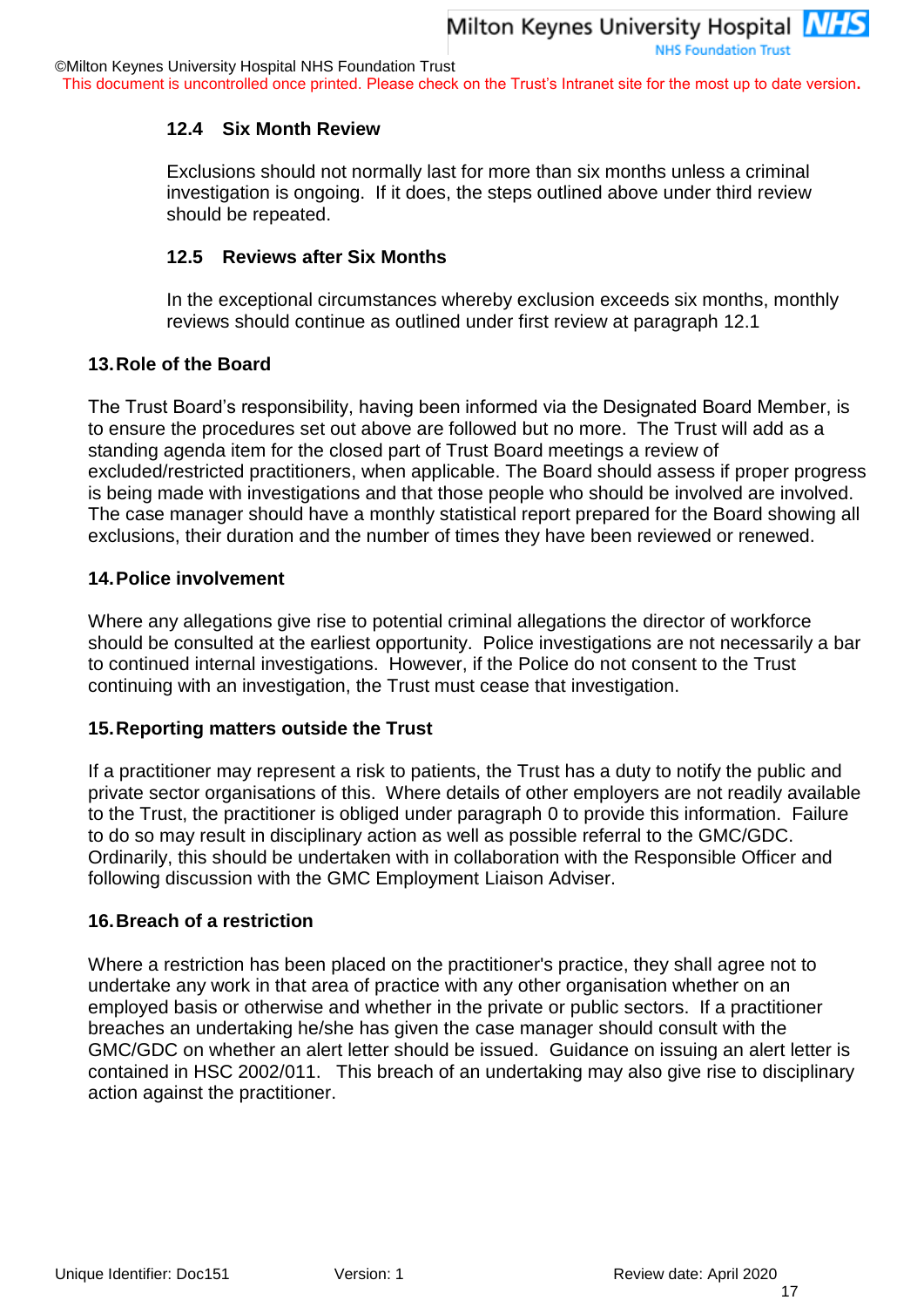This document is uncontrolled once printed. Please check on the Trust's Intranet site for the most up to date version**.**

#### **12.4 Six Month Review**

Exclusions should not normally last for more than six months unless a criminal investigation is ongoing. If it does, the steps outlined above under third review should be repeated.

#### **12.5 Reviews after Six Months**

In the exceptional circumstances whereby exclusion exceeds six months, monthly reviews should continue as outlined under first review at paragraph 12.1

#### **13.Role of the Board**

The Trust Board's responsibility, having been informed via the Designated Board Member, is to ensure the procedures set out above are followed but no more. The Trust will add as a standing agenda item for the closed part of Trust Board meetings a review of excluded/restricted practitioners, when applicable. The Board should assess if proper progress is being made with investigations and that those people who should be involved are involved. The case manager should have a monthly statistical report prepared for the Board showing all exclusions, their duration and the number of times they have been reviewed or renewed.

#### **14.Police involvement**

Where any allegations give rise to potential criminal allegations the director of workforce should be consulted at the earliest opportunity. Police investigations are not necessarily a bar to continued internal investigations. However, if the Police do not consent to the Trust continuing with an investigation, the Trust must cease that investigation.

#### **15.Reporting matters outside the Trust**

If a practitioner may represent a risk to patients, the Trust has a duty to notify the public and private sector organisations of this. Where details of other employers are not readily available to the Trust, the practitioner is obliged under paragraph [0](#page-14-0) to provide this information. Failure to do so may result in disciplinary action as well as possible referral to the GMC/GDC. Ordinarily, this should be undertaken with in collaboration with the Responsible Officer and following discussion with the GMC Employment Liaison Adviser.

#### **16.Breach of a restriction**

Where a restriction has been placed on the practitioner's practice, they shall agree not to undertake any work in that area of practice with any other organisation whether on an employed basis or otherwise and whether in the private or public sectors. If a practitioner breaches an undertaking he/she has given the case manager should consult with the GMC/GDC on whether an alert letter should be issued. Guidance on issuing an alert letter is contained in HSC 2002/011. This breach of an undertaking may also give rise to disciplinary action against the practitioner.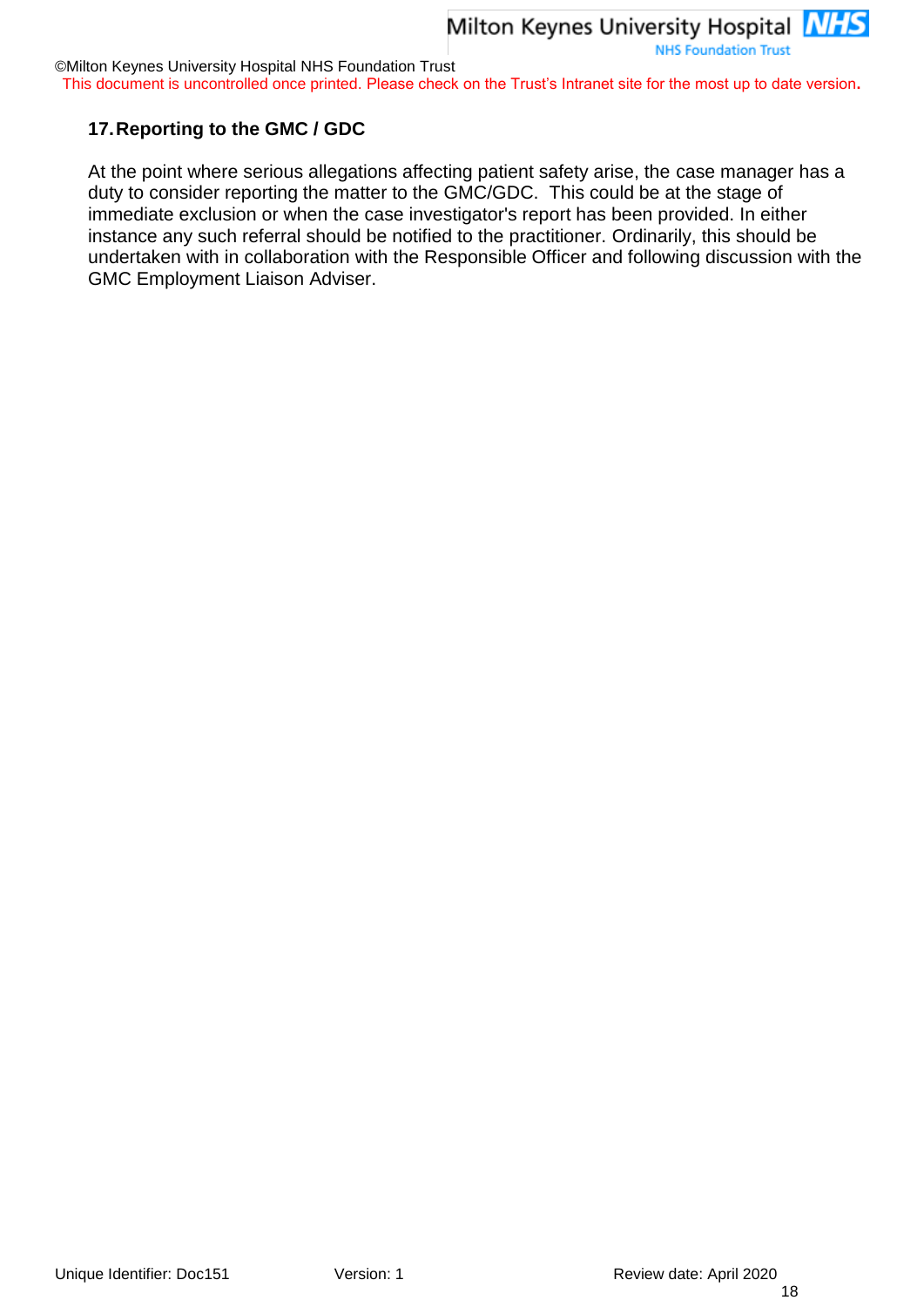©Milton Keynes University Hospital NHS Foundation Trust

This document is uncontrolled once printed. Please check on the Trust's Intranet site for the most up to date version**.**

#### **17.Reporting to the GMC / GDC**

At the point where serious allegations affecting patient safety arise, the case manager has a duty to consider reporting the matter to the GMC/GDC. This could be at the stage of immediate exclusion or when the case investigator's report has been provided. In either instance any such referral should be notified to the practitioner. Ordinarily, this should be undertaken with in collaboration with the Responsible Officer and following discussion with the GMC Employment Liaison Adviser.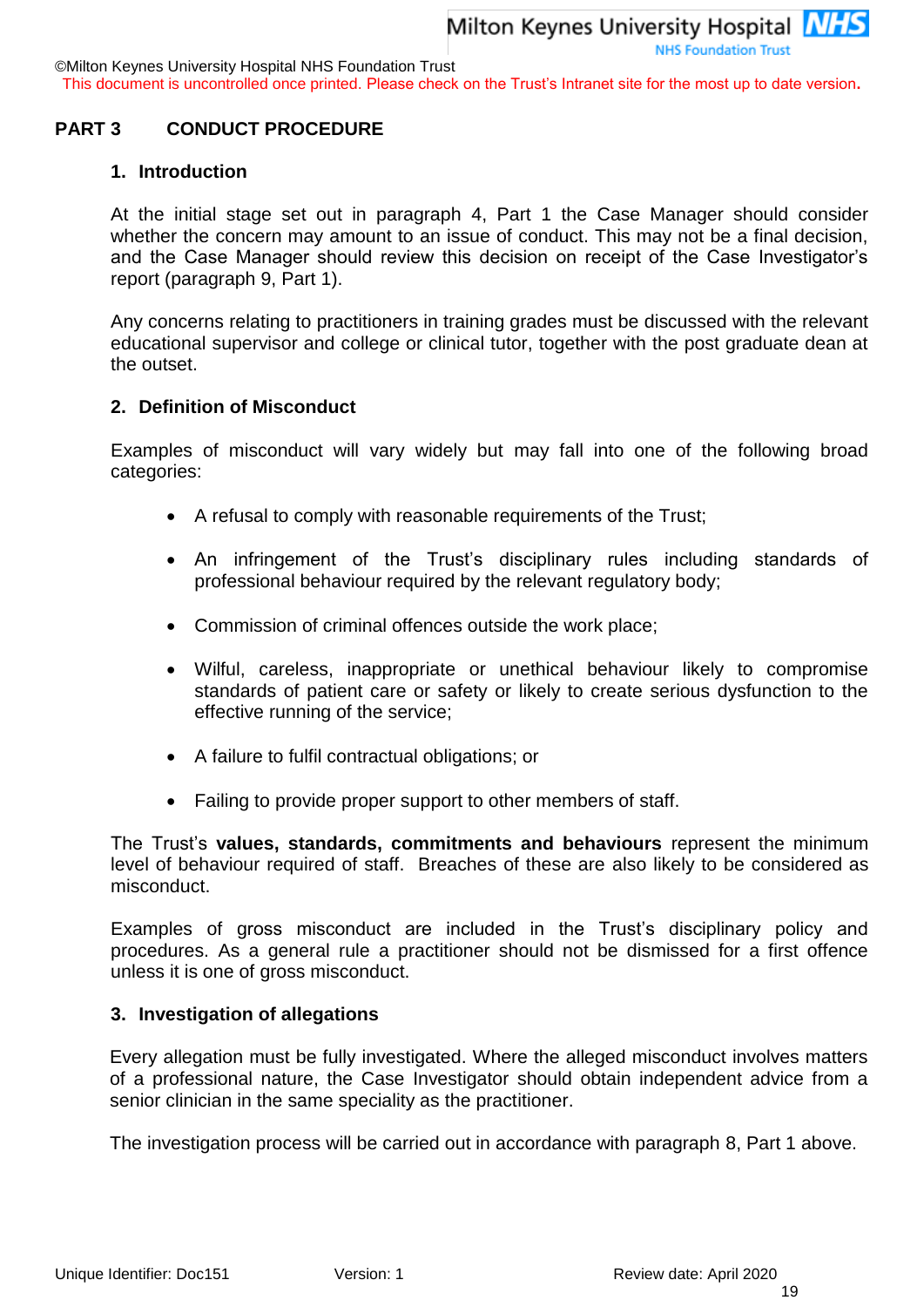©Milton Keynes University Hospital NHS Foundation Trust

This document is uncontrolled once printed. Please check on the Trust's Intranet site for the most up to date version**.**

#### <span id="page-18-0"></span>**PART 3 CONDUCT PROCEDURE**

#### **1. Introduction**

At the initial stage set out in paragraph 4, Part 1 the Case Manager should consider whether the concern may amount to an issue of conduct. This may not be a final decision, and the Case Manager should review this decision on receipt of the Case Investigator's report (paragraph 9, Part 1).

Any concerns relating to practitioners in training grades must be discussed with the relevant educational supervisor and college or clinical tutor, together with the post graduate dean at the outset.

#### **2. Definition of Misconduct**

Examples of misconduct will vary widely but may fall into one of the following broad categories:

- A refusal to comply with reasonable requirements of the Trust;
- An infringement of the Trust's disciplinary rules including standards of professional behaviour required by the relevant regulatory body;
- Commission of criminal offences outside the work place;
- Wilful, careless, inappropriate or unethical behaviour likely to compromise standards of patient care or safety or likely to create serious dysfunction to the effective running of the service;
- A failure to fulfil contractual obligations; or
- Failing to provide proper support to other members of staff.

The Trust's **values, standards, commitments and behaviours** represent the minimum level of behaviour required of staff. Breaches of these are also likely to be considered as misconduct.

Examples of gross misconduct are included in the Trust's disciplinary policy and procedures. As a general rule a practitioner should not be dismissed for a first offence unless it is one of gross misconduct.

#### **3. Investigation of allegations**

Every allegation must be fully investigated. Where the alleged misconduct involves matters of a professional nature, the Case Investigator should obtain independent advice from a senior clinician in the same speciality as the practitioner.

The investigation process will be carried out in accordance with paragraph 8, Part 1 above.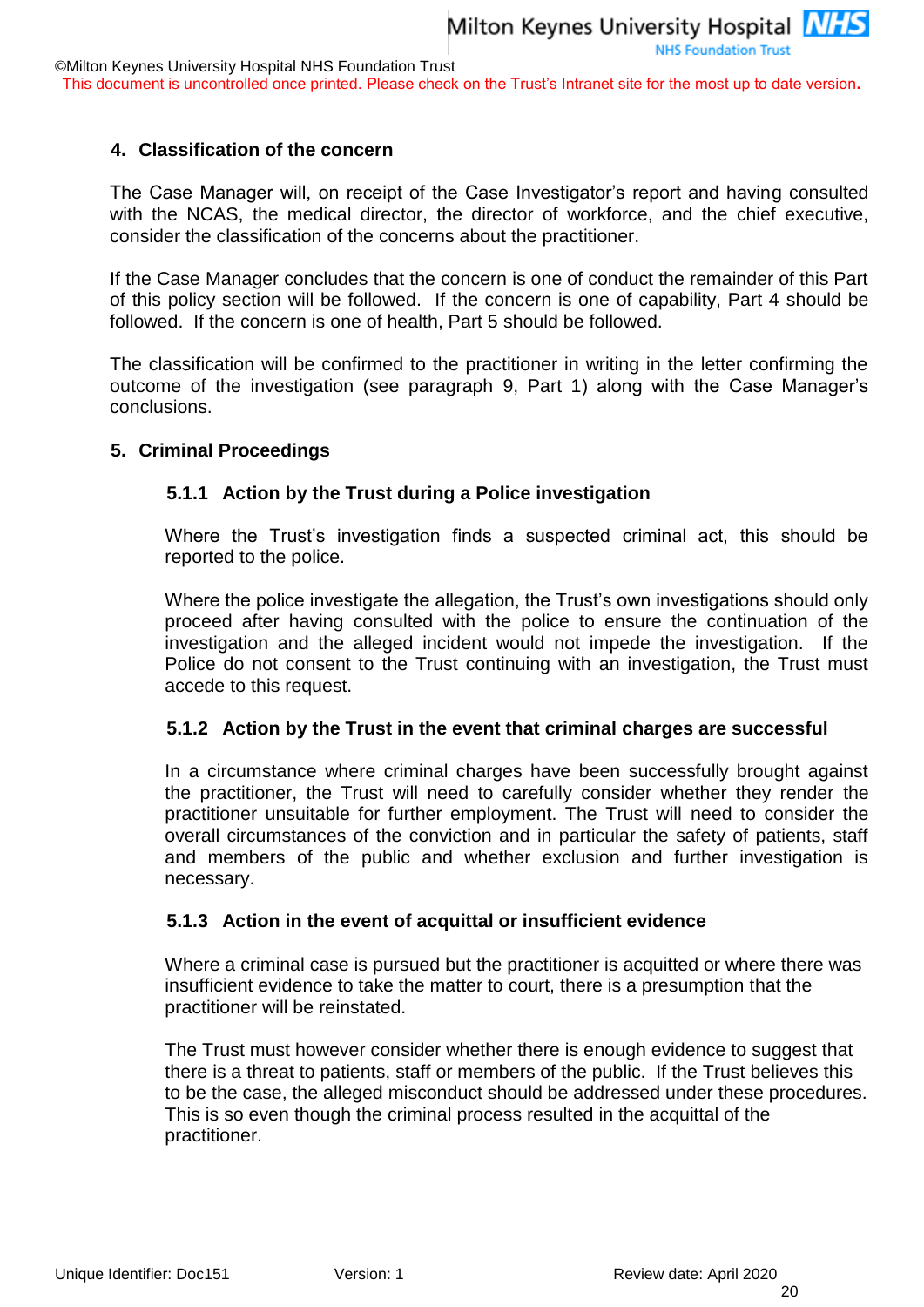This document is uncontrolled once printed. Please check on the Trust's Intranet site for the most up to date version**.**

#### **4. Classification of the concern**

The Case Manager will, on receipt of the Case Investigator's report and having consulted with the NCAS, the medical director, the director of workforce, and the chief executive, consider the classification of the concerns about the practitioner.

If the Case Manager concludes that the concern is one of conduct the remainder of this Part of this policy section will be followed. If the concern is one of capability, Part 4 should be followed. If the concern is one of health, Part 5 should be followed.

The classification will be confirmed to the practitioner in writing in the letter confirming the outcome of the investigation (see paragraph 9, Part 1) along with the Case Manager's conclusions.

#### **5. Criminal Proceedings**

#### **5.1.1 Action by the Trust during a Police investigation**

Where the Trust's investigation finds a suspected criminal act, this should be reported to the police.

Where the police investigate the allegation, the Trust's own investigations should only proceed after having consulted with the police to ensure the continuation of the investigation and the alleged incident would not impede the investigation. If the Police do not consent to the Trust continuing with an investigation, the Trust must accede to this request.

#### **5.1.2 Action by the Trust in the event that criminal charges are successful**

In a circumstance where criminal charges have been successfully brought against the practitioner, the Trust will need to carefully consider whether they render the practitioner unsuitable for further employment. The Trust will need to consider the overall circumstances of the conviction and in particular the safety of patients, staff and members of the public and whether exclusion and further investigation is necessary.

#### **5.1.3 Action in the event of acquittal or insufficient evidence**

Where a criminal case is pursued but the practitioner is acquitted or where there was insufficient evidence to take the matter to court, there is a presumption that the practitioner will be reinstated.

The Trust must however consider whether there is enough evidence to suggest that there is a threat to patients, staff or members of the public. If the Trust believes this to be the case, the alleged misconduct should be addressed under these procedures. This is so even though the criminal process resulted in the acquittal of the practitioner.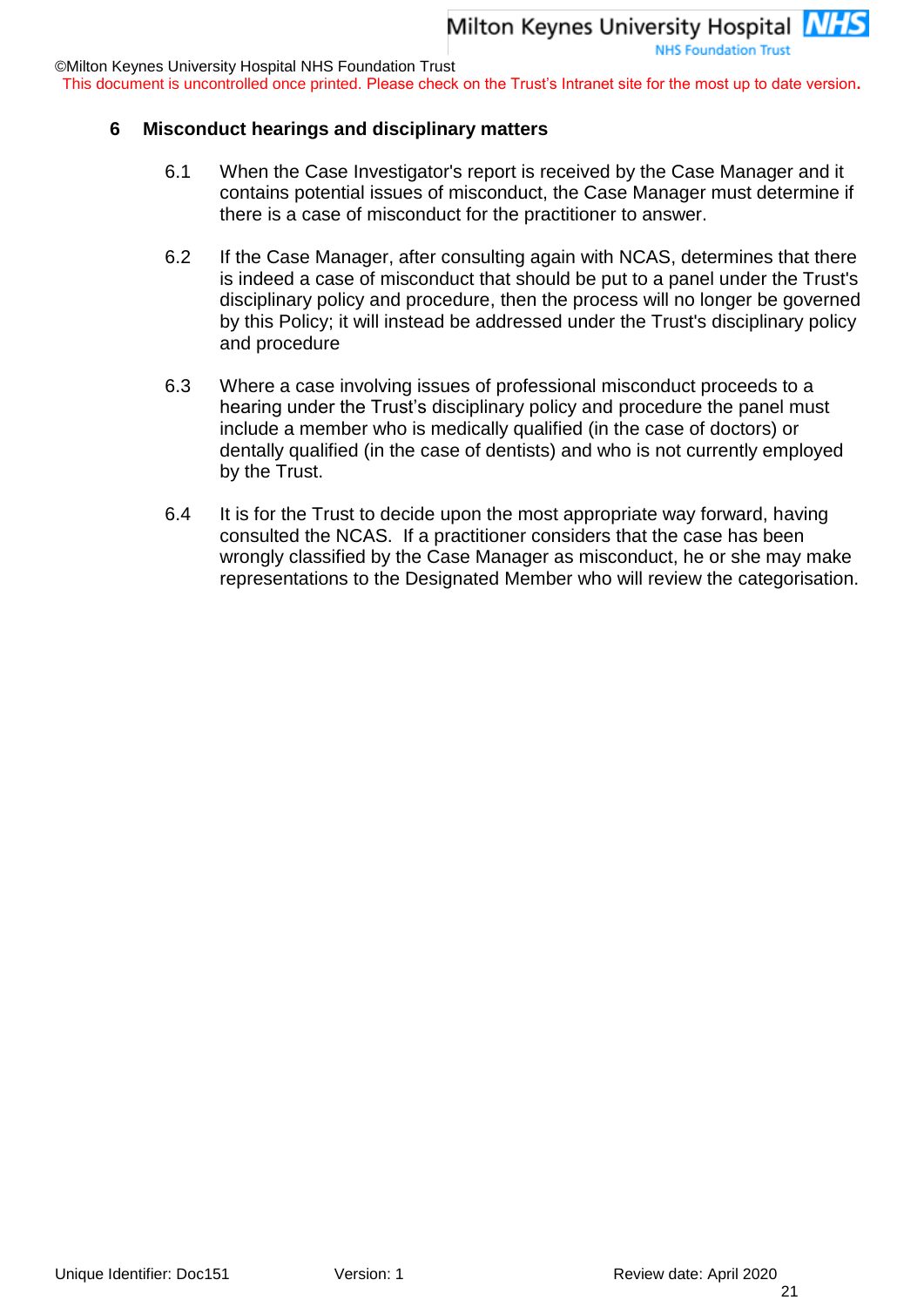This document is uncontrolled once printed. Please check on the Trust's Intranet site for the most up to date version**.**

#### **6 Misconduct hearings and disciplinary matters**

- 6.1 When the Case Investigator's report is received by the Case Manager and it contains potential issues of misconduct, the Case Manager must determine if there is a case of misconduct for the practitioner to answer.
- 6.2 If the Case Manager, after consulting again with NCAS, determines that there is indeed a case of misconduct that should be put to a panel under the Trust's disciplinary policy and procedure, then the process will no longer be governed by this Policy; it will instead be addressed under the Trust's disciplinary policy and procedure
- 6.3 Where a case involving issues of professional misconduct proceeds to a hearing under the Trust's disciplinary policy and procedure the panel must include a member who is medically qualified (in the case of doctors) or dentally qualified (in the case of dentists) and who is not currently employed by the Trust.
- 6.4 It is for the Trust to decide upon the most appropriate way forward, having consulted the NCAS. If a practitioner considers that the case has been wrongly classified by the Case Manager as misconduct, he or she may make representations to the Designated Member who will review the categorisation.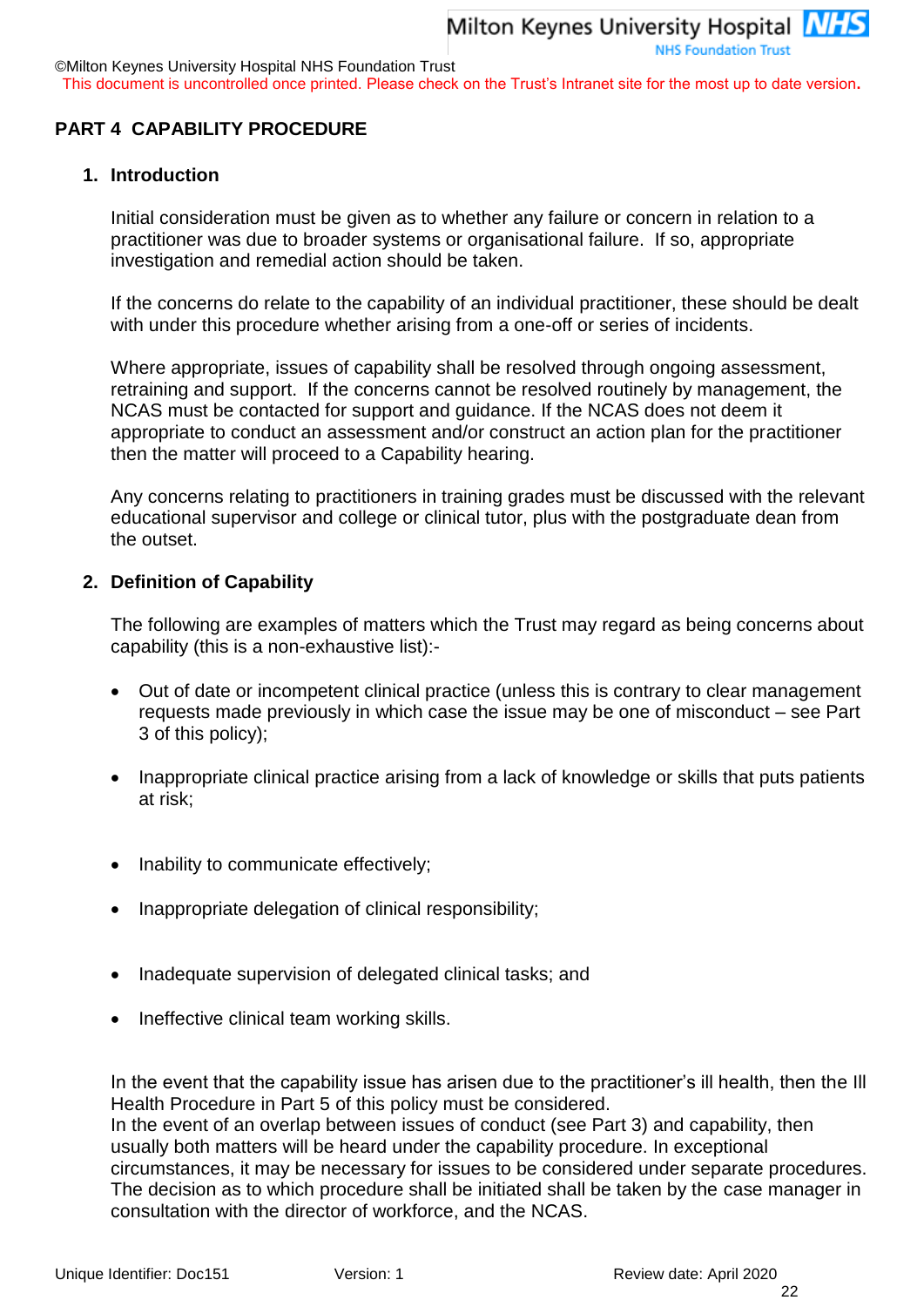©Milton Keynes University Hospital NHS Foundation Trust

This document is uncontrolled once printed. Please check on the Trust's Intranet site for the most up to date version**.**

#### <span id="page-21-0"></span>**PART 4 CAPABILITY PROCEDURE**

#### **1. Introduction**

Initial consideration must be given as to whether any failure or concern in relation to a practitioner was due to broader systems or organisational failure. If so, appropriate investigation and remedial action should be taken.

If the concerns do relate to the capability of an individual practitioner, these should be dealt with under this procedure whether arising from a one-off or series of incidents.

Where appropriate, issues of capability shall be resolved through ongoing assessment, retraining and support. If the concerns cannot be resolved routinely by management, the NCAS must be contacted for support and guidance. If the NCAS does not deem it appropriate to conduct an assessment and/or construct an action plan for the practitioner then the matter will proceed to a Capability hearing.

Any concerns relating to practitioners in training grades must be discussed with the relevant educational supervisor and college or clinical tutor, plus with the postgraduate dean from the outset.

#### **2. Definition of Capability**

The following are examples of matters which the Trust may regard as being concerns about capability (this is a non-exhaustive list):-

- Out of date or incompetent clinical practice (unless this is contrary to clear management requests made previously in which case the issue may be one of misconduct – see Part 3 of this policy);
- Inappropriate clinical practice arising from a lack of knowledge or skills that puts patients at risk;
- Inability to communicate effectively;
- Inappropriate delegation of clinical responsibility;
- Inadequate supervision of delegated clinical tasks; and
- Ineffective clinical team working skills.

In the event that the capability issue has arisen due to the practitioner's ill health, then the Ill Health Procedure in Part 5 of this policy must be considered.

In the event of an overlap between issues of conduct (see Part 3) and capability, then usually both matters will be heard under the capability procedure. In exceptional circumstances, it may be necessary for issues to be considered under separate procedures. The decision as to which procedure shall be initiated shall be taken by the case manager in consultation with the director of workforce, and the NCAS.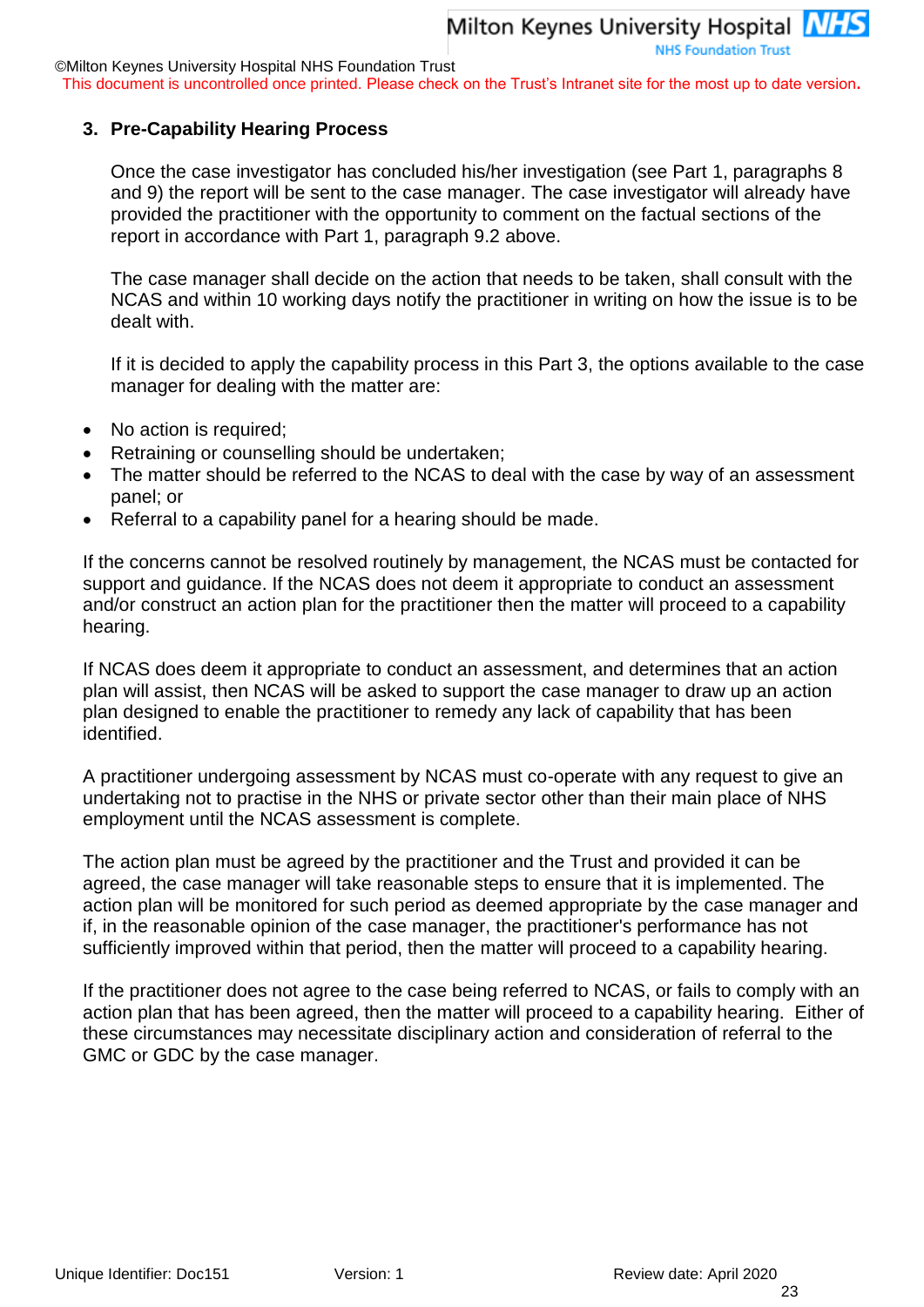This document is uncontrolled once printed. Please check on the Trust's Intranet site for the most up to date version**.**

#### **3. Pre-Capability Hearing Process**

Once the case investigator has concluded his/her investigation (see Part 1, paragraphs 8 and 9) the report will be sent to the case manager. The case investigator will already have provided the practitioner with the opportunity to comment on the factual sections of the report in accordance with Part 1, paragraph 9.2 above.

The case manager shall decide on the action that needs to be taken, shall consult with the NCAS and within 10 working days notify the practitioner in writing on how the issue is to be dealt with.

If it is decided to apply the capability process in this Part 3, the options available to the case manager for dealing with the matter are:

- No action is required;
- Retraining or counselling should be undertaken;
- The matter should be referred to the NCAS to deal with the case by way of an assessment panel; or
- Referral to a capability panel for a hearing should be made.

If the concerns cannot be resolved routinely by management, the NCAS must be contacted for support and guidance. If the NCAS does not deem it appropriate to conduct an assessment and/or construct an action plan for the practitioner then the matter will proceed to a capability hearing.

If NCAS does deem it appropriate to conduct an assessment, and determines that an action plan will assist, then NCAS will be asked to support the case manager to draw up an action plan designed to enable the practitioner to remedy any lack of capability that has been identified.

A practitioner undergoing assessment by NCAS must co-operate with any request to give an undertaking not to practise in the NHS or private sector other than their main place of NHS employment until the NCAS assessment is complete.

The action plan must be agreed by the practitioner and the Trust and provided it can be agreed, the case manager will take reasonable steps to ensure that it is implemented. The action plan will be monitored for such period as deemed appropriate by the case manager and if, in the reasonable opinion of the case manager, the practitioner's performance has not sufficiently improved within that period, then the matter will proceed to a capability hearing.

If the practitioner does not agree to the case being referred to NCAS, or fails to comply with an action plan that has been agreed, then the matter will proceed to a capability hearing. Either of these circumstances may necessitate disciplinary action and consideration of referral to the GMC or GDC by the case manager.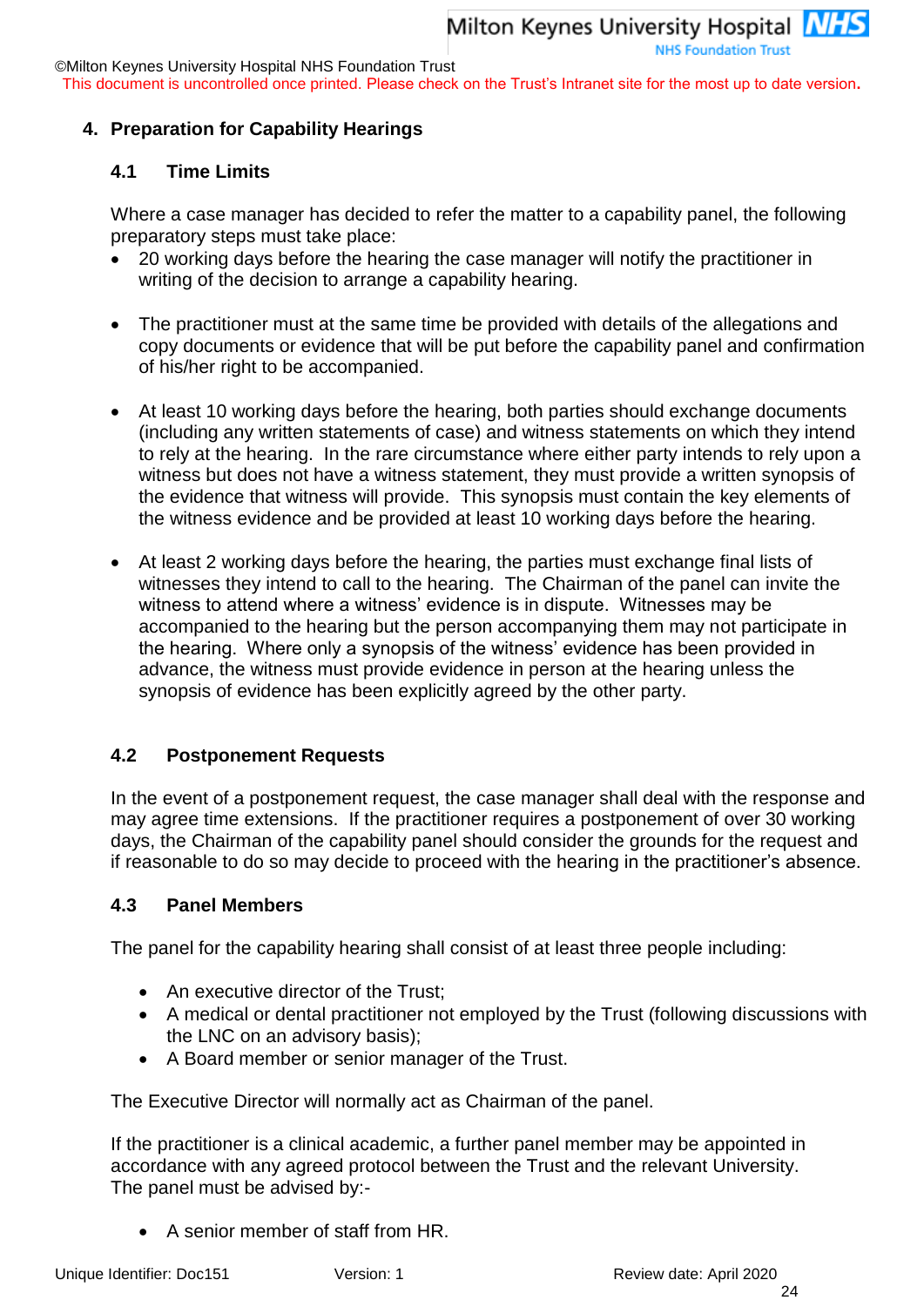This document is uncontrolled once printed. Please check on the Trust's Intranet site for the most up to date version**.**

#### **4. Preparation for Capability Hearings**

#### **4.1 Time Limits**

Where a case manager has decided to refer the matter to a capability panel, the following preparatory steps must take place:

- 20 working days before the hearing the case manager will notify the practitioner in writing of the decision to arrange a capability hearing.
- The practitioner must at the same time be provided with details of the allegations and copy documents or evidence that will be put before the capability panel and confirmation of his/her right to be accompanied.
- At least 10 working days before the hearing, both parties should exchange documents (including any written statements of case) and witness statements on which they intend to rely at the hearing. In the rare circumstance where either party intends to rely upon a witness but does not have a witness statement, they must provide a written synopsis of the evidence that witness will provide. This synopsis must contain the key elements of the witness evidence and be provided at least 10 working days before the hearing.
- At least 2 working days before the hearing, the parties must exchange final lists of witnesses they intend to call to the hearing. The Chairman of the panel can invite the witness to attend where a witness' evidence is in dispute. Witnesses may be accompanied to the hearing but the person accompanying them may not participate in the hearing. Where only a synopsis of the witness' evidence has been provided in advance, the witness must provide evidence in person at the hearing unless the synopsis of evidence has been explicitly agreed by the other party.

#### **4.2 Postponement Requests**

In the event of a postponement request, the case manager shall deal with the response and may agree time extensions. If the practitioner requires a postponement of over 30 working days, the Chairman of the capability panel should consider the grounds for the request and if reasonable to do so may decide to proceed with the hearing in the practitioner's absence.

#### **4.3 Panel Members**

The panel for the capability hearing shall consist of at least three people including:

- An executive director of the Trust;
- A medical or dental practitioner not employed by the Trust (following discussions with the LNC on an advisory basis);
- A Board member or senior manager of the Trust.

The Executive Director will normally act as Chairman of the panel.

If the practitioner is a clinical academic, a further panel member may be appointed in accordance with any agreed protocol between the Trust and the relevant University. The panel must be advised by:-

A senior member of staff from HR.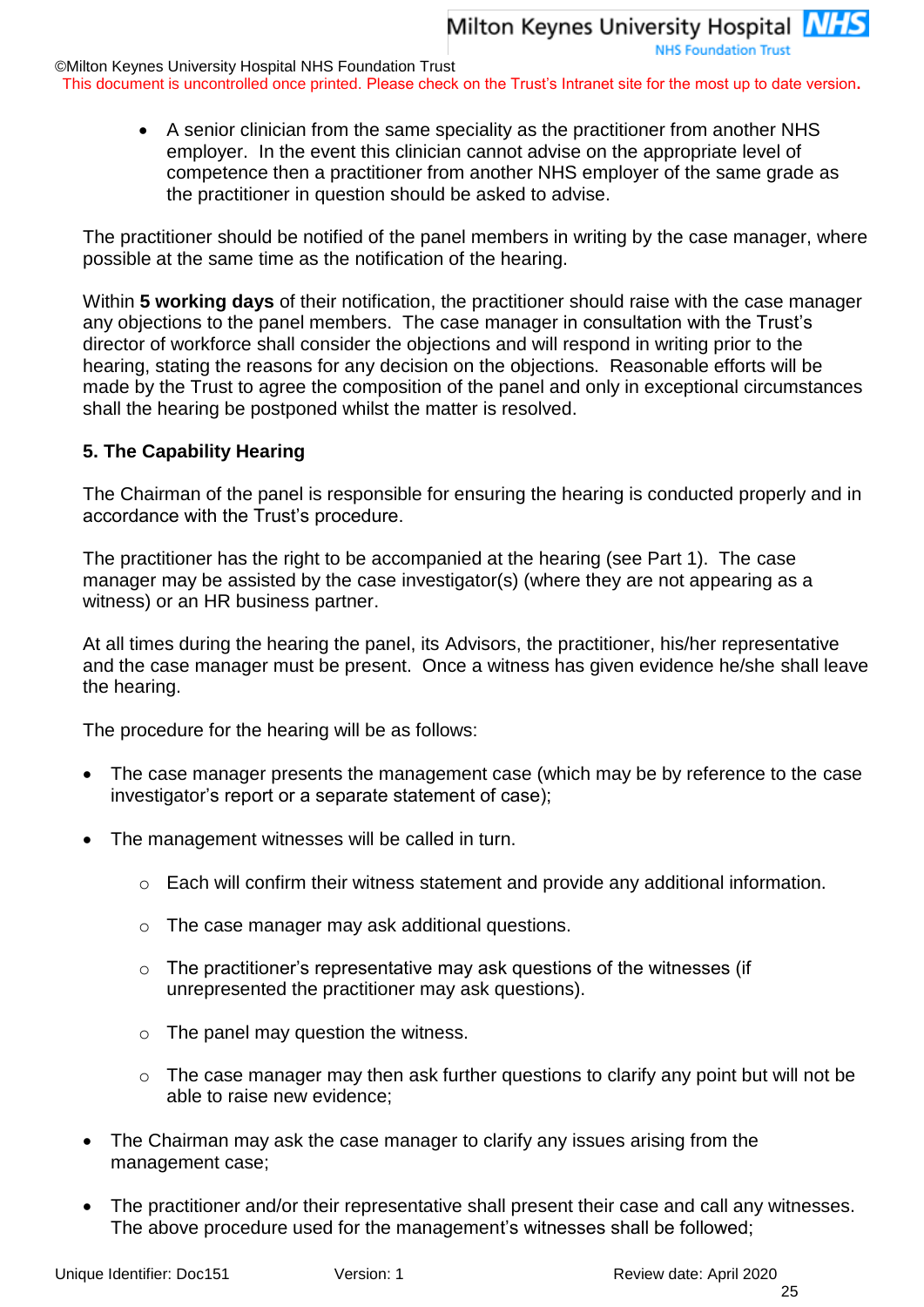**NHS Foundation Trust** 

©Milton Keynes University Hospital NHS Foundation Trust

This document is uncontrolled once printed. Please check on the Trust's Intranet site for the most up to date version**.**

 A senior clinician from the same speciality as the practitioner from another NHS employer. In the event this clinician cannot advise on the appropriate level of competence then a practitioner from another NHS employer of the same grade as the practitioner in question should be asked to advise.

The practitioner should be notified of the panel members in writing by the case manager, where possible at the same time as the notification of the hearing.

Within **5 working days** of their notification, the practitioner should raise with the case manager any objections to the panel members. The case manager in consultation with the Trust's director of workforce shall consider the objections and will respond in writing prior to the hearing, stating the reasons for any decision on the objections. Reasonable efforts will be made by the Trust to agree the composition of the panel and only in exceptional circumstances shall the hearing be postponed whilst the matter is resolved.

#### **5. The Capability Hearing**

The Chairman of the panel is responsible for ensuring the hearing is conducted properly and in accordance with the Trust's procedure.

The practitioner has the right to be accompanied at the hearing (see Part 1). The case manager may be assisted by the case investigator(s) (where they are not appearing as a witness) or an HR business partner.

At all times during the hearing the panel, its Advisors, the practitioner, his/her representative and the case manager must be present. Once a witness has given evidence he/she shall leave the hearing.

The procedure for the hearing will be as follows:

- The case manager presents the management case (which may be by reference to the case investigator's report or a separate statement of case);
- The management witnesses will be called in turn.
	- $\circ$  Each will confirm their witness statement and provide any additional information.
	- o The case manager may ask additional questions.
	- $\circ$  The practitioner's representative may ask questions of the witnesses (if unrepresented the practitioner may ask questions).
	- $\circ$  The panel may question the witness.
	- o The case manager may then ask further questions to clarify any point but will not be able to raise new evidence;
- The Chairman may ask the case manager to clarify any issues arising from the management case;
- The practitioner and/or their representative shall present their case and call any witnesses. The above procedure used for the management's witnesses shall be followed;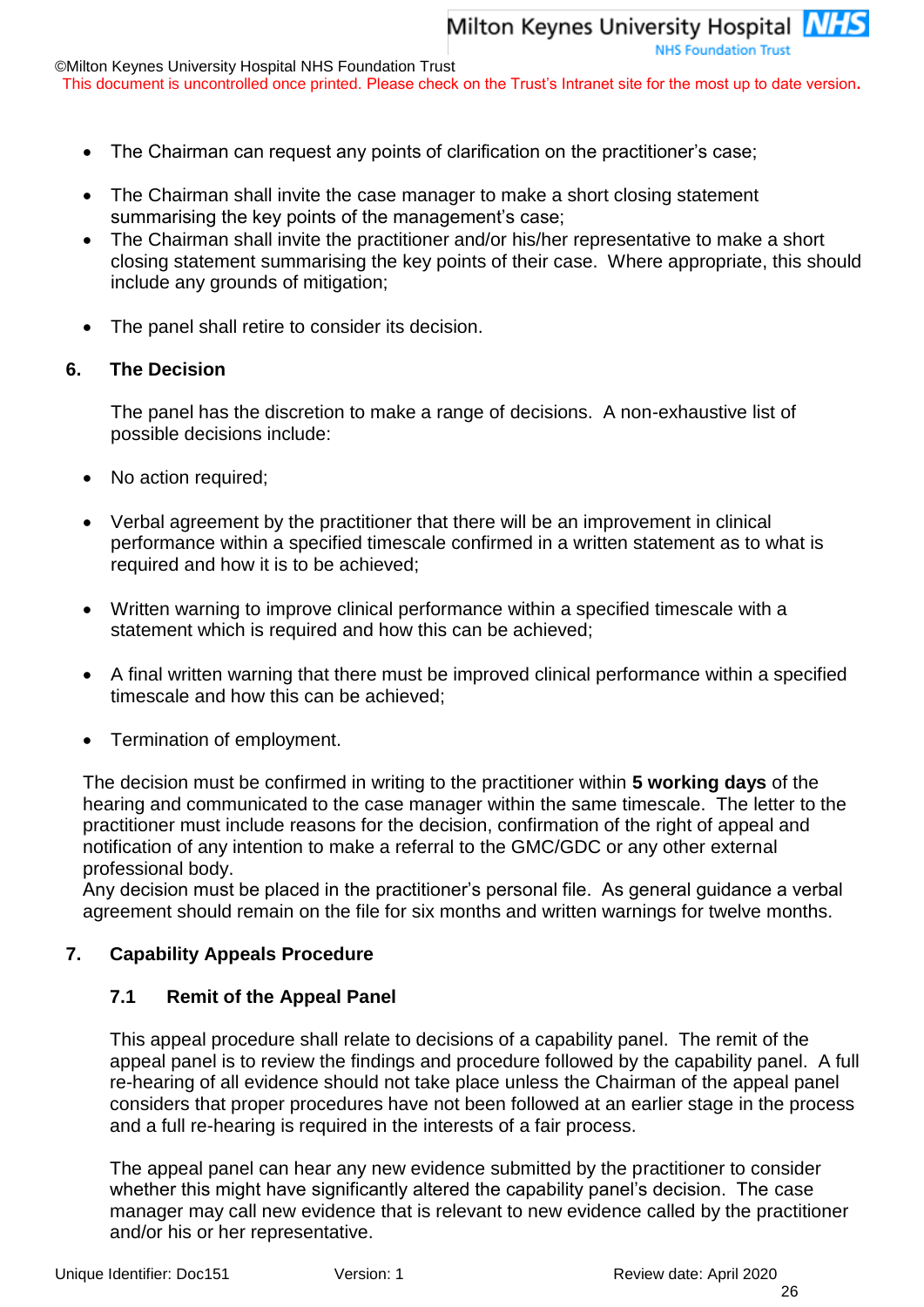©Milton Keynes University Hospital NHS Foundation Trust

This document is uncontrolled once printed. Please check on the Trust's Intranet site for the most up to date version**.**

- The Chairman can request any points of clarification on the practitioner's case;
- The Chairman shall invite the case manager to make a short closing statement summarising the key points of the management's case;
- The Chairman shall invite the practitioner and/or his/her representative to make a short closing statement summarising the key points of their case. Where appropriate, this should include any grounds of mitigation;
- The panel shall retire to consider its decision.

#### <span id="page-25-0"></span>**6. The Decision**

The panel has the discretion to make a range of decisions. A non-exhaustive list of possible decisions include:

- No action required;
- Verbal agreement by the practitioner that there will be an improvement in clinical performance within a specified timescale confirmed in a written statement as to what is required and how it is to be achieved;
- Written warning to improve clinical performance within a specified timescale with a statement which is required and how this can be achieved;
- A final written warning that there must be improved clinical performance within a specified timescale and how this can be achieved;
- Termination of employment.

The decision must be confirmed in writing to the practitioner within **5 working days** of the hearing and communicated to the case manager within the same timescale. The letter to the practitioner must include reasons for the decision, confirmation of the right of appeal and notification of any intention to make a referral to the GMC/GDC or any other external professional body.

Any decision must be placed in the practitioner's personal file. As general guidance a verbal agreement should remain on the file for six months and written warnings for twelve months.

#### **7. Capability Appeals Procedure**

#### **7.1 Remit of the Appeal Panel**

This appeal procedure shall relate to decisions of a capability panel. The remit of the appeal panel is to review the findings and procedure followed by the capability panel. A full re-hearing of all evidence should not take place unless the Chairman of the appeal panel considers that proper procedures have not been followed at an earlier stage in the process and a full re-hearing is required in the interests of a fair process.

The appeal panel can hear any new evidence submitted by the practitioner to consider whether this might have significantly altered the capability panel's decision. The case manager may call new evidence that is relevant to new evidence called by the practitioner and/or his or her representative.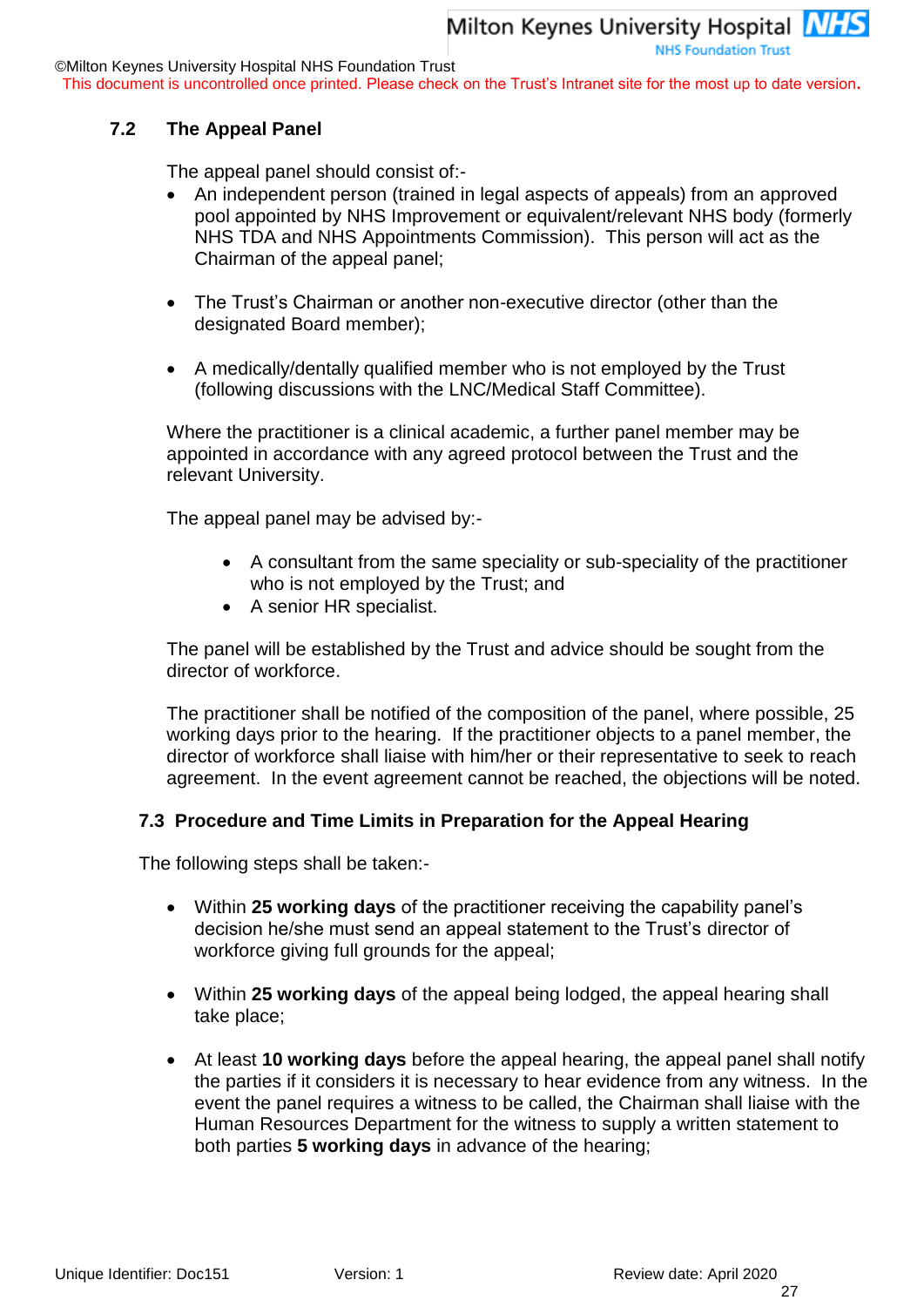This document is uncontrolled once printed. Please check on the Trust's Intranet site for the most up to date version**.**

#### **7.2 The Appeal Panel**

The appeal panel should consist of:-

- An independent person (trained in legal aspects of appeals) from an approved pool appointed by NHS Improvement or equivalent/relevant NHS body (formerly NHS TDA and NHS Appointments Commission). This person will act as the Chairman of the appeal panel;
- The Trust's Chairman or another non-executive director (other than the designated Board member);
- A medically/dentally qualified member who is not employed by the Trust (following discussions with the LNC/Medical Staff Committee).

Where the practitioner is a clinical academic, a further panel member may be appointed in accordance with any agreed protocol between the Trust and the relevant University.

The appeal panel may be advised by:-

- A consultant from the same speciality or sub-speciality of the practitioner who is not employed by the Trust; and
- A senior HR specialist.

The panel will be established by the Trust and advice should be sought from the director of workforce.

The practitioner shall be notified of the composition of the panel, where possible, 25 working days prior to the hearing. If the practitioner objects to a panel member, the director of workforce shall liaise with him/her or their representative to seek to reach agreement. In the event agreement cannot be reached, the objections will be noted.

#### **7.3 Procedure and Time Limits in Preparation for the Appeal Hearing**

The following steps shall be taken:-

- Within **25 working days** of the practitioner receiving the capability panel's decision he/she must send an appeal statement to the Trust's director of workforce giving full grounds for the appeal;
- Within **25 working days** of the appeal being lodged, the appeal hearing shall take place;
- At least **10 working days** before the appeal hearing, the appeal panel shall notify the parties if it considers it is necessary to hear evidence from any witness. In the event the panel requires a witness to be called, the Chairman shall liaise with the Human Resources Department for the witness to supply a written statement to both parties **5 working days** in advance of the hearing;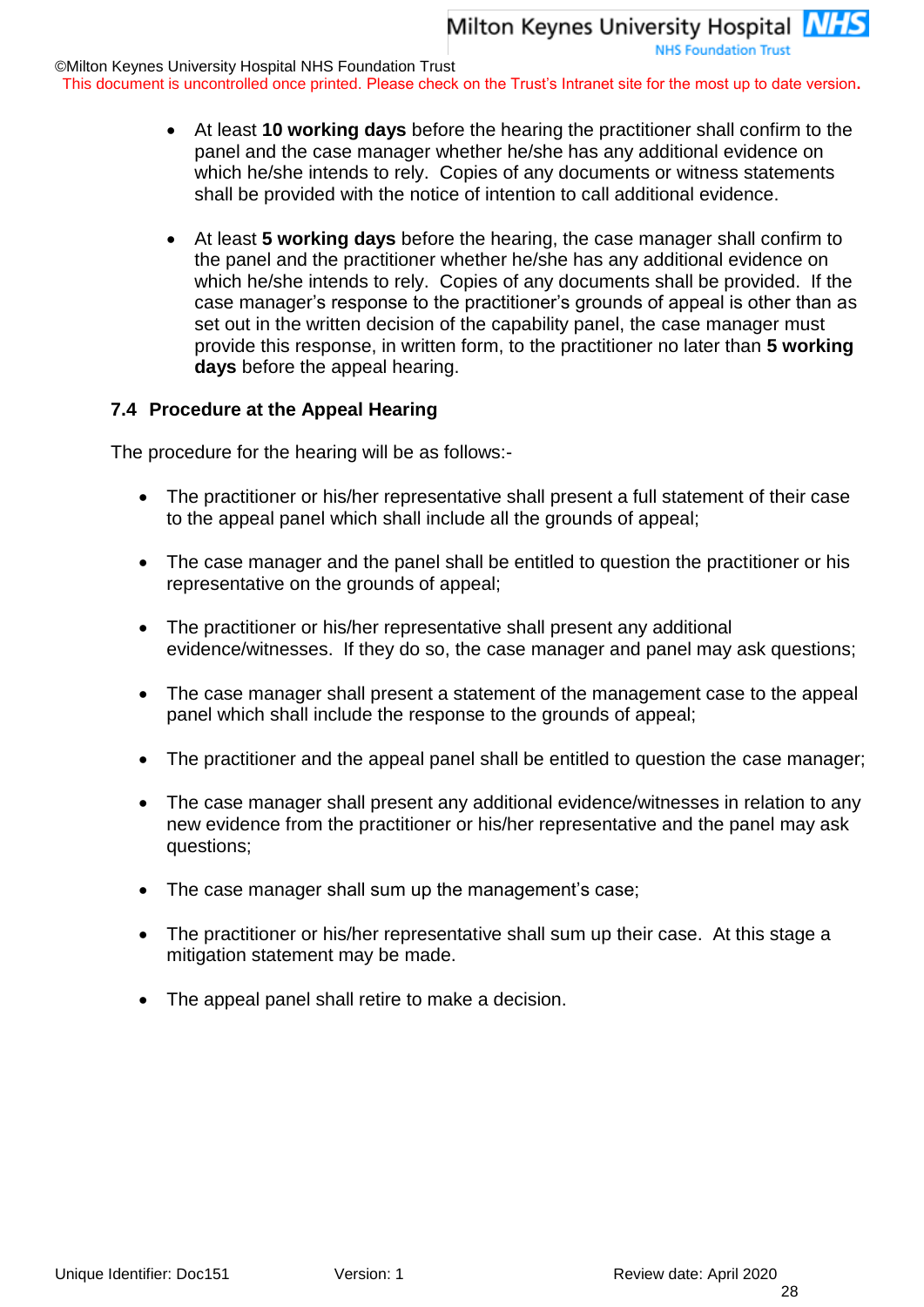**NHS Foundation Trust** 

©Milton Keynes University Hospital NHS Foundation Trust

This document is uncontrolled once printed. Please check on the Trust's Intranet site for the most up to date version**.**

- At least **10 working days** before the hearing the practitioner shall confirm to the panel and the case manager whether he/she has any additional evidence on which he/she intends to rely. Copies of any documents or witness statements shall be provided with the notice of intention to call additional evidence.
- At least **5 working days** before the hearing, the case manager shall confirm to the panel and the practitioner whether he/she has any additional evidence on which he/she intends to rely. Copies of any documents shall be provided. If the case manager's response to the practitioner's grounds of appeal is other than as set out in the written decision of the capability panel, the case manager must provide this response, in written form, to the practitioner no later than **5 working days** before the appeal hearing.

#### **7.4 Procedure at the Appeal Hearing**

The procedure for the hearing will be as follows:-

- The practitioner or his/her representative shall present a full statement of their case to the appeal panel which shall include all the grounds of appeal;
- The case manager and the panel shall be entitled to question the practitioner or his representative on the grounds of appeal;
- The practitioner or his/her representative shall present any additional evidence/witnesses. If they do so, the case manager and panel may ask questions;
- The case manager shall present a statement of the management case to the appeal panel which shall include the response to the grounds of appeal;
- The practitioner and the appeal panel shall be entitled to question the case manager;
- The case manager shall present any additional evidence/witnesses in relation to any new evidence from the practitioner or his/her representative and the panel may ask questions;
- The case manager shall sum up the management's case;
- The practitioner or his/her representative shall sum up their case. At this stage a mitigation statement may be made.
- The appeal panel shall retire to make a decision.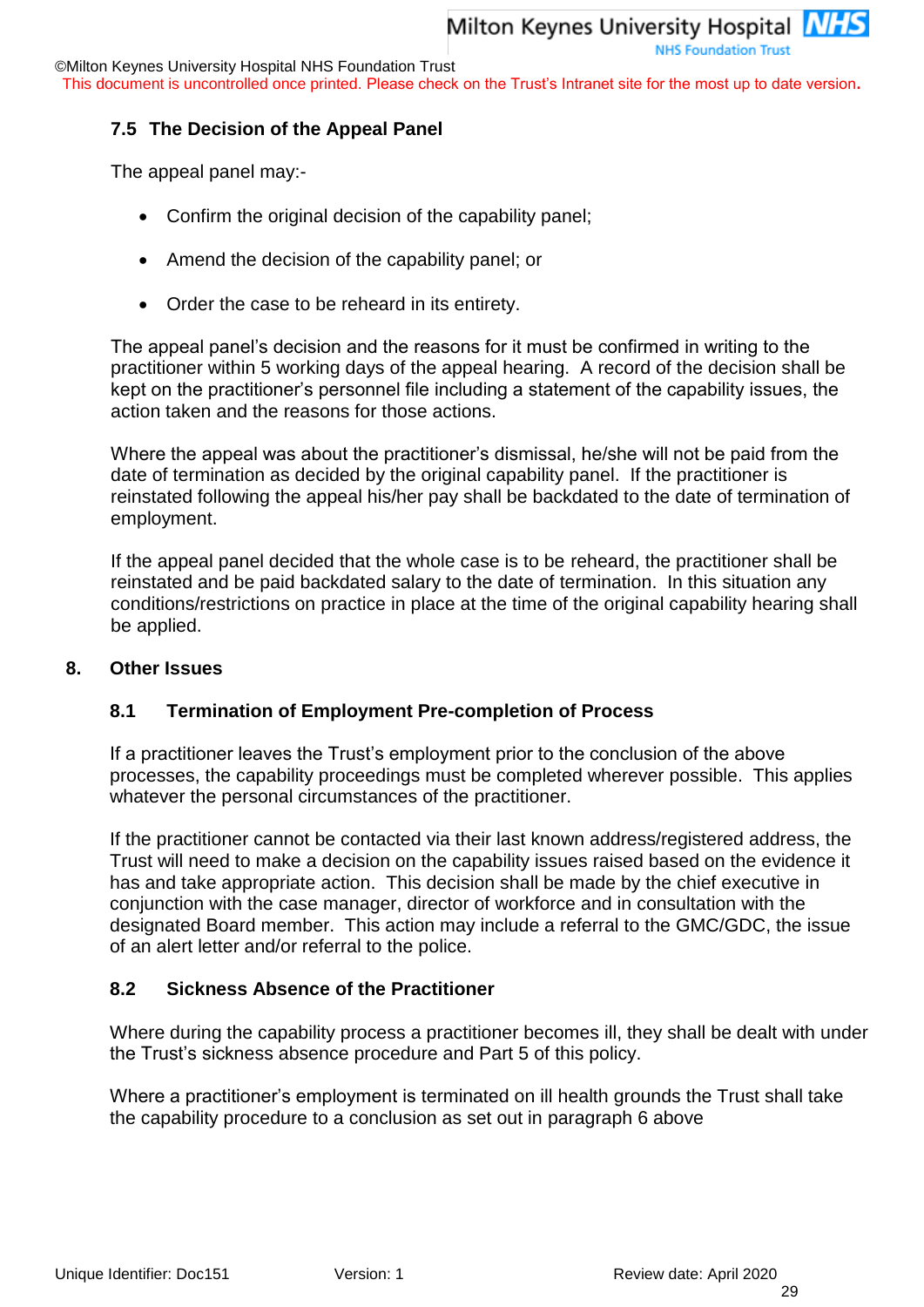This document is uncontrolled once printed. Please check on the Trust's Intranet site for the most up to date version**.**

#### **7.5 The Decision of the Appeal Panel**

The appeal panel may:-

- Confirm the original decision of the capability panel;
- Amend the decision of the capability panel; or
- Order the case to be reheard in its entirety.

The appeal panel's decision and the reasons for it must be confirmed in writing to the practitioner within 5 working days of the appeal hearing. A record of the decision shall be kept on the practitioner's personnel file including a statement of the capability issues, the action taken and the reasons for those actions.

Where the appeal was about the practitioner's dismissal, he/she will not be paid from the date of termination as decided by the original capability panel. If the practitioner is reinstated following the appeal his/her pay shall be backdated to the date of termination of employment.

If the appeal panel decided that the whole case is to be reheard, the practitioner shall be reinstated and be paid backdated salary to the date of termination. In this situation any conditions/restrictions on practice in place at the time of the original capability hearing shall be applied.

#### **8. Other Issues**

#### **8.1 Termination of Employment Pre-completion of Process**

If a practitioner leaves the Trust's employment prior to the conclusion of the above processes, the capability proceedings must be completed wherever possible. This applies whatever the personal circumstances of the practitioner.

If the practitioner cannot be contacted via their last known address/registered address, the Trust will need to make a decision on the capability issues raised based on the evidence it has and take appropriate action. This decision shall be made by the chief executive in conjunction with the case manager, director of workforce and in consultation with the designated Board member. This action may include a referral to the GMC/GDC, the issue of an alert letter and/or referral to the police.

#### **8.2 Sickness Absence of the Practitioner**

Where during the capability process a practitioner becomes ill, they shall be dealt with under the Trust's sickness absence procedure and Part 5 of this policy.

Where a practitioner's employment is terminated on ill health grounds the Trust shall take the capability procedure to a conclusion as set out in paragraph [6](#page-25-0) above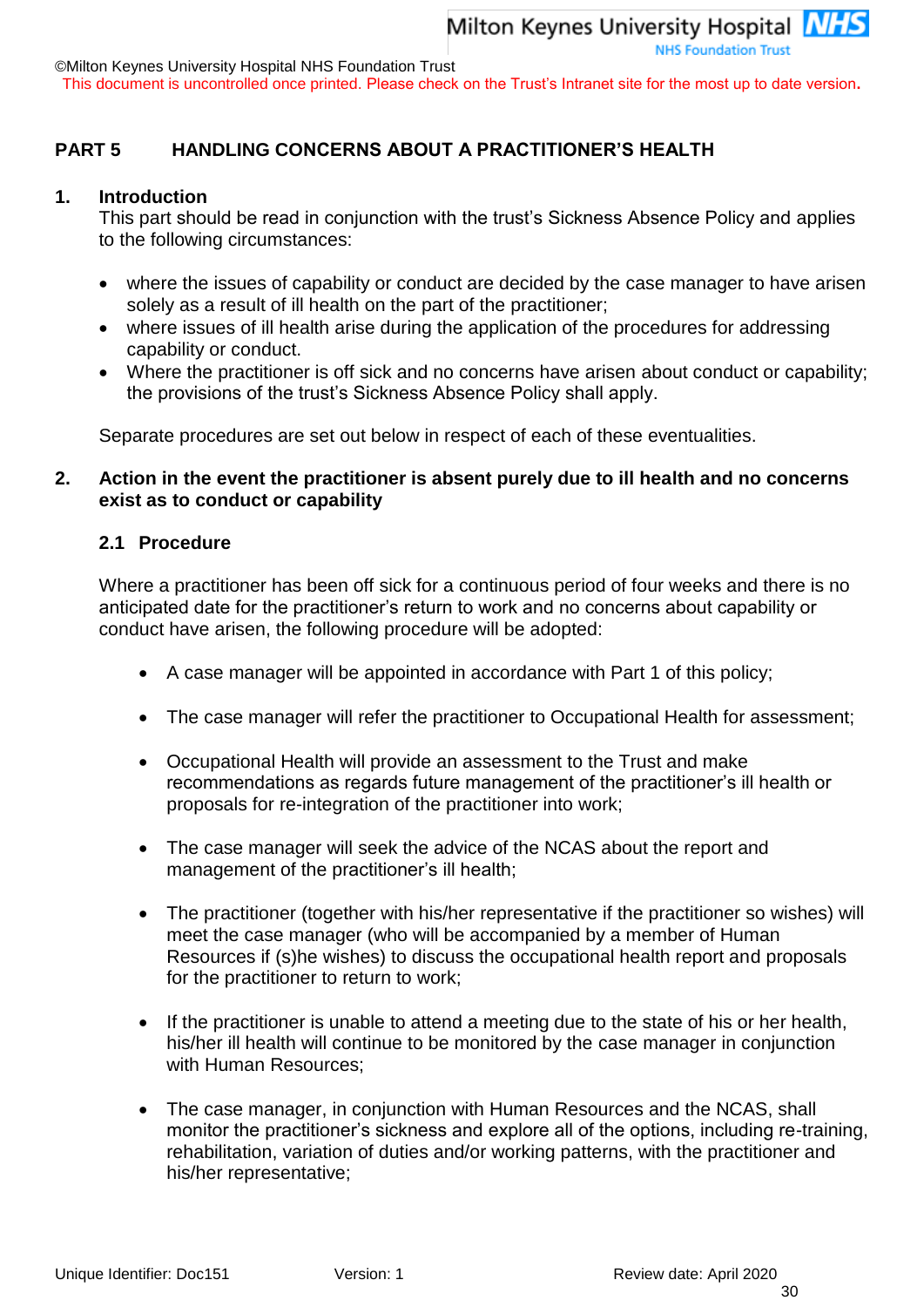This document is uncontrolled once printed. Please check on the Trust's Intranet site for the most up to date version**.**

#### <span id="page-29-0"></span>**PART 5 HANDLING CONCERNS ABOUT A PRACTITIONER'S HEALTH**

#### **1. Introduction**

This part should be read in conjunction with the trust's Sickness Absence Policy and applies to the following circumstances:

- where the issues of capability or conduct are decided by the case manager to have arisen solely as a result of ill health on the part of the practitioner;
- where issues of ill health arise during the application of the procedures for addressing capability or conduct.
- Where the practitioner is off sick and no concerns have arisen about conduct or capability; the provisions of the trust's Sickness Absence Policy shall apply.

Separate procedures are set out below in respect of each of these eventualities.

#### **2. Action in the event the practitioner is absent purely due to ill health and no concerns exist as to conduct or capability**

#### **2.1 Procedure**

Where a practitioner has been off sick for a continuous period of four weeks and there is no anticipated date for the practitioner's return to work and no concerns about capability or conduct have arisen, the following procedure will be adopted:

- A case manager will be appointed in accordance with Part 1 of this policy;
- The case manager will refer the practitioner to Occupational Health for assessment;
- Occupational Health will provide an assessment to the Trust and make recommendations as regards future management of the practitioner's ill health or proposals for re-integration of the practitioner into work;
- The case manager will seek the advice of the NCAS about the report and management of the practitioner's ill health;
- The practitioner (together with his/her representative if the practitioner so wishes) will meet the case manager (who will be accompanied by a member of Human Resources if (s)he wishes) to discuss the occupational health report and proposals for the practitioner to return to work;
- If the practitioner is unable to attend a meeting due to the state of his or her health, his/her ill health will continue to be monitored by the case manager in conjunction with Human Resources;
- The case manager, in conjunction with Human Resources and the NCAS, shall monitor the practitioner's sickness and explore all of the options, including re-training, rehabilitation, variation of duties and/or working patterns, with the practitioner and his/her representative;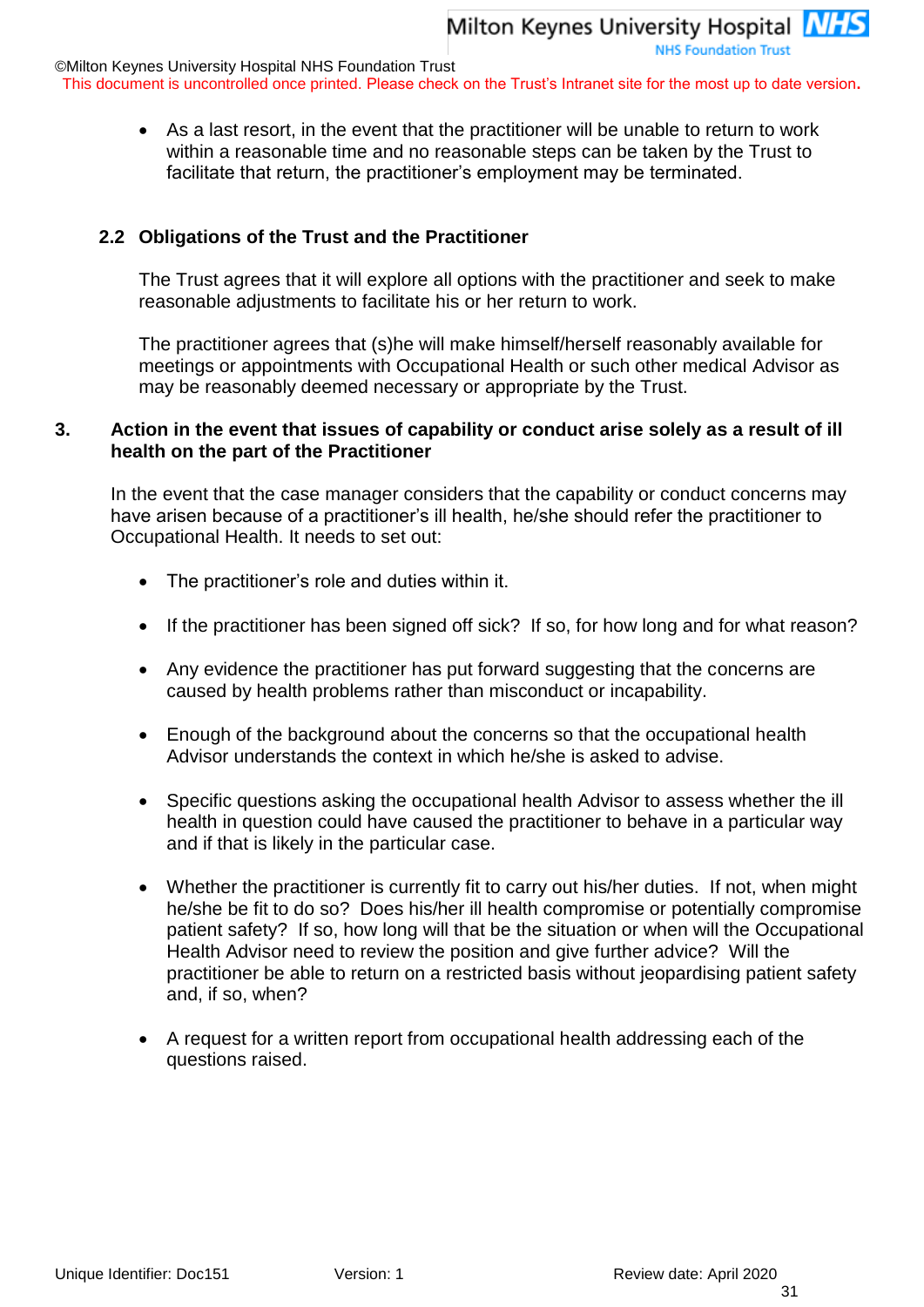**NHS Foundation Trust** 

This document is uncontrolled once printed. Please check on the Trust's Intranet site for the most up to date version**.**

 As a last resort, in the event that the practitioner will be unable to return to work within a reasonable time and no reasonable steps can be taken by the Trust to facilitate that return, the practitioner's employment may be terminated.

#### **2.2 Obligations of the Trust and the Practitioner**

The Trust agrees that it will explore all options with the practitioner and seek to make reasonable adjustments to facilitate his or her return to work.

The practitioner agrees that (s)he will make himself/herself reasonably available for meetings or appointments with Occupational Health or such other medical Advisor as may be reasonably deemed necessary or appropriate by the Trust.

#### <span id="page-30-0"></span>**3. Action in the event that issues of capability or conduct arise solely as a result of ill health on the part of the Practitioner**

In the event that the case manager considers that the capability or conduct concerns may have arisen because of a practitioner's ill health, he/she should refer the practitioner to Occupational Health. It needs to set out:

- The practitioner's role and duties within it.
- If the practitioner has been signed off sick? If so, for how long and for what reason?
- Any evidence the practitioner has put forward suggesting that the concerns are caused by health problems rather than misconduct or incapability.
- Enough of the background about the concerns so that the occupational health Advisor understands the context in which he/she is asked to advise.
- Specific questions asking the occupational health Advisor to assess whether the ill health in question could have caused the practitioner to behave in a particular way and if that is likely in the particular case.
- Whether the practitioner is currently fit to carry out his/her duties. If not, when might he/she be fit to do so? Does his/her ill health compromise or potentially compromise patient safety? If so, how long will that be the situation or when will the Occupational Health Advisor need to review the position and give further advice? Will the practitioner be able to return on a restricted basis without jeopardising patient safety and, if so, when?
- A request for a written report from occupational health addressing each of the questions raised.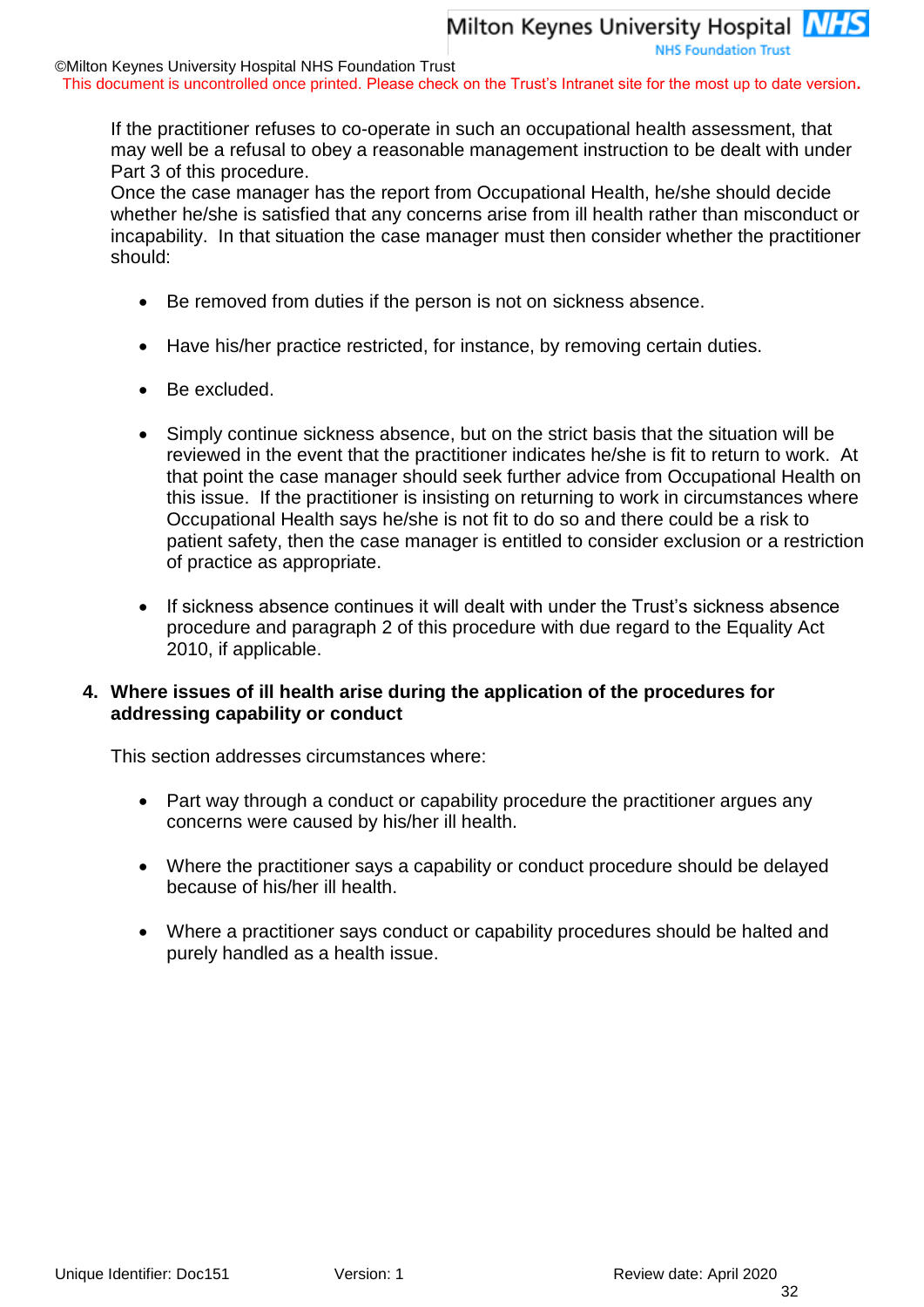This document is uncontrolled once printed. Please check on the Trust's Intranet site for the most up to date version**.**

If the practitioner refuses to co-operate in such an occupational health assessment, that may well be a refusal to obey a reasonable management instruction to be dealt with under Part 3 of this procedure.

Once the case manager has the report from Occupational Health, he/she should decide whether he/she is satisfied that any concerns arise from ill health rather than misconduct or incapability. In that situation the case manager must then consider whether the practitioner should:

- Be removed from duties if the person is not on sickness absence.
- Have his/her practice restricted, for instance, by removing certain duties.
- Be excluded.
- Simply continue sickness absence, but on the strict basis that the situation will be reviewed in the event that the practitioner indicates he/she is fit to return to work. At that point the case manager should seek further advice from Occupational Health on this issue. If the practitioner is insisting on returning to work in circumstances where Occupational Health says he/she is not fit to do so and there could be a risk to patient safety, then the case manager is entitled to consider exclusion or a restriction of practice as appropriate.
- If sickness absence continues it will dealt with under the Trust's sickness absence procedure and paragraph 2 of this procedure with due regard to the Equality Act 2010, if applicable.

#### **4. Where issues of ill health arise during the application of the procedures for addressing capability or conduct**

This section addresses circumstances where:

- Part way through a conduct or capability procedure the practitioner argues any concerns were caused by his/her ill health.
- Where the practitioner says a capability or conduct procedure should be delayed because of his/her ill health.
- Where a practitioner says conduct or capability procedures should be halted and purely handled as a health issue.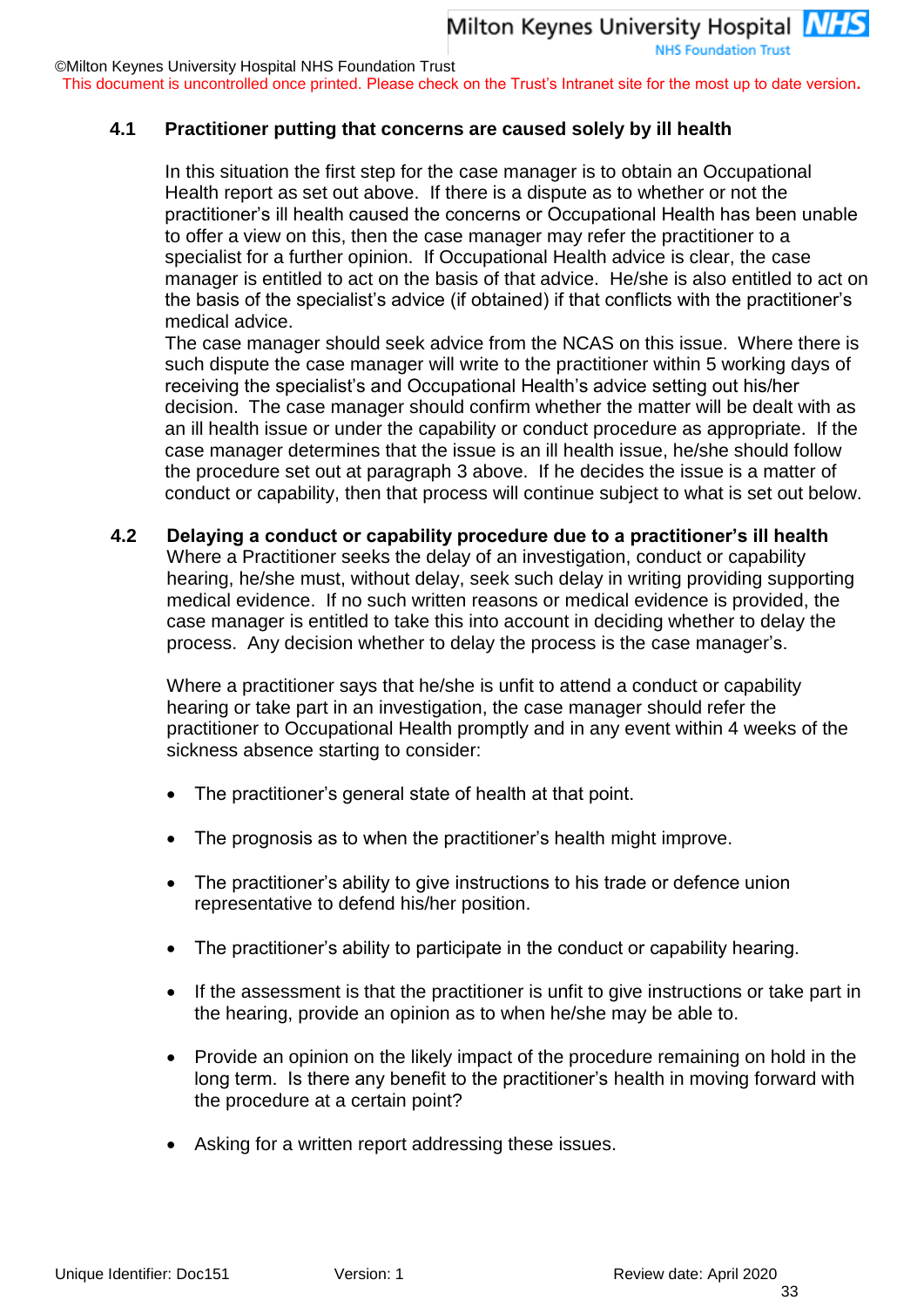**NHS Foundation Trust** 

©Milton Keynes University Hospital NHS Foundation Trust

This document is uncontrolled once printed. Please check on the Trust's Intranet site for the most up to date version**.**

#### **4.1 Practitioner putting that concerns are caused solely by ill health**

In this situation the first step for the case manager is to obtain an Occupational Health report as set out above. If there is a dispute as to whether or not the practitioner's ill health caused the concerns or Occupational Health has been unable to offer a view on this, then the case manager may refer the practitioner to a specialist for a further opinion. If Occupational Health advice is clear, the case manager is entitled to act on the basis of that advice. He/she is also entitled to act on the basis of the specialist's advice (if obtained) if that conflicts with the practitioner's medical advice.

The case manager should seek advice from the NCAS on this issue. Where there is such dispute the case manager will write to the practitioner within 5 working days of receiving the specialist's and Occupational Health's advice setting out his/her decision. The case manager should confirm whether the matter will be dealt with as an ill health issue or under the capability or conduct procedure as appropriate. If the case manager determines that the issue is an ill health issue, he/she should follow the procedure set out at paragraph [3](#page-30-0) above. If he decides the issue is a matter of conduct or capability, then that process will continue subject to what is set out below.

#### **4.2 Delaying a conduct or capability procedure due to a practitioner's ill health**

Where a Practitioner seeks the delay of an investigation, conduct or capability hearing, he/she must, without delay, seek such delay in writing providing supporting medical evidence. If no such written reasons or medical evidence is provided, the case manager is entitled to take this into account in deciding whether to delay the process. Any decision whether to delay the process is the case manager's.

Where a practitioner says that he/she is unfit to attend a conduct or capability hearing or take part in an investigation, the case manager should refer the practitioner to Occupational Health promptly and in any event within 4 weeks of the sickness absence starting to consider:

- The practitioner's general state of health at that point.
- The prognosis as to when the practitioner's health might improve.
- The practitioner's ability to give instructions to his trade or defence union representative to defend his/her position.
- The practitioner's ability to participate in the conduct or capability hearing.
- If the assessment is that the practitioner is unfit to give instructions or take part in the hearing, provide an opinion as to when he/she may be able to.
- Provide an opinion on the likely impact of the procedure remaining on hold in the long term. Is there any benefit to the practitioner's health in moving forward with the procedure at a certain point?
- Asking for a written report addressing these issues.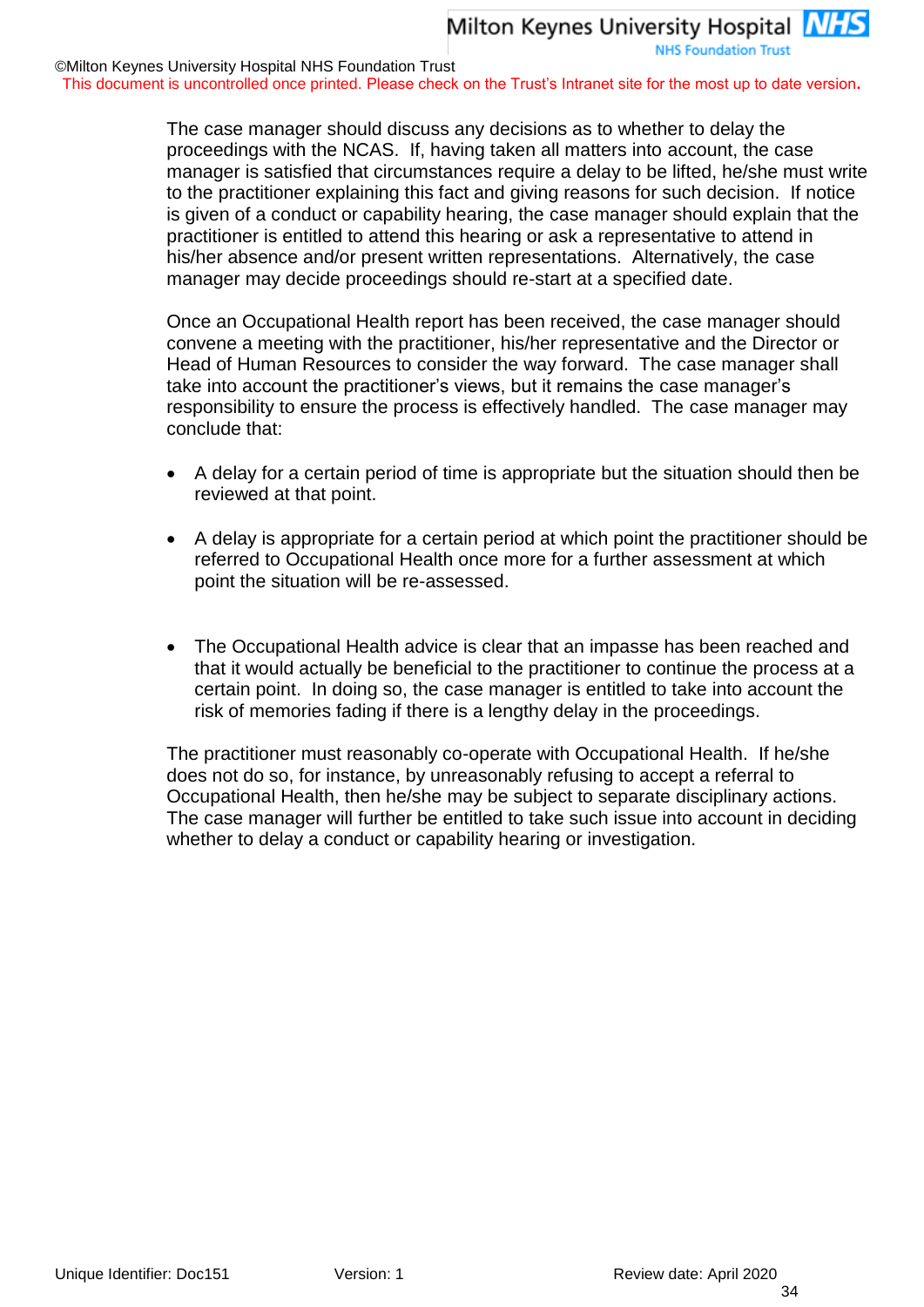This document is uncontrolled once printed. Please check on the Trust's Intranet site for the most up to date version**.**

The case manager should discuss any decisions as to whether to delay the proceedings with the NCAS. If, having taken all matters into account, the case manager is satisfied that circumstances require a delay to be lifted, he/she must write to the practitioner explaining this fact and giving reasons for such decision. If notice is given of a conduct or capability hearing, the case manager should explain that the practitioner is entitled to attend this hearing or ask a representative to attend in his/her absence and/or present written representations. Alternatively, the case manager may decide proceedings should re-start at a specified date.

Once an Occupational Health report has been received, the case manager should convene a meeting with the practitioner, his/her representative and the Director or Head of Human Resources to consider the way forward. The case manager shall take into account the practitioner's views, but it remains the case manager's responsibility to ensure the process is effectively handled. The case manager may conclude that:

- A delay for a certain period of time is appropriate but the situation should then be reviewed at that point.
- A delay is appropriate for a certain period at which point the practitioner should be referred to Occupational Health once more for a further assessment at which point the situation will be re-assessed.
- The Occupational Health advice is clear that an impasse has been reached and that it would actually be beneficial to the practitioner to continue the process at a certain point. In doing so, the case manager is entitled to take into account the risk of memories fading if there is a lengthy delay in the proceedings.

The practitioner must reasonably co-operate with Occupational Health. If he/she does not do so, for instance, by unreasonably refusing to accept a referral to Occupational Health, then he/she may be subject to separate disciplinary actions. The case manager will further be entitled to take such issue into account in deciding whether to delay a conduct or capability hearing or investigation.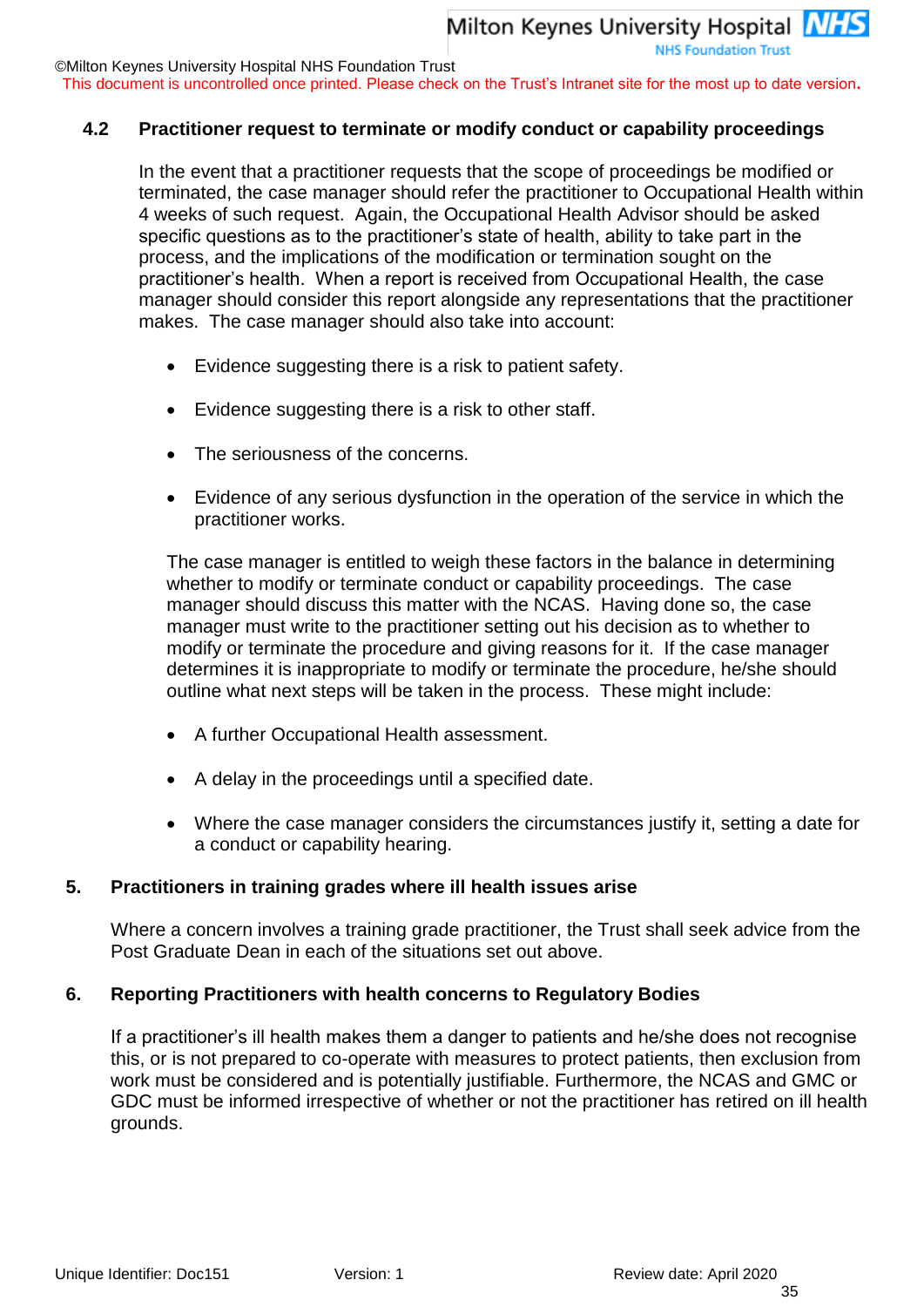©Milton Keynes University Hospital NHS Foundation Trust

This document is uncontrolled once printed. Please check on the Trust's Intranet site for the most up to date version**.**

#### **4.2 Practitioner request to terminate or modify conduct or capability proceedings**

In the event that a practitioner requests that the scope of proceedings be modified or terminated, the case manager should refer the practitioner to Occupational Health within 4 weeks of such request. Again, the Occupational Health Advisor should be asked specific questions as to the practitioner's state of health, ability to take part in the process, and the implications of the modification or termination sought on the practitioner's health. When a report is received from Occupational Health, the case manager should consider this report alongside any representations that the practitioner makes. The case manager should also take into account:

- Evidence suggesting there is a risk to patient safety.
- Evidence suggesting there is a risk to other staff.
- The seriousness of the concerns.
- Evidence of any serious dysfunction in the operation of the service in which the practitioner works.

The case manager is entitled to weigh these factors in the balance in determining whether to modify or terminate conduct or capability proceedings. The case manager should discuss this matter with the NCAS. Having done so, the case manager must write to the practitioner setting out his decision as to whether to modify or terminate the procedure and giving reasons for it. If the case manager determines it is inappropriate to modify or terminate the procedure, he/she should outline what next steps will be taken in the process. These might include:

- A further Occupational Health assessment.
- A delay in the proceedings until a specified date.
- Where the case manager considers the circumstances justify it, setting a date for a conduct or capability hearing.

#### **5. Practitioners in training grades where ill health issues arise**

Where a concern involves a training grade practitioner, the Trust shall seek advice from the Post Graduate Dean in each of the situations set out above.

#### **6. Reporting Practitioners with health concerns to Regulatory Bodies**

If a practitioner's ill health makes them a danger to patients and he/she does not recognise this, or is not prepared to co-operate with measures to protect patients, then exclusion from work must be considered and is potentially justifiable. Furthermore, the NCAS and GMC or GDC must be informed irrespective of whether or not the practitioner has retired on ill health grounds.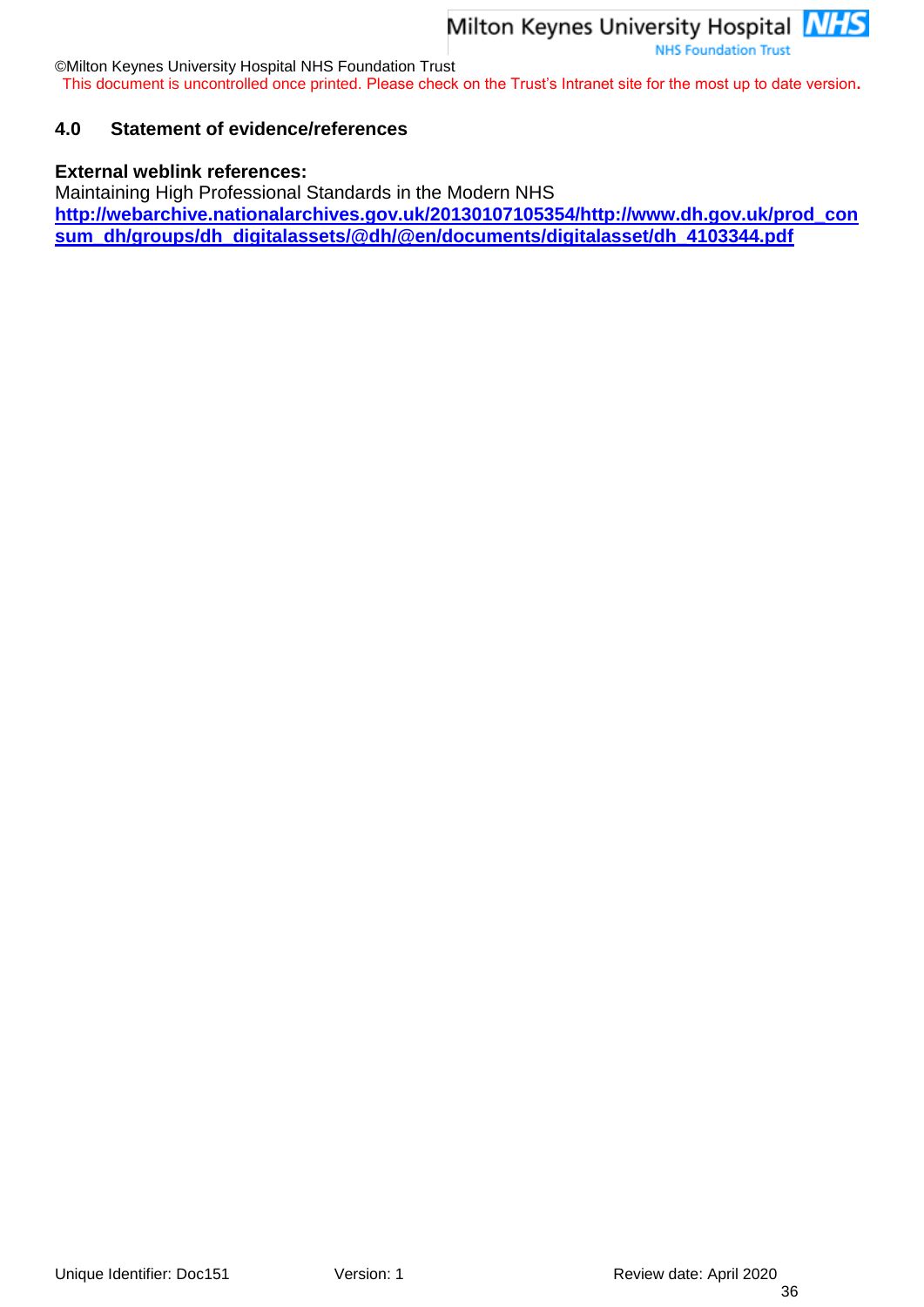©Milton Keynes University Hospital NHS Foundation Trust

This document is uncontrolled once printed. Please check on the Trust's Intranet site for the most up to date version**.**

#### <span id="page-35-0"></span>**4.0 Statement of evidence/references**

#### **External weblink references:**

Maintaining High Professional Standards in the Modern NHS **[http://webarchive.nationalarchives.gov.uk/20130107105354/http://www.dh.gov.uk/prod\\_con](http://webarchive.nationalarchives.gov.uk/20130107105354/http:/www.dh.gov.uk/prod_consum_dh/groups/dh_digitalassets/@dh/@en/documents/digitalasset/dh_4103344.pdf) [sum\\_dh/groups/dh\\_digitalassets/@dh/@en/documents/digitalasset/dh\\_4103344.pdf](http://webarchive.nationalarchives.gov.uk/20130107105354/http:/www.dh.gov.uk/prod_consum_dh/groups/dh_digitalassets/@dh/@en/documents/digitalasset/dh_4103344.pdf)**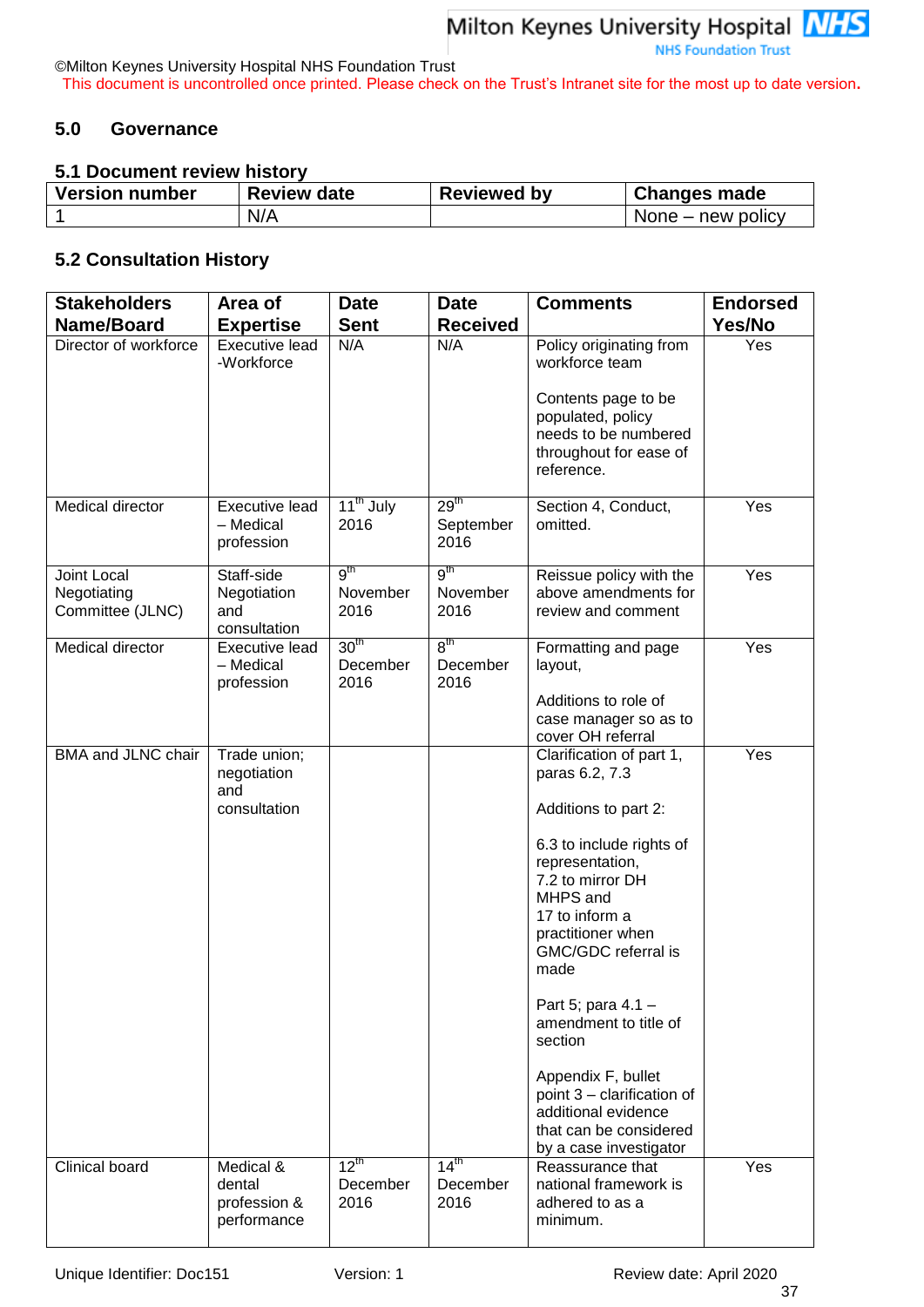©Milton Keynes University Hospital NHS Foundation Trust This document is uncontrolled once printed. Please check on the Trust's Intranet site for the most up to date version**.**

#### <span id="page-36-0"></span>**5.0 Governance**

#### <span id="page-36-1"></span>**5.1 Document review history**

| <b>Version number</b> | <b>Review date</b> | <b>Reviewed by</b> | <b>Changes made</b> |  |  |
|-----------------------|--------------------|--------------------|---------------------|--|--|
|                       | N/A                |                    | None – new policy   |  |  |

## <span id="page-36-2"></span>**5.2 Consultation History**

| <b>Stakeholders</b>                            | Area of                                            | <b>Date</b>                          | <b>Date</b>                           | <b>Comments</b>                                                                                                                                                                                                                                                                                                                                                                                                  | <b>Endorsed</b>  |
|------------------------------------------------|----------------------------------------------------|--------------------------------------|---------------------------------------|------------------------------------------------------------------------------------------------------------------------------------------------------------------------------------------------------------------------------------------------------------------------------------------------------------------------------------------------------------------------------------------------------------------|------------------|
| Name/Board                                     | <b>Expertise</b>                                   | <b>Sent</b>                          | <b>Received</b>                       |                                                                                                                                                                                                                                                                                                                                                                                                                  | Yes/No           |
| Director of workforce                          | <b>Executive lead</b><br>-Workforce                | N/A                                  | N/A                                   | Policy originating from<br>workforce team                                                                                                                                                                                                                                                                                                                                                                        | Yes              |
|                                                |                                                    |                                      |                                       | Contents page to be<br>populated, policy<br>needs to be numbered<br>throughout for ease of<br>reference.                                                                                                                                                                                                                                                                                                         |                  |
| Medical director                               | Executive lead<br>- Medical<br>profession          | 11 <sup>th</sup> July<br>2016        | 29 <sup>th</sup><br>September<br>2016 | Section 4, Conduct,<br>omitted.                                                                                                                                                                                                                                                                                                                                                                                  | Yes              |
| Joint Local<br>Negotiating<br>Committee (JLNC) | Staff-side<br>Negotiation<br>and<br>consultation   | 9 <sup>th</sup><br>November<br>2016  | 9 <sup>th</sup><br>November<br>2016   | Reissue policy with the<br>above amendments for<br>review and comment                                                                                                                                                                                                                                                                                                                                            | Yes              |
| Medical director                               | <b>Executive lead</b><br>- Medical<br>profession   | 30 <sup>th</sup><br>December<br>2016 | 8 <sup>th</sup><br>December<br>2016   | Formatting and page<br>layout,                                                                                                                                                                                                                                                                                                                                                                                   | Yes              |
|                                                |                                                    |                                      |                                       | Additions to role of<br>case manager so as to<br>cover OH referral                                                                                                                                                                                                                                                                                                                                               |                  |
| BMA and JLNC chair                             | Trade union;<br>negotiation<br>and<br>consultation |                                      |                                       | Clarification of part 1,<br>paras 6.2, 7.3<br>Additions to part 2:<br>6.3 to include rights of<br>representation,<br>7.2 to mirror DH<br>MHPS and<br>17 to inform a<br>practitioner when<br>GMC/GDC referral is<br>made<br>Part 5; para 4.1 -<br>amendment to title of<br>section<br>Appendix F, bullet<br>point 3 - clarification of<br>additional evidence<br>that can be considered<br>by a case investigator | $\overline{Yes}$ |
| Clinical board                                 | Medical &<br>dental<br>profession &<br>performance | $12^{\text{th}}$<br>December<br>2016 | 14 <sup>th</sup><br>December<br>2016  | Reassurance that<br>national framework is<br>adhered to as a<br>minimum.                                                                                                                                                                                                                                                                                                                                         | Yes              |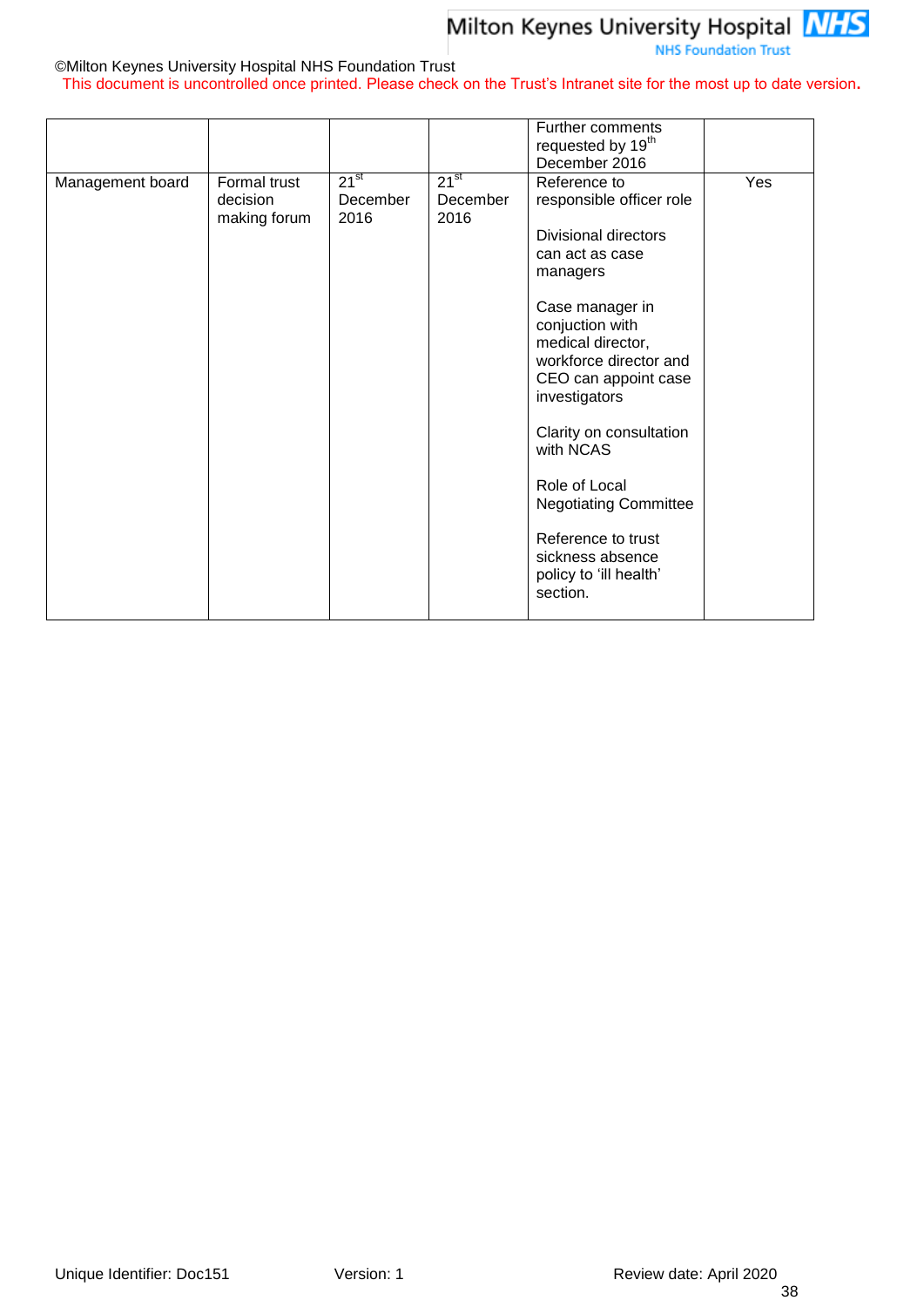#### **NHS Foundation Trust**

#### ©Milton Keynes University Hospital NHS Foundation Trust

This document is uncontrolled once printed. Please check on the Trust's Intranet site for the most up to date version**.**

|                  |                                          |                               |                               | <b>Further comments</b><br>requested by 19 <sup>th</sup><br>December 2016                                                                                                                                                                                                                                                                                                                                     |     |
|------------------|------------------------------------------|-------------------------------|-------------------------------|---------------------------------------------------------------------------------------------------------------------------------------------------------------------------------------------------------------------------------------------------------------------------------------------------------------------------------------------------------------------------------------------------------------|-----|
| Management board | Formal trust<br>decision<br>making forum | $21^{st}$<br>December<br>2016 | $21^{st}$<br>December<br>2016 | Reference to<br>responsible officer role<br><b>Divisional directors</b><br>can act as case<br>managers<br>Case manager in<br>conjuction with<br>medical director,<br>workforce director and<br>CEO can appoint case<br>investigators<br>Clarity on consultation<br>with NCAS<br>Role of Local<br><b>Negotiating Committee</b><br>Reference to trust<br>sickness absence<br>policy to 'ill health'<br>section. | Yes |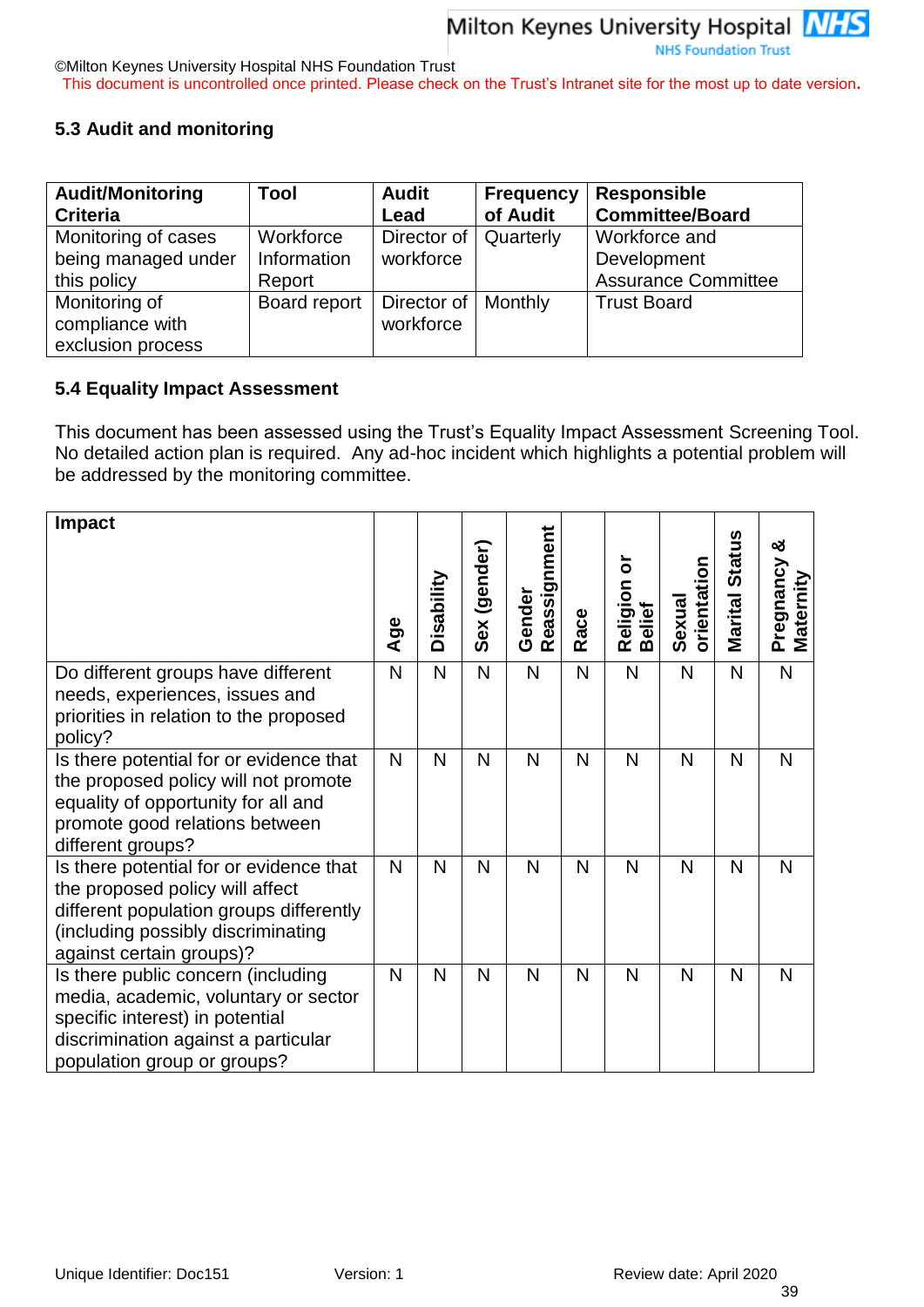©Milton Keynes University Hospital NHS Foundation Trust This document is uncontrolled once printed. Please check on the Trust's Intranet site for the most up to date version**.**

#### <span id="page-38-0"></span>**5.3 Audit and monitoring**

| <b>Audit/Monitoring</b> | Tool         | <b>Audit</b>          | <b>Frequency</b> | <b>Responsible</b>         |
|-------------------------|--------------|-----------------------|------------------|----------------------------|
| <b>Criteria</b>         |              | Lead                  | of Audit         | <b>Committee/Board</b>     |
| Monitoring of cases     | Workforce    | Director of           | Quarterly        | Workforce and              |
| being managed under     | Information  | workforce             |                  | Development                |
| this policy             | Report       |                       |                  | <b>Assurance Committee</b> |
| Monitoring of           | Board report | Director of   Monthly |                  | <b>Trust Board</b>         |
| compliance with         |              | workforce             |                  |                            |
| exclusion process       |              |                       |                  |                            |

#### <span id="page-38-1"></span>**5.4 Equality Impact Assessment**

This document has been assessed using the Trust's Equality Impact Assessment Screening Tool. No detailed action plan is required. Any ad-hoc incident which highlights a potential problem will be addressed by the monitoring committee.

| <b>Impact</b>                                                                                                                                                                           |     | Disability   | Sex (gender) | Reassignment<br>Gender |      | ŏ<br>Religion<br>Belief | Sexual<br>orientation | <b>Marital Status</b> | ఱ<br>Pregnancy<br>Maternity |
|-----------------------------------------------------------------------------------------------------------------------------------------------------------------------------------------|-----|--------------|--------------|------------------------|------|-------------------------|-----------------------|-----------------------|-----------------------------|
|                                                                                                                                                                                         | Age |              |              |                        | Race |                         |                       |                       |                             |
| Do different groups have different<br>needs, experiences, issues and<br>priorities in relation to the proposed<br>policy?                                                               | N   | $\mathsf{N}$ | N            | N                      | N    | N                       | $\overline{N}$        | $\mathsf{N}$          | N                           |
| Is there potential for or evidence that<br>the proposed policy will not promote<br>equality of opportunity for all and<br>promote good relations between<br>different groups?           | N   | N            | N            | N                      | N    | N                       | N                     | N                     | N                           |
| Is there potential for or evidence that<br>the proposed policy will affect<br>different population groups differently<br>(including possibly discriminating<br>against certain groups)? | N   | N            | N            | N                      | N    | N                       | N                     | N                     | N                           |
| Is there public concern (including<br>media, academic, voluntary or sector<br>specific interest) in potential<br>discrimination against a particular<br>population group or groups?     | N   | N            | N            | N                      | N    | N                       | N                     | N                     | N                           |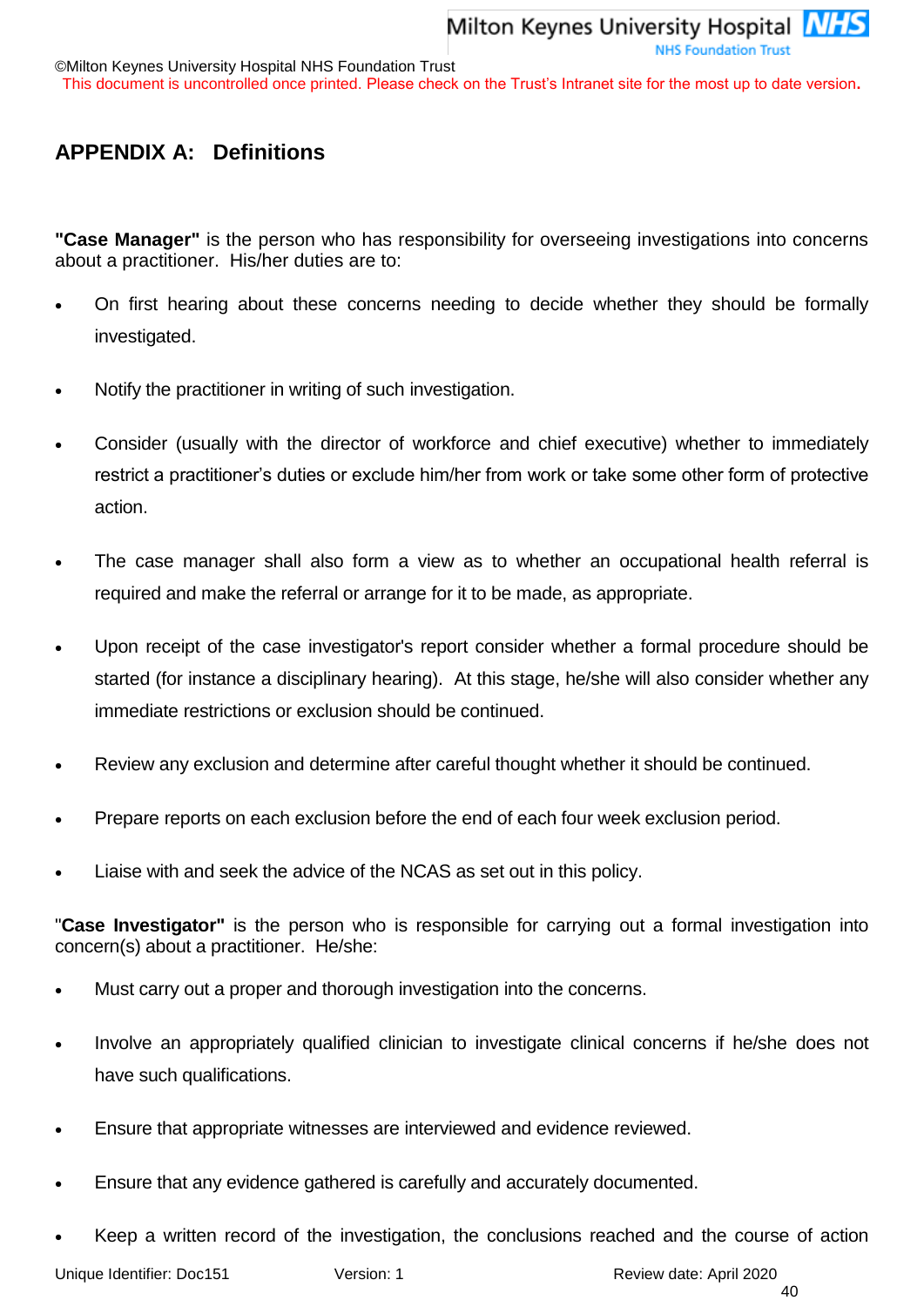## <span id="page-39-0"></span>**APPENDIX A: Definitions**

**"Case Manager"** is the person who has responsibility for overseeing investigations into concerns about a practitioner. His/her duties are to:

- On first hearing about these concerns needing to decide whether they should be formally investigated.
- Notify the practitioner in writing of such investigation.
- Consider (usually with the director of workforce and chief executive) whether to immediately restrict a practitioner's duties or exclude him/her from work or take some other form of protective action.
- The case manager shall also form a view as to whether an occupational health referral is required and make the referral or arrange for it to be made, as appropriate.
- Upon receipt of the case investigator's report consider whether a formal procedure should be started (for instance a disciplinary hearing). At this stage, he/she will also consider whether any immediate restrictions or exclusion should be continued.
- Review any exclusion and determine after careful thought whether it should be continued.
- Prepare reports on each exclusion before the end of each four week exclusion period.
- Liaise with and seek the advice of the NCAS as set out in this policy.

"**Case Investigator"** is the person who is responsible for carrying out a formal investigation into concern(s) about a practitioner. He/she:

- Must carry out a proper and thorough investigation into the concerns.
- Involve an appropriately qualified clinician to investigate clinical concerns if he/she does not have such qualifications.
- Ensure that appropriate witnesses are interviewed and evidence reviewed.
- Ensure that any evidence gathered is carefully and accurately documented.
- Keep a written record of the investigation, the conclusions reached and the course of action

Unique Identifier: Doc151 Version: 1 Version: 1 Review date: April 2020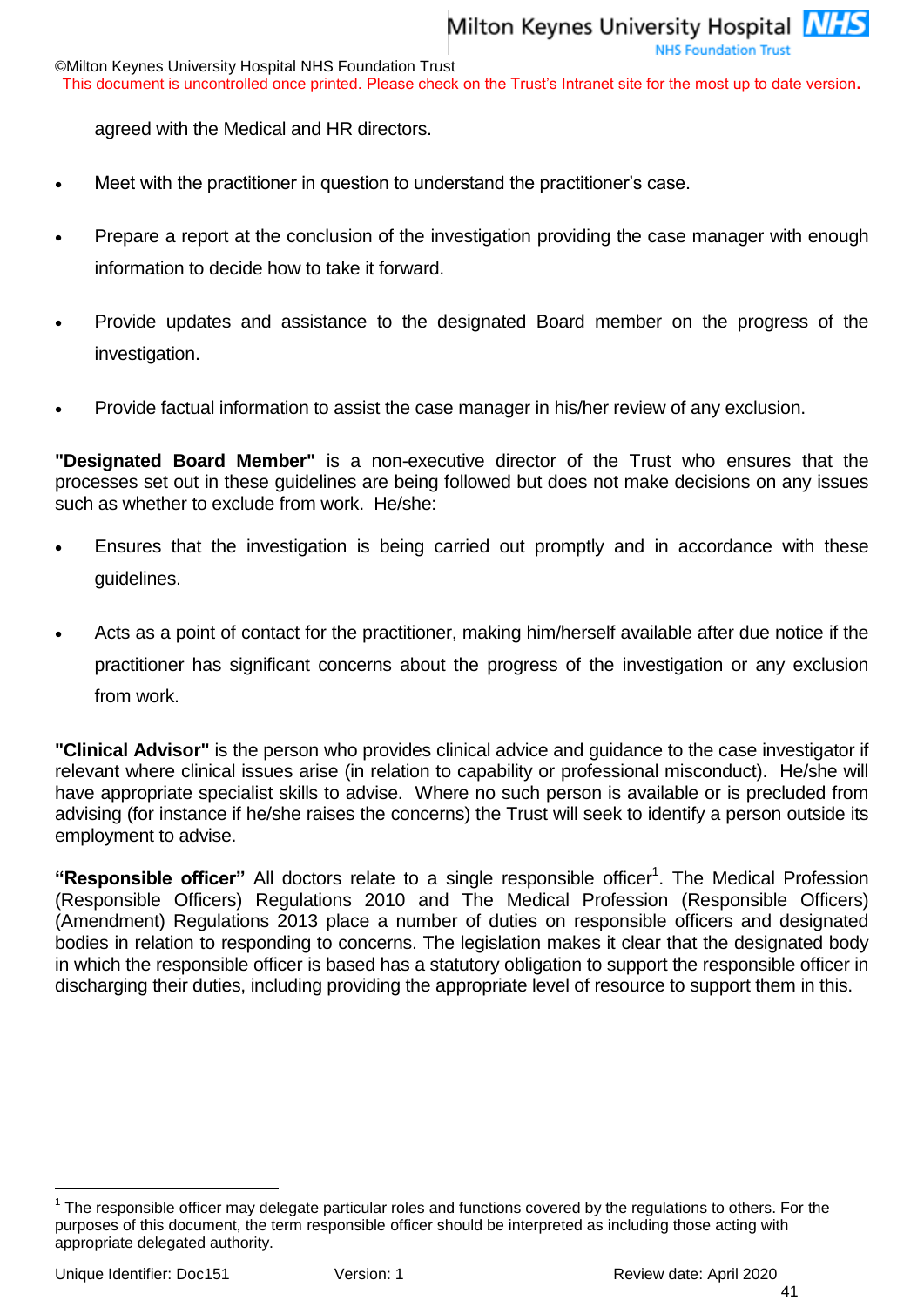This document is uncontrolled once printed. Please check on the Trust's Intranet site for the most up to date version**.**

agreed with the Medical and HR directors.

- Meet with the practitioner in question to understand the practitioner's case.
- Prepare a report at the conclusion of the investigation providing the case manager with enough information to decide how to take it forward.
- Provide updates and assistance to the designated Board member on the progress of the investigation.
- Provide factual information to assist the case manager in his/her review of any exclusion.

**"Designated Board Member"** is a non-executive director of the Trust who ensures that the processes set out in these guidelines are being followed but does not make decisions on any issues such as whether to exclude from work. He/she:

- Ensures that the investigation is being carried out promptly and in accordance with these guidelines.
- Acts as a point of contact for the practitioner, making him/herself available after due notice if the practitioner has significant concerns about the progress of the investigation or any exclusion from work.

**"Clinical Advisor"** is the person who provides clinical advice and guidance to the case investigator if relevant where clinical issues arise (in relation to capability or professional misconduct). He/she will have appropriate specialist skills to advise. Where no such person is available or is precluded from advising (for instance if he/she raises the concerns) the Trust will seek to identify a person outside its employment to advise.

"Responsible officer" All doctors relate to a single responsible officer<sup>1</sup>. The Medical Profession (Responsible Officers) Regulations 2010 and The Medical Profession (Responsible Officers) (Amendment) Regulations 2013 place a number of duties on responsible officers and designated bodies in relation to responding to concerns. The legislation makes it clear that the designated body in which the responsible officer is based has a statutory obligation to support the responsible officer in discharging their duties, including providing the appropriate level of resource to support them in this.

l

 $1$  The responsible officer may delegate particular roles and functions covered by the regulations to others. For the purposes of this document, the term responsible officer should be interpreted as including those acting with appropriate delegated authority.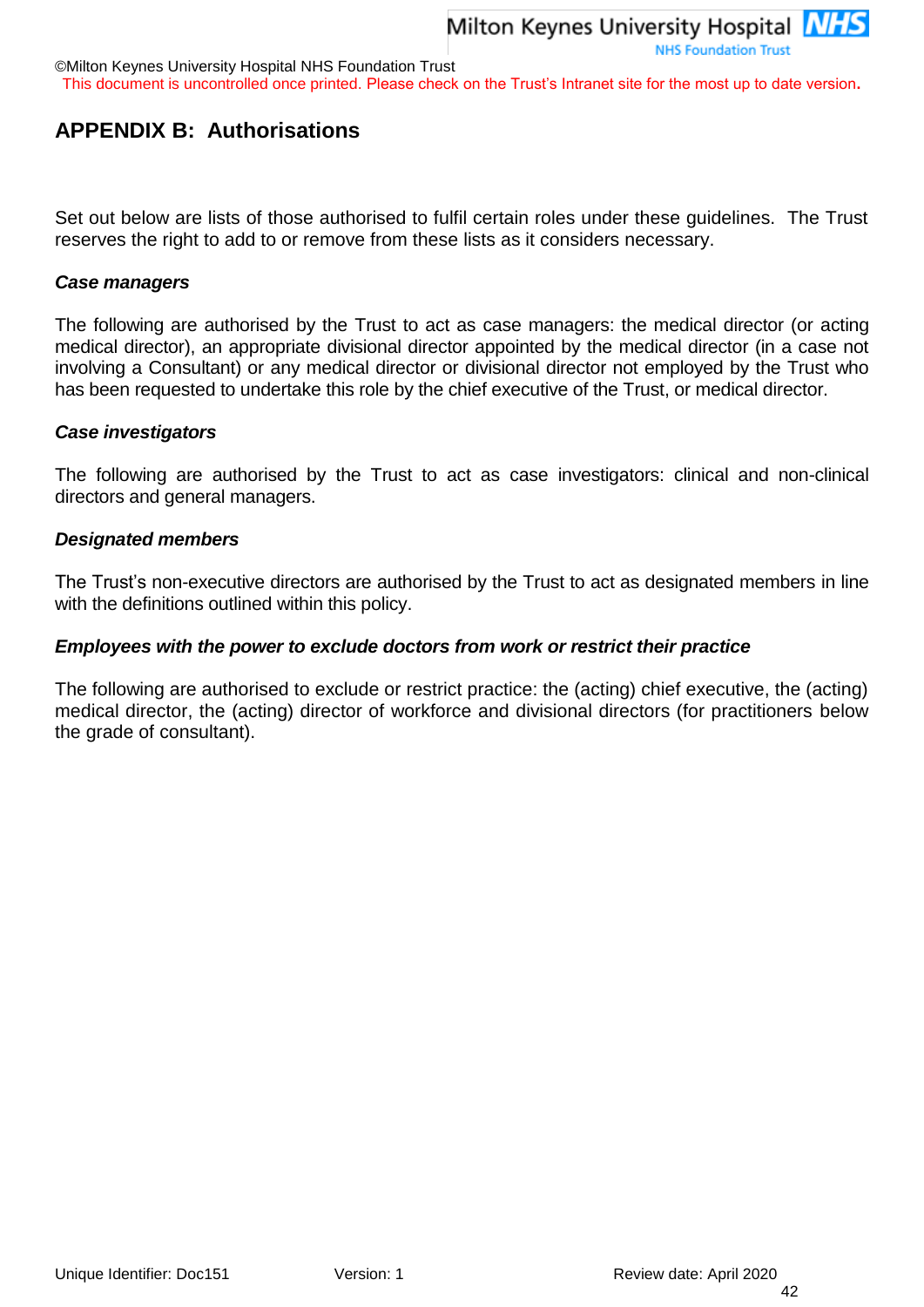©Milton Keynes University Hospital NHS Foundation Trust

This document is uncontrolled once printed. Please check on the Trust's Intranet site for the most up to date version**.**

## <span id="page-41-0"></span>**APPENDIX B: Authorisations**

Set out below are lists of those authorised to fulfil certain roles under these guidelines. The Trust reserves the right to add to or remove from these lists as it considers necessary.

#### *Case managers*

The following are authorised by the Trust to act as case managers: the medical director (or acting medical director), an appropriate divisional director appointed by the medical director (in a case not involving a Consultant) or any medical director or divisional director not employed by the Trust who has been requested to undertake this role by the chief executive of the Trust, or medical director.

#### *Case investigators*

The following are authorised by the Trust to act as case investigators: clinical and non-clinical directors and general managers.

#### *Designated members*

The Trust's non-executive directors are authorised by the Trust to act as designated members in line with the definitions outlined within this policy.

#### *Employees with the power to exclude doctors from work or restrict their practice*

The following are authorised to exclude or restrict practice: the (acting) chief executive, the (acting) medical director, the (acting) director of workforce and divisional directors (for practitioners below the grade of consultant).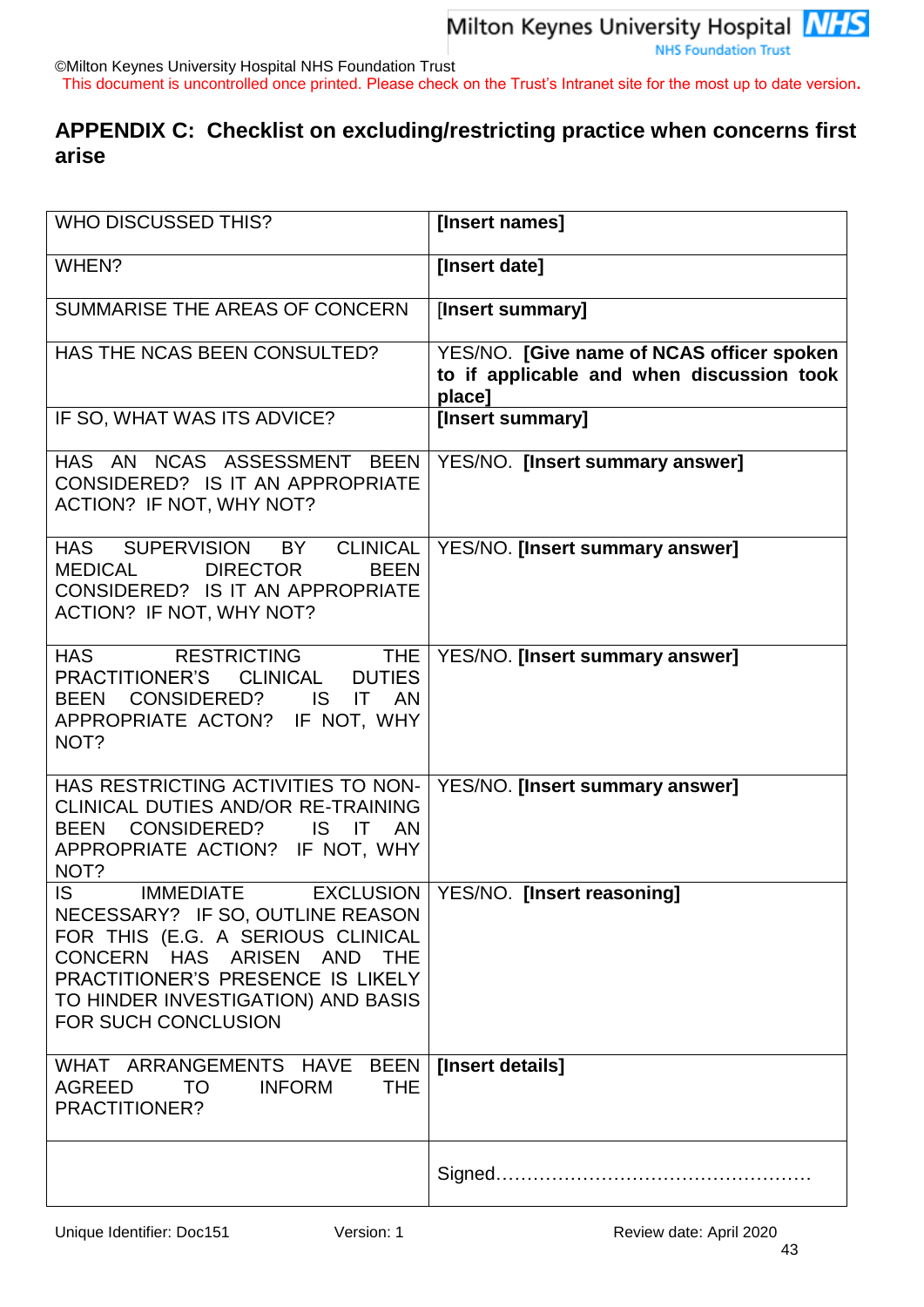©Milton Keynes University Hospital NHS Foundation Trust

This document is uncontrolled once printed. Please check on the Trust's Intranet site for the most up to date version**.**

## <span id="page-42-0"></span>**APPENDIX C: Checklist on excluding/restricting practice when concerns first arise**

| <b>WHO DISCUSSED THIS?</b>                                                                                                                                                                                                                    | [Insert names]                                                                                   |
|-----------------------------------------------------------------------------------------------------------------------------------------------------------------------------------------------------------------------------------------------|--------------------------------------------------------------------------------------------------|
| WHEN?                                                                                                                                                                                                                                         | [Insert date]                                                                                    |
| SUMMARISE THE AREAS OF CONCERN                                                                                                                                                                                                                | [Insert summary]                                                                                 |
| HAS THE NCAS BEEN CONSULTED?                                                                                                                                                                                                                  | YES/NO. [Give name of NCAS officer spoken<br>to if applicable and when discussion took<br>place] |
| IF SO, WHAT WAS ITS ADVICE?                                                                                                                                                                                                                   | [Insert summary]                                                                                 |
| HAS AN NCAS ASSESSMENT BEEN<br>CONSIDERED? IS IT AN APPROPRIATE<br>ACTION? IF NOT, WHY NOT?                                                                                                                                                   | YES/NO. [Insert summary answer]                                                                  |
| <b>CLINICAL</b><br>HAS SUPERVISION BY<br><b>BEEN</b><br><b>MEDICAL</b><br><b>DIRECTOR</b><br>CONSIDERED? IS IT AN APPROPRIATE<br>ACTION? IF NOT, WHY NOT?                                                                                     | YES/NO. [Insert summary answer]                                                                  |
| <b>HAS</b><br><b>RESTRICTING</b><br><b>THE</b><br><b>CLINICAL</b><br>PRACTITIONER'S<br><b>DUTIES</b><br>BEEN CONSIDERED?<br>IS IT AN<br>APPROPRIATE ACTON? IF NOT, WHY<br>NOT?                                                                | YES/NO. [Insert summary answer]                                                                  |
| HAS RESTRICTING ACTIVITIES TO NON-<br>CLINICAL DUTIES AND/OR RE-TRAINING<br>BEEN CONSIDERED?<br>IS IT AN<br>APPROPRIATE ACTION? IF NOT, WHY<br>NOT?                                                                                           | YES/NO. [Insert summary answer]                                                                  |
| <b>IS</b><br><b>IMMEDIATE</b><br>NECESSARY? IF SO, OUTLINE REASON<br>FOR THIS (E.G. A SERIOUS CLINICAL<br>CONCERN HAS ARISEN AND THE<br>PRACTITIONER'S PRESENCE IS LIKELY<br>TO HINDER INVESTIGATION) AND BASIS<br><b>FOR SUCH CONCLUSION</b> | EXCLUSION   YES/NO. [Insert reasoning]                                                           |
| WHAT ARRANGEMENTS HAVE BEEN<br><b>THE</b><br>AGREED<br><b>TO</b><br><b>INFORM</b><br>PRACTITIONER?                                                                                                                                            | [Insert details]                                                                                 |
|                                                                                                                                                                                                                                               |                                                                                                  |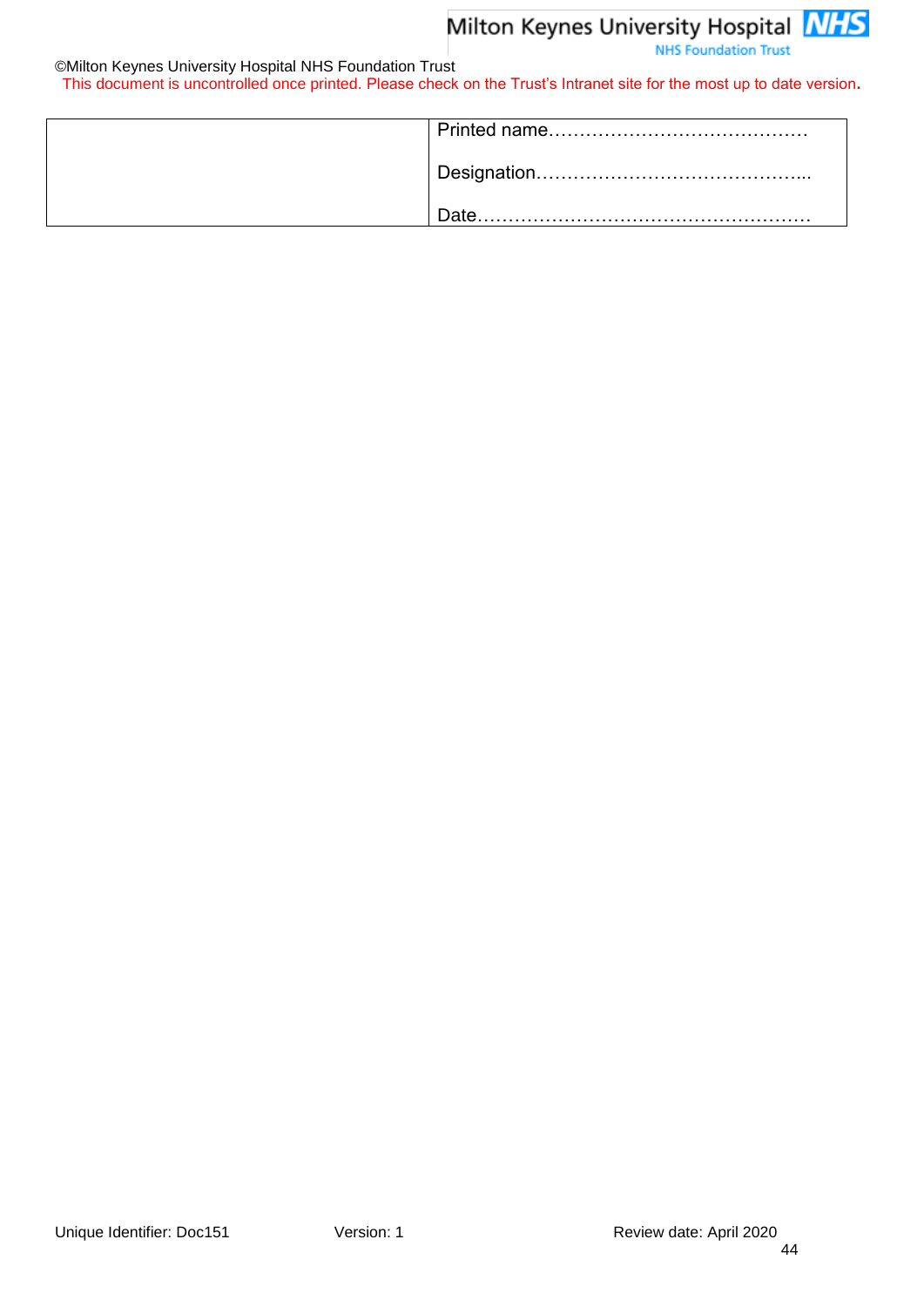#### ©Milton Keynes University Hospital NHS Foundation Trust

This document is uncontrolled once printed. Please check on the Trust's Intranet site for the most up to date version**.**

| Date. |
|-------|
|       |
|       |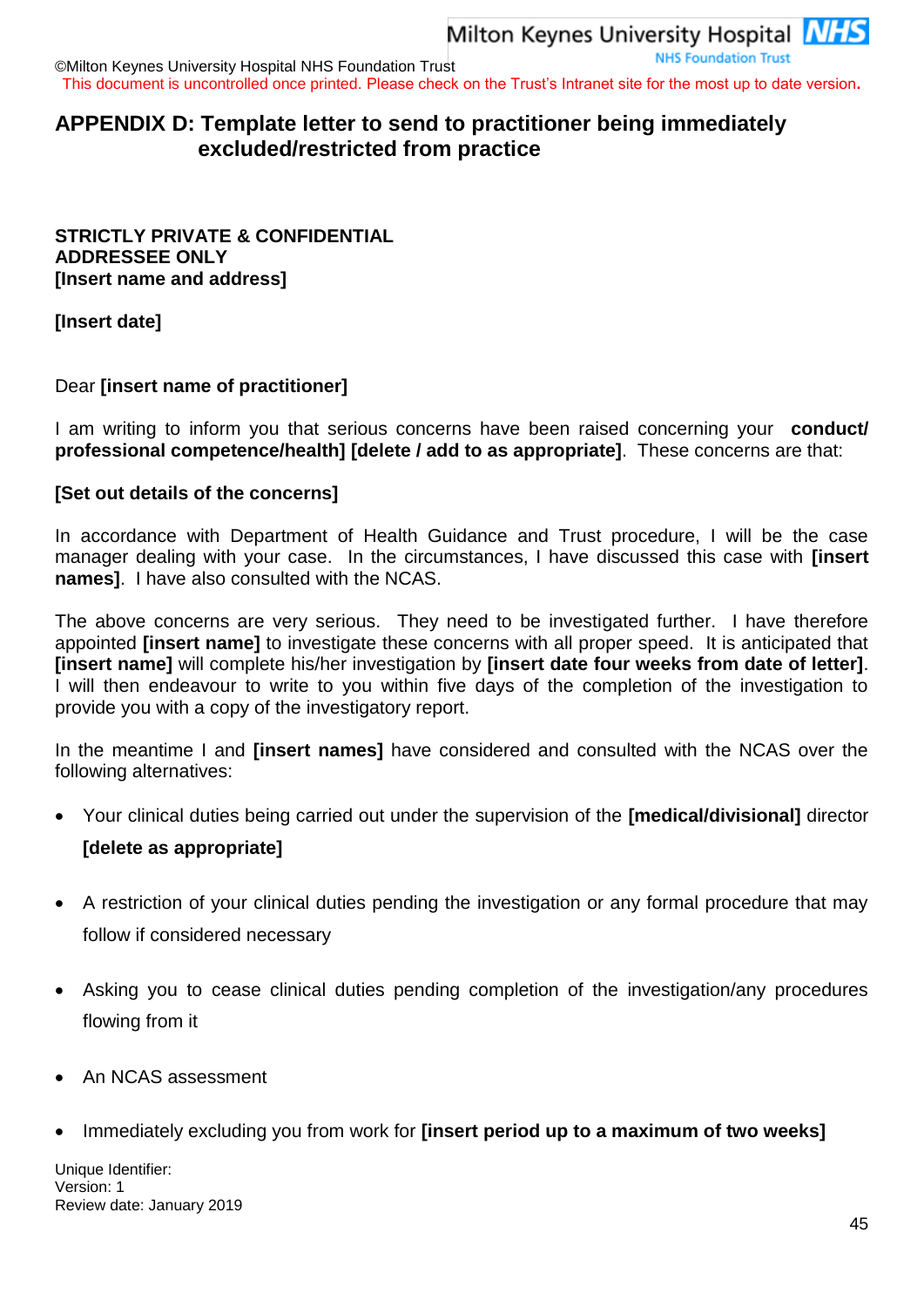## <span id="page-44-0"></span>**APPENDIX D: Template letter to send to practitioner being immediately excluded/restricted from practice**

#### **STRICTLY PRIVATE & CONFIDENTIAL ADDRESSEE ONLY [Insert name and address]**

**[Insert date]**

## Dear **[insert name of practitioner]**

I am writing to inform you that serious concerns have been raised concerning your **conduct/ professional competence/health] [delete / add to as appropriate]**. These concerns are that:

## **[Set out details of the concerns]**

In accordance with Department of Health Guidance and Trust procedure, I will be the case manager dealing with your case. In the circumstances, I have discussed this case with **[insert names]**. I have also consulted with the NCAS.

The above concerns are very serious. They need to be investigated further. I have therefore appointed **[insert name]** to investigate these concerns with all proper speed. It is anticipated that **[insert name]** will complete his/her investigation by **[insert date four weeks from date of letter]**. I will then endeavour to write to you within five days of the completion of the investigation to provide you with a copy of the investigatory report.

In the meantime I and **[insert names]** have considered and consulted with the NCAS over the following alternatives:

- Your clinical duties being carried out under the supervision of the **[medical/divisional]** director **[delete as appropriate]**
- A restriction of your clinical duties pending the investigation or any formal procedure that may follow if considered necessary
- Asking you to cease clinical duties pending completion of the investigation/any procedures flowing from it
- An NCAS assessment
- Immediately excluding you from work for **[insert period up to a maximum of two weeks]**

Unique Identifier: Version: 1 Review date: January 2019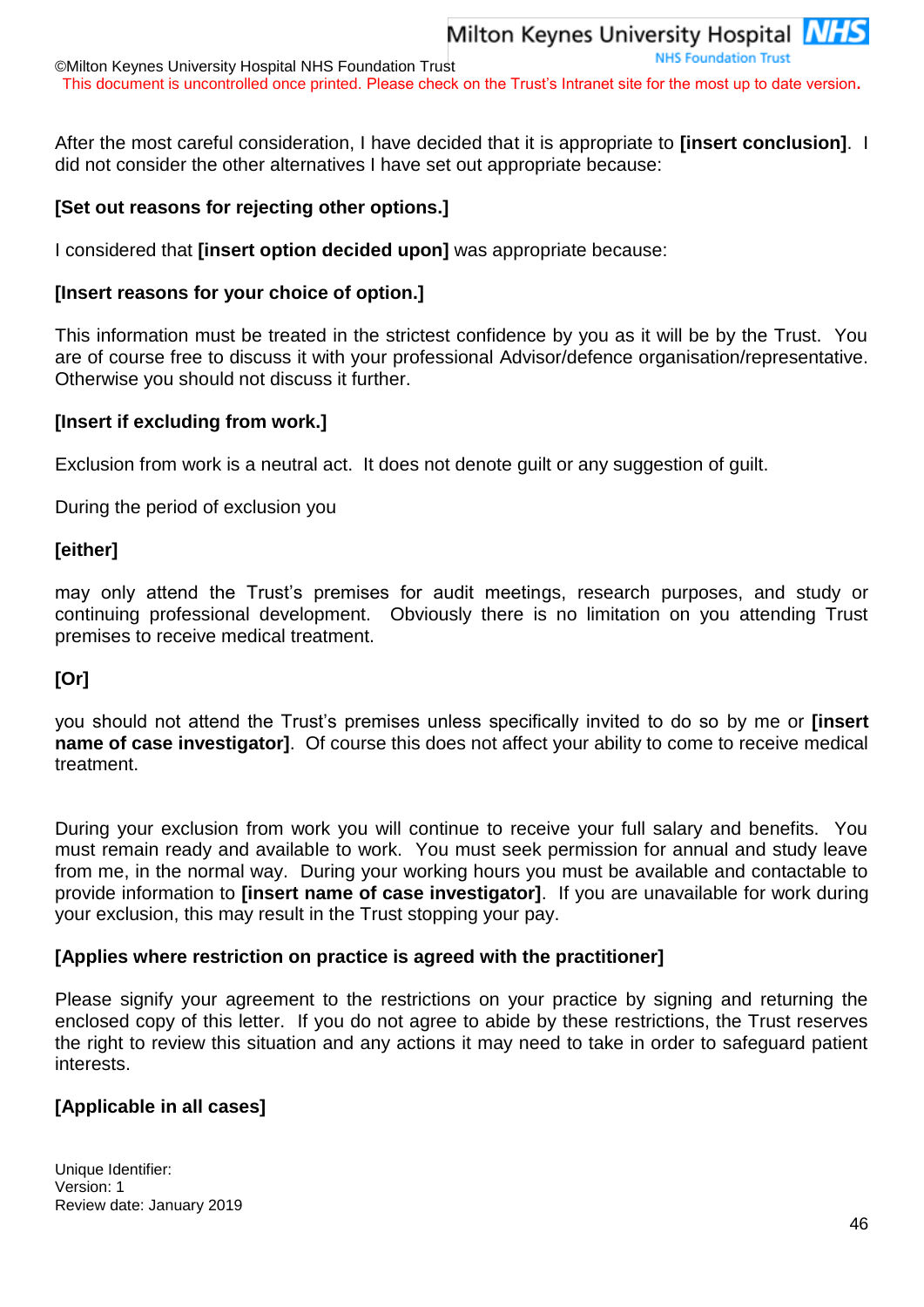©Milton Keynes University Hospital NHS Foundation Trust This document is uncontrolled once printed. Please check on the Trust's Intranet site for the most up to date version**.**

After the most careful consideration, I have decided that it is appropriate to **[insert conclusion]**. I did not consider the other alternatives I have set out appropriate because:

#### **[Set out reasons for rejecting other options.]**

I considered that **[insert option decided upon]** was appropriate because:

#### **[Insert reasons for your choice of option.]**

This information must be treated in the strictest confidence by you as it will be by the Trust. You are of course free to discuss it with your professional Advisor/defence organisation/representative. Otherwise you should not discuss it further.

#### **[Insert if excluding from work.]**

Exclusion from work is a neutral act. It does not denote guilt or any suggestion of guilt.

During the period of exclusion you

#### **[either]**

may only attend the Trust's premises for audit meetings, research purposes, and study or continuing professional development. Obviously there is no limitation on you attending Trust premises to receive medical treatment.

#### **[Or]**

you should not attend the Trust's premises unless specifically invited to do so by me or **[insert name of case investigator]**. Of course this does not affect your ability to come to receive medical treatment.

During your exclusion from work you will continue to receive your full salary and benefits. You must remain ready and available to work. You must seek permission for annual and study leave from me, in the normal way. During your working hours you must be available and contactable to provide information to **[insert name of case investigator]**. If you are unavailable for work during your exclusion, this may result in the Trust stopping your pay.

#### **[Applies where restriction on practice is agreed with the practitioner]**

Please signify your agreement to the restrictions on your practice by signing and returning the enclosed copy of this letter. If you do not agree to abide by these restrictions, the Trust reserves the right to review this situation and any actions it may need to take in order to safeguard patient interests.

#### **[Applicable in all cases]**

Unique Identifier: Version: 1 Review date: January 2019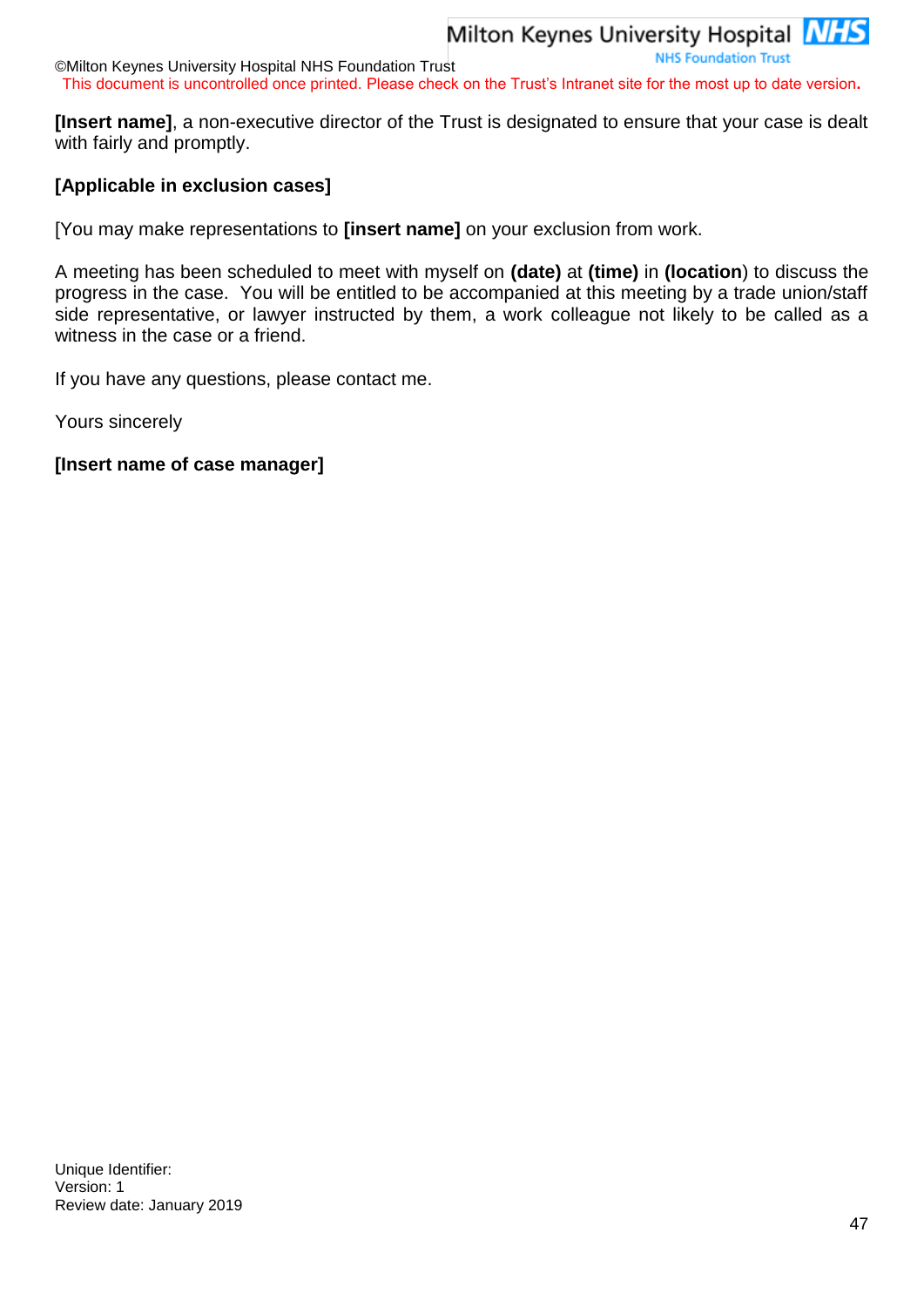#### ©Milton Keynes University Hospital NHS Foundation Trust This document is uncontrolled once printed. Please check on the Trust's Intranet site for the most up to date version**.**

**[Insert name]**, a non-executive director of the Trust is designated to ensure that your case is dealt with fairly and promptly.

## **[Applicable in exclusion cases]**

[You may make representations to **[insert name]** on your exclusion from work.

A meeting has been scheduled to meet with myself on **(date)** at **(time)** in **(location**) to discuss the progress in the case. You will be entitled to be accompanied at this meeting by a trade union/staff side representative, or lawyer instructed by them, a work colleague not likely to be called as a witness in the case or a friend.

If you have any questions, please contact me.

Yours sincerely

#### **[Insert name of case manager]**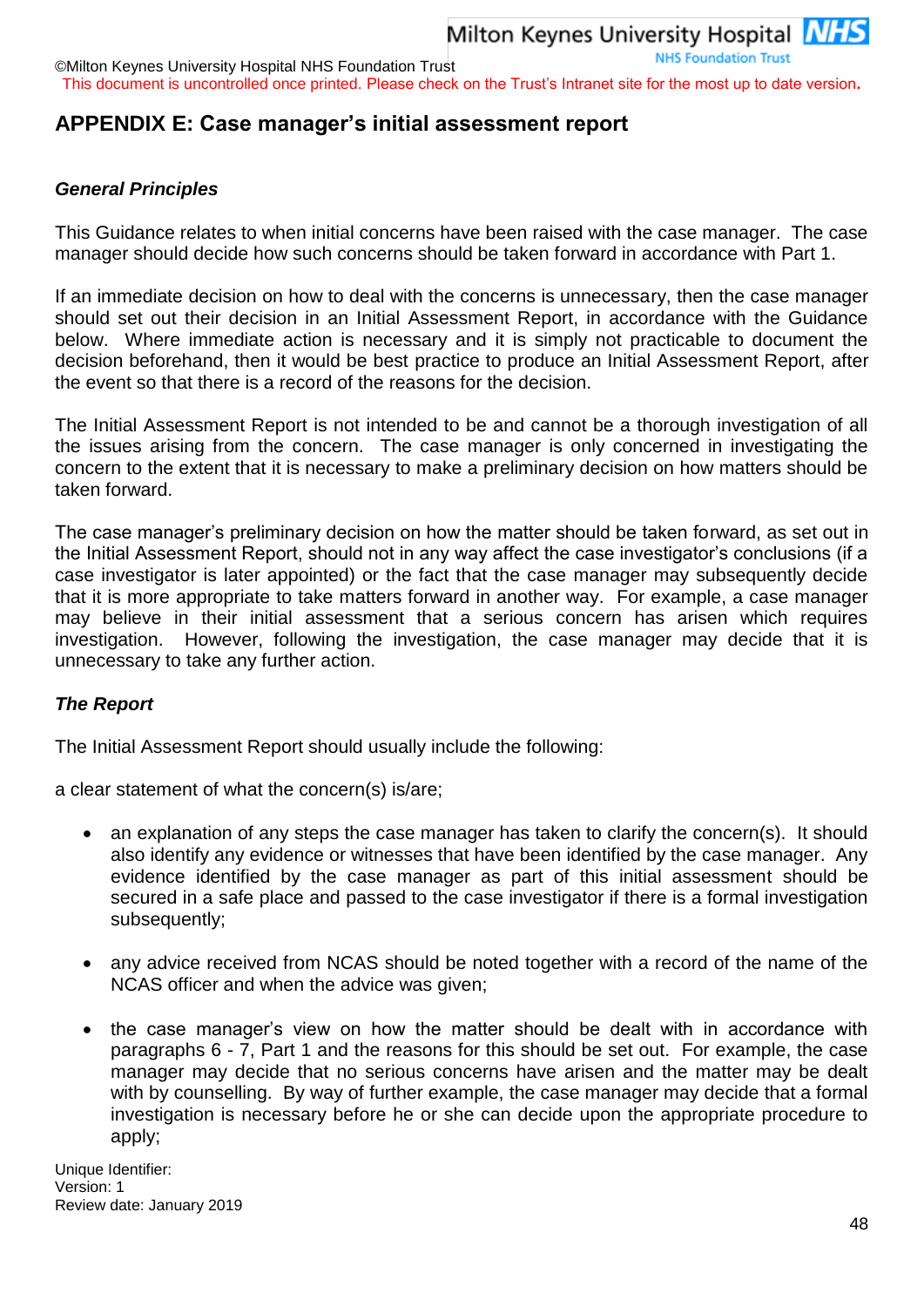©Milton Keynes University Hospital NHS Foundation Trust This document is uncontrolled once printed. Please check on the Trust's Intranet site for the most up to date version**.**

## <span id="page-47-0"></span>**APPENDIX E: Case manager's initial assessment report**

#### *General Principles*

This Guidance relates to when initial concerns have been raised with the case manager. The case manager should decide how such concerns should be taken forward in accordance with Part 1.

If an immediate decision on how to deal with the concerns is unnecessary, then the case manager should set out their decision in an Initial Assessment Report, in accordance with the Guidance below. Where immediate action is necessary and it is simply not practicable to document the decision beforehand, then it would be best practice to produce an Initial Assessment Report, after the event so that there is a record of the reasons for the decision.

The Initial Assessment Report is not intended to be and cannot be a thorough investigation of all the issues arising from the concern. The case manager is only concerned in investigating the concern to the extent that it is necessary to make a preliminary decision on how matters should be taken forward.

The case manager's preliminary decision on how the matter should be taken forward, as set out in the Initial Assessment Report, should not in any way affect the case investigator's conclusions (if a case investigator is later appointed) or the fact that the case manager may subsequently decide that it is more appropriate to take matters forward in another way. For example, a case manager may believe in their initial assessment that a serious concern has arisen which requires investigation. However, following the investigation, the case manager may decide that it is unnecessary to take any further action.

#### *The Report*

The Initial Assessment Report should usually include the following:

a clear statement of what the concern(s) is/are;

- an explanation of any steps the case manager has taken to clarify the concern(s). It should also identify any evidence or witnesses that have been identified by the case manager. Any evidence identified by the case manager as part of this initial assessment should be secured in a safe place and passed to the case investigator if there is a formal investigation subsequently;
- any advice received from NCAS should be noted together with a record of the name of the NCAS officer and when the advice was given;
- the case manager's view on how the matter should be dealt with in accordance with paragraphs [6](#page-5-0) - 7, Part 1 and the reasons for this should be set out. For example, the case manager may decide that no serious concerns have arisen and the matter may be dealt with by counselling. By way of further example, the case manager may decide that a formal investigation is necessary before he or she can decide upon the appropriate procedure to apply;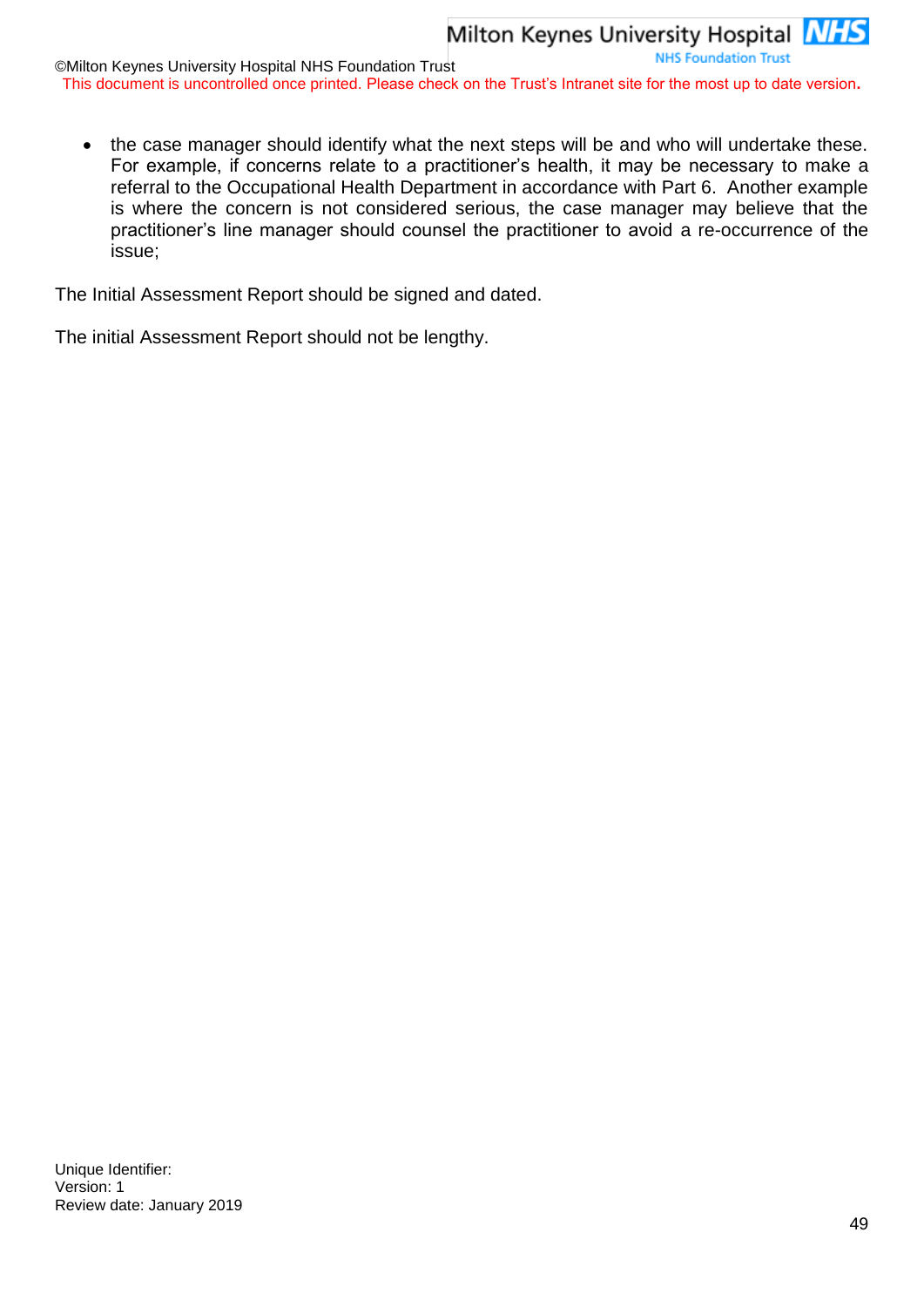the case manager should identify what the next steps will be and who will undertake these. For example, if concerns relate to a practitioner's health, it may be necessary to make a referral to the Occupational Health Department in accordance with Part 6. Another example is where the concern is not considered serious, the case manager may believe that the practitioner's line manager should counsel the practitioner to avoid a re-occurrence of the issue;

The Initial Assessment Report should be signed and dated.

The initial Assessment Report should not be lengthy.

Unique Identifier: Version: 1 Review date: January 2019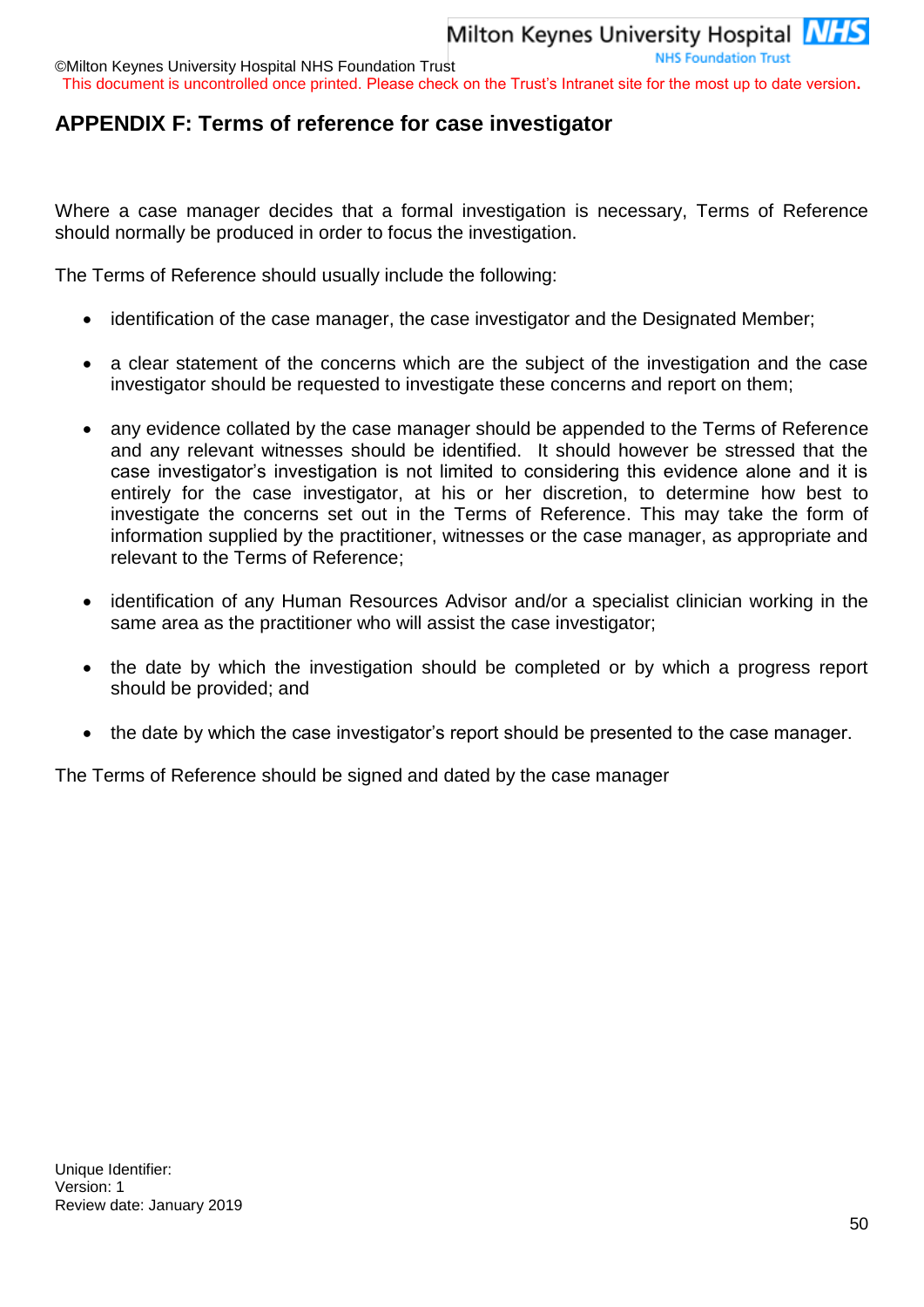©Milton Keynes University Hospital NHS Foundation Trust This document is uncontrolled once printed. Please check on the Trust's Intranet site for the most up to date version**.**

## <span id="page-49-0"></span>**APPENDIX F: Terms of reference for case investigator**

Where a case manager decides that a formal investigation is necessary, Terms of Reference should normally be produced in order to focus the investigation.

The Terms of Reference should usually include the following:

- identification of the case manager, the case investigator and the Designated Member;
- a clear statement of the concerns which are the subject of the investigation and the case investigator should be requested to investigate these concerns and report on them;
- any evidence collated by the case manager should be appended to the Terms of Reference and any relevant witnesses should be identified. It should however be stressed that the case investigator's investigation is not limited to considering this evidence alone and it is entirely for the case investigator, at his or her discretion, to determine how best to investigate the concerns set out in the Terms of Reference. This may take the form of information supplied by the practitioner, witnesses or the case manager, as appropriate and relevant to the Terms of Reference;
- identification of any Human Resources Advisor and/or a specialist clinician working in the same area as the practitioner who will assist the case investigator;
- the date by which the investigation should be completed or by which a progress report should be provided; and
- the date by which the case investigator's report should be presented to the case manager.

The Terms of Reference should be signed and dated by the case manager